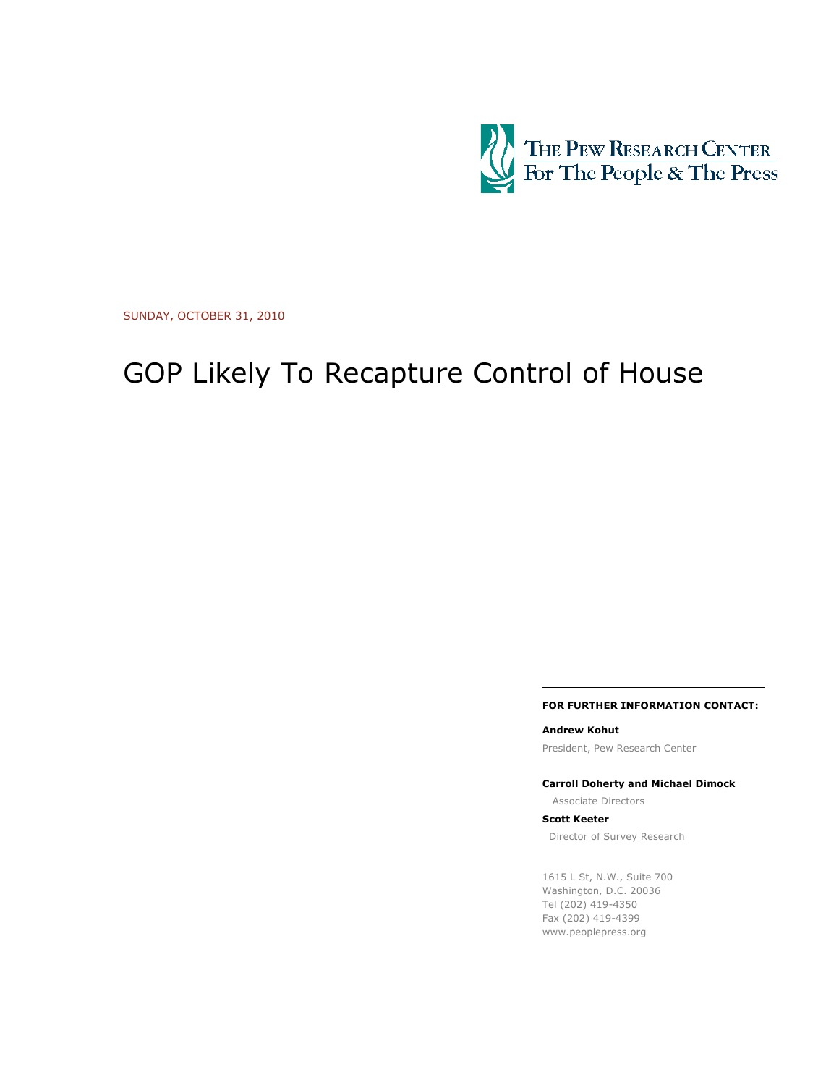

SUNDAY, OCTOBER 31, 2010

# GOP Likely To Recapture Control of House

#### FOR FURTHER INFORMATION CONTACT:

Andrew Kohut

President, Pew Research Center

Carroll Doherty and Michael Dimock

Associate Directors

Scott Keeter

Director of Survey Research

1615 L St, N.W., Suite 700 Washington, D.C. 20036 Tel (202) 419-4350 Fax (202) 419-4399 www.peoplepress.org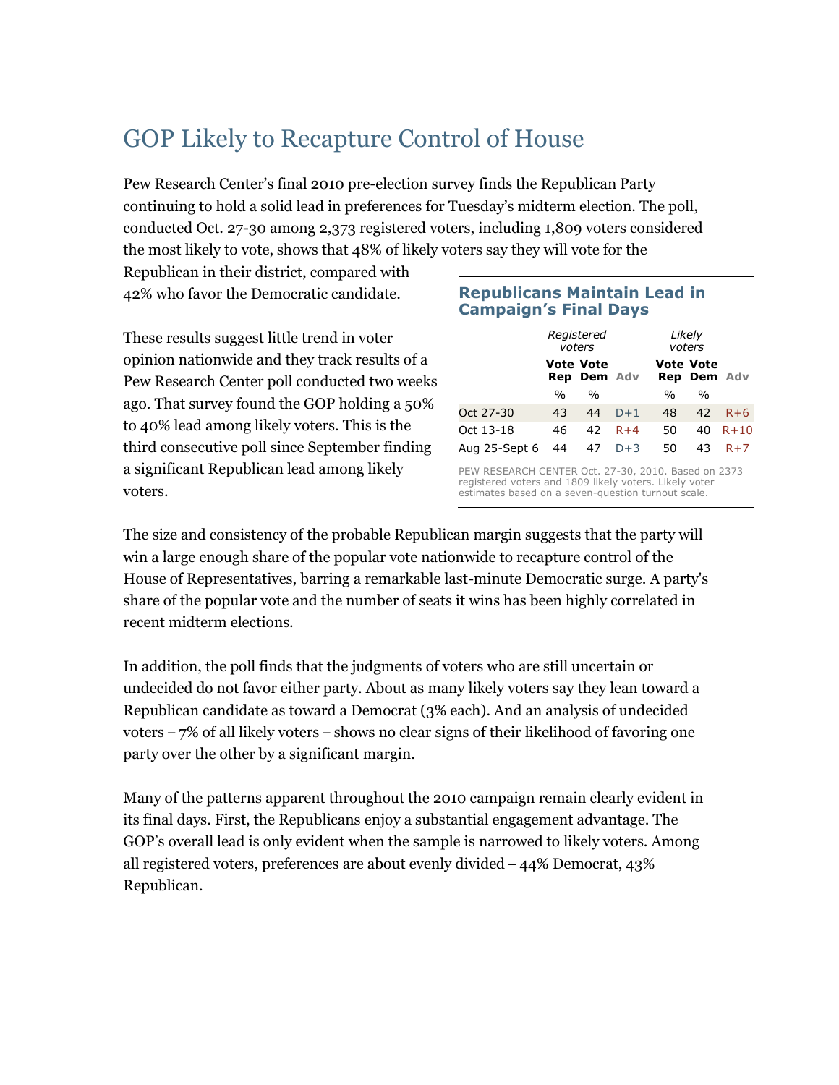# GOP Likely to Recapture Control of House

Pew Research Center's final 2010 pre-election survey finds the Republican Party continuing to hold a solid lead in preferences for Tuesday's midterm election. The poll, conducted Oct. 27-30 among 2,373 registered voters, including 1,809 voters considered the most likely to vote, shows that 48% of likely voters say they will vote for the

Republican in their district, compared with 42% who favor the Democratic candidate.

These results suggest little trend in voter opinion nationwide and they track results of a Pew Research Center poll conducted two weeks ago. That survey found the GOP holding a 50% to 40% lead among likely voters. This is the third consecutive poll since September finding a significant Republican lead among likely voters.

# Republicans Maintain Lead in Campaign's Final Days

| Registered<br>voters |               |                  |                    |    |                                                            |
|----------------------|---------------|------------------|--------------------|----|------------------------------------------------------------|
|                      |               |                  |                    |    |                                                            |
| $\frac{0}{0}$        | $\frac{0}{0}$ |                  | $\%$               | %  |                                                            |
| 43                   | 44            | $D+1$            | 48                 | 42 | $R+6$                                                      |
| 46                   | 42            | $R+4$            | 50                 | 40 | $R + 10$                                                   |
| Aug 25-Sept 6<br>44  | 47            | $D+3$            | 50                 | 43 | $R+7$                                                      |
|                      |               | <b>Vote Vote</b> | <b>Rep Dem Adv</b> |    | Likely<br>voters<br><b>Vote Vote</b><br><b>Rep Dem Adv</b> |

PEW RESEARCH CENTER Oct. 27-30, 2010. Based on 2373 registered voters and 1809 likely voters. Likely voter estimates based on a seven-question turnout scale.

The size and consistency of the probable Republican margin suggests that the party will win a large enough share of the popular vote nationwide to recapture control of the House of Representatives, barring a remarkable last-minute Democratic surge. A party's share of the popular vote and the number of seats it wins has been highly correlated in recent midterm elections.

In addition, the poll finds that the judgments of voters who are still uncertain or undecided do not favor either party. About as many likely voters say they lean toward a Republican candidate as toward a Democrat (3% each). And an analysis of undecided voters – 7% of all likely voters – shows no clear signs of their likelihood of favoring one party over the other by a significant margin.

Many of the patterns apparent throughout the 2010 campaign remain clearly evident in its final days. First, the Republicans enjoy a substantial engagement advantage. The GOP's overall lead is only evident when the sample is narrowed to likely voters. Among all registered voters, preferences are about evenly divided – 44% Democrat, 43% Republican.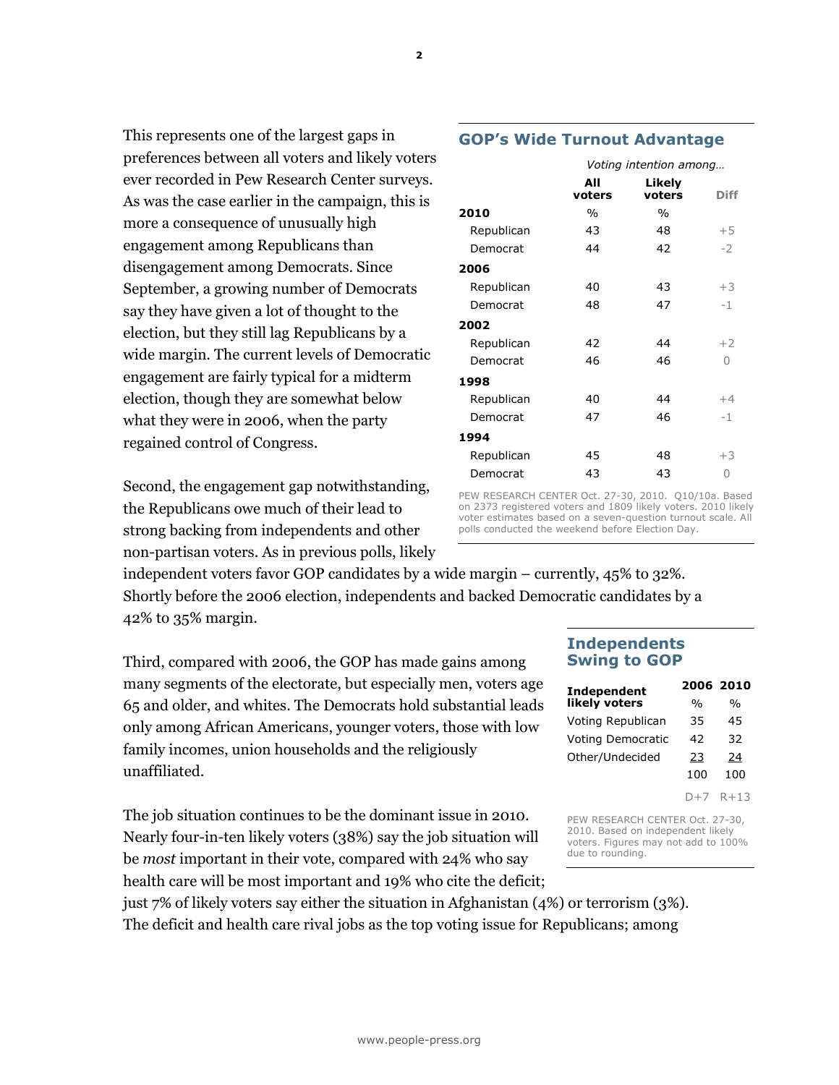This represents one of the largest gaps in preferences between all voters and likely voters ever recorded in Pew Research Center surveys. As was the case earlier in the campaign, this is more a consequence of unusually high engagement among Republicans than disengagement among Democrats. Since September, a growing number of Democrats say they have given a lot of thought to the election, but they still lag Republicans by a wide margin. The current levels of Democratic engagement are fairly typical for a midterm election, though they are somewhat below what they were in 2006, when the party regained control of Congress.

Second, the engagement gap notwithstanding, the Republicans owe much of their lead to strong backing from independents and other non-partisan voters. As in previous polls, likely

independent voters favor GOP candidates by a wide margin – currently, 45% to 32%. Shortly before the 2006 election, independents and backed Democratic candidates by a 42% to 35% margin.

Third, compared with 2006, the GOP has made gains among many segments of the electorate, but especially men, voters age 65 and older, and whites. The Democrats hold substantial leads only among African Americans, younger voters, those with low family incomes, union households and the religiously unaffiliated.

The job situation continues to be the dominant issue in 2010. Nearly four-in-ten likely voters (38%) say the job situation will be most important in their vote, compared with 24% who say health care will be most important and 19% who cite the deficit;

just 7% of likely voters say either the situation in Afghanistan (4%) or terrorism (3%). The deficit and health care rival jobs as the top voting issue for Republicans; among

# Independents Swing to GOP

| Independent              | 2006 2010     |      |
|--------------------------|---------------|------|
| likely voters            | $\frac{0}{0}$ | $\%$ |
| Voting Republican        | 35            | 45   |
| <b>Voting Democratic</b> | 42            | 32   |
| Other/Undecided          | 23            | 24   |
|                          | 100           | 100  |
|                          |               |      |

D+7 R+13

PEW RESEARCH CENTER Oct. 27-30, 2010. Based on independent likely voters. Figures may not add to 100% due to rounding.

|            | All<br>voters | Likely<br>voters | <b>Diff</b> |
|------------|---------------|------------------|-------------|
| 2010       | $\%$          | $\%$             |             |
| Republican | 43            | 48               | $+5$        |
| Democrat   | 44            | 42               | $-2$        |
| 2006       |               |                  |             |
| Republican | 40            | 43               | $+3$        |
| Democrat   | 48            | 47               | $-1$        |
| 2002       |               |                  |             |
| Republican | 42            | 44               | $+2$        |
| Democrat   | 46            | 46               | 0           |
| 1998       |               |                  |             |
| Republican | 40            | 44               | $+4$        |
| Democrat   | 47            | 46               | $-1$        |
| 1994       |               |                  |             |
| Republican | 45            | 48               | $+3$        |
| Democrat   | 43            | 43               | 0           |
|            |               |                  |             |

PEW RESEARCH CENTER Oct. 27-30, 2010. Q10/10a. Based on 2373 registered voters and 1809 likely voters. 2010 likely voter estimates based on a seven-question turnout scale. All polls conducted the weekend before Election Day.

2

# GOP's Wide Turnout Advantage

Voting intention among…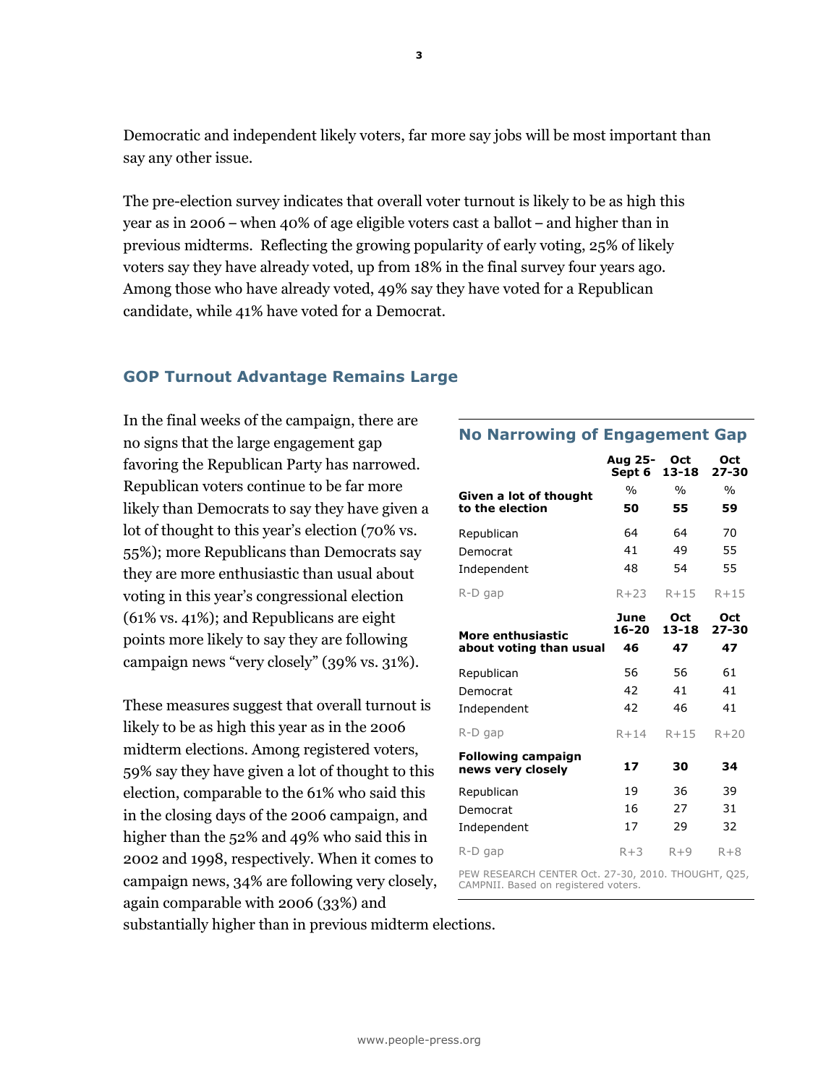Democratic and independent likely voters, far more say jobs will be most important than say any other issue.

The pre-election survey indicates that overall voter turnout is likely to be as high this year as in 2006 – when 40% of age eligible voters cast a ballot – and higher than in previous midterms. Reflecting the growing popularity of early voting, 25% of likely voters say they have already voted, up from 18% in the final survey four years ago. Among those who have already voted, 49% say they have voted for a Republican candidate, while 41% have voted for a Democrat.

# GOP Turnout Advantage Remains Large

In the final weeks of the campaign, there are no signs that the large engagement gap favoring the Republican Party has narrowed. Republican voters continue to be far more likely than Democrats to say they have given a lot of thought to this year's election (70% vs. 55%); more Republicans than Democrats say they are more enthusiastic than usual about voting in this year's congressional election (61% vs. 41%); and Republicans are eight points more likely to say they are following campaign news "very closely" (39% vs. 31%).

These measures suggest that overall turnout is likely to be as high this year as in the 2006 midterm elections. Among registered voters, 59% say they have given a lot of thought to this election, comparable to the 61% who said this in the closing days of the 2006 campaign, and higher than the 52% and 49% who said this in 2002 and 1998, respectively. When it comes to campaign news, 34% are following very closely, again comparable with 2006 (33%) and

# No Narrowing of Engagement Gap

|                                                | Aug 25-<br>Sept 6   | Oct<br>13-18                               | Oct<br>$27 - 30$       |
|------------------------------------------------|---------------------|--------------------------------------------|------------------------|
| Given a lot of thought                         | $\frac{0}{0}$       | $\frac{0}{0}$                              | $\frac{0}{0}$          |
| to the election                                | 50                  | 55                                         | 59                     |
| Republican                                     | 64                  | 64                                         | 70                     |
| Democrat                                       | 41                  | 49                                         | 55                     |
| Independent                                    | 48                  | 54                                         | 55                     |
| R-D gap                                        | $R+23$              | R+15                                       | $R+15$                 |
| More enthusiastic<br>about voting than usual   | June<br>16-20<br>46 | Oct<br>13-18<br>47                         | Oct<br>$27 - 30$<br>47 |
|                                                |                     |                                            |                        |
| Republican                                     | 56                  | 56                                         | 61                     |
| Democrat                                       | 42                  | 41                                         | 41                     |
| Independent                                    | 42                  | 46                                         | 41                     |
| R-D gap                                        | $R+14$              | $R + 15$                                   | $R + 20$               |
| <b>Following campaign</b><br>news very closely | 17                  | 30                                         | 34                     |
| Republican                                     | 19                  | 36                                         | 39                     |
| Democrat                                       | 16                  | 27                                         | 31                     |
| Independent                                    | 17                  | 29                                         | 32                     |
| $R-D$ gap                                      | $R+3$               | $R+9$                                      | $R + 8$                |
| ---------------------                          | $-2$                | <b>Contract Contract Contract Contract</b> |                        |

PEW RESEARCH CENTER Oct. 27-30, 2010. THOUGHT, Q25, CAMPNII. Based on registered voters.

substantially higher than in previous midterm elections.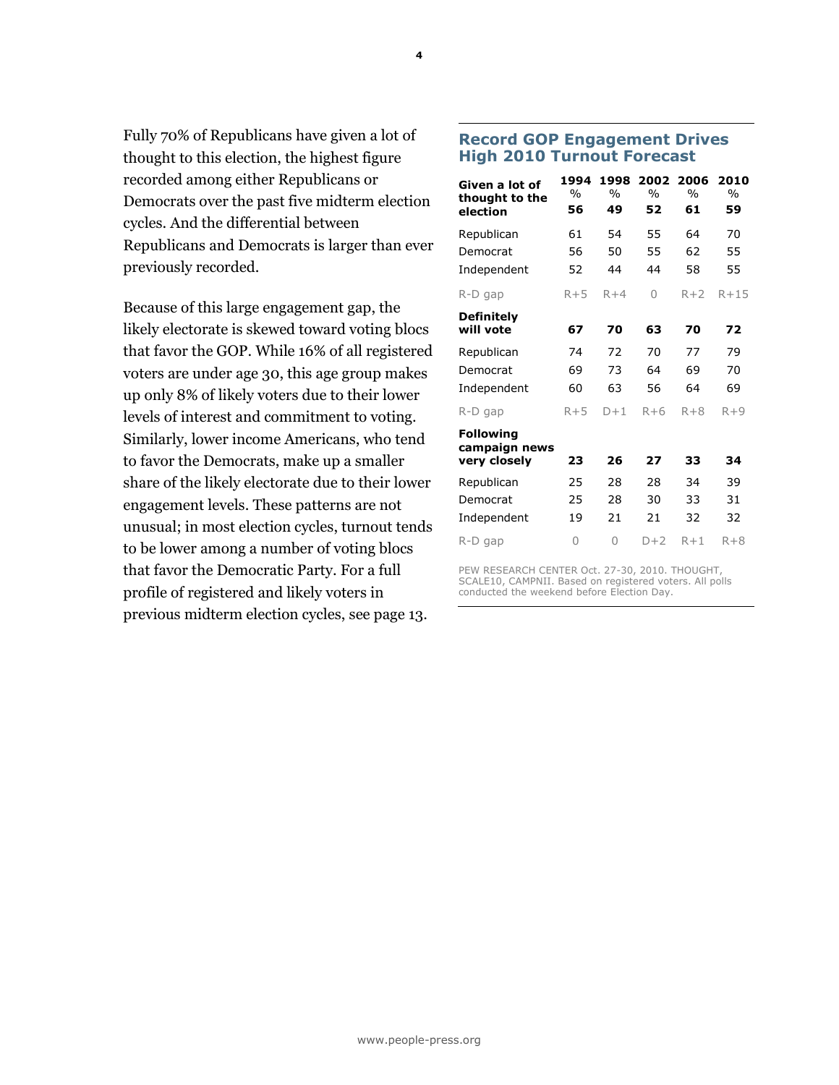Fully 70% of Republicans have given a lot of thought to this election, the highest figure recorded among either Republicans or Democrats over the past five midterm election cycles. And the differential between Republicans and Democrats is larger than ever previously recorded.

Because of this large engagement gap, the likely electorate is skewed toward voting blocs that favor the GOP. While 16% of all registered voters are under age 30, this age group makes up only 8% of likely voters due to their lower levels of interest and commitment to voting. Similarly, lower income Americans, who tend to favor the Democrats, make up a smaller share of the likely electorate due to their lower engagement levels. These patterns are not unusual; in most election cycles, turnout tends to be lower among a number of voting blocs that favor the Democratic Party. For a full profile of registered and likely voters in previous midterm election cycles, see page 13.

# Record GOP Engagement Drives High 2010 Turnout Forecast

| Given a lot of<br>thought to the<br>election | 1994<br>$\%$<br>56 | 1998<br>$\frac{0}{0}$<br>49 | 2002<br>$\frac{0}{0}$<br>52 | 2006<br>$\frac{0}{0}$<br>61 | 2010<br>$\frac{0}{0}$<br>59 |
|----------------------------------------------|--------------------|-----------------------------|-----------------------------|-----------------------------|-----------------------------|
| Republican                                   | 61                 | 54                          | 55                          | 64                          | 70                          |
| Democrat                                     | 56                 | 50                          | 55                          | 62                          | 55                          |
| Independent                                  | 52                 | 44                          | 44                          | 58                          | 55                          |
| R-D gap                                      | $R + 5$            | $R+4$                       | 0                           | $R+2$                       | $R + 15$                    |
| <b>Definitely</b><br>will vote               | 67                 | 70                          | 63                          | 70                          | 72                          |
| Republican                                   | 74                 | 72                          | 70                          | 77                          | 79                          |
| Democrat                                     | 69                 | 73                          | 64                          | 69                          | 70                          |
| Independent                                  | 60                 | 63                          | 56                          | 64                          | 69                          |
| R-D gap                                      | $R + 5$            | $D+1$                       | $R + 6$                     | $R + 8$                     | $R + 9$                     |
| <b>Following</b><br>campaign news            |                    |                             |                             |                             |                             |
| very closely                                 | 23                 | 26                          | 27                          | 33                          | 34                          |
| Republican                                   | 25                 | 28                          | 28                          | 34                          | 39                          |
| Democrat                                     | 25                 | 28                          | 30                          | 33                          | 31                          |
| Independent                                  | 19                 | 21                          | 21                          | 32                          | 32                          |
| R-D gap                                      | 0                  | 0                           | $D+2$                       | $R+1$                       | $R + 8$                     |

PEW RESEARCH CENTER Oct. 27-30, 2010. THOUGHT, SCALE10, CAMPNII. Based on registered voters. All polls conducted the weekend before Election Day.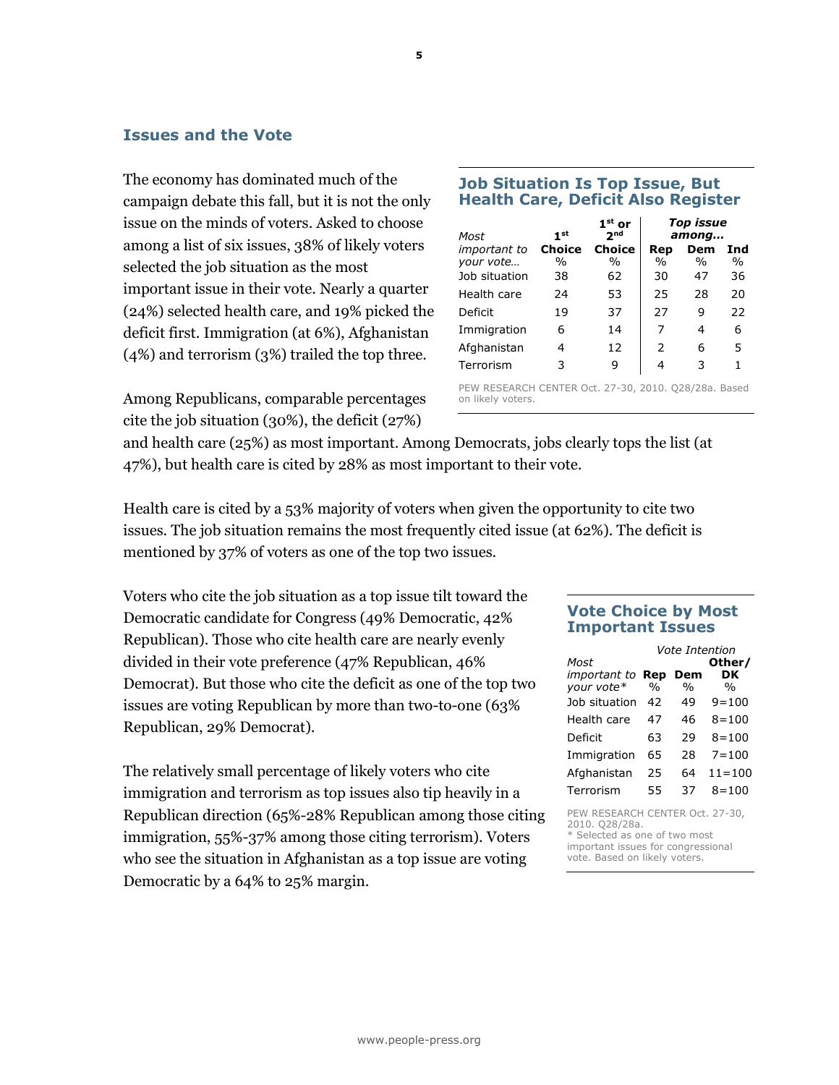# Issues and the Vote

The economy has dominated much of the campaign debate this fall, but it is not the only issue on the minds of voters. Asked to choose among a list of six issues, 38% of likely voters selected the job situation as the most important issue in their vote. Nearly a quarter (24%) selected health care, and 19% picked the deficit first. Immigration (at 6%), Afghanistan (4%) and terrorism (3%) trailed the top three.

Job Situation Is Top Issue, But Health Care, Deficit Also Register Top issue

| Most                             | 1 <sub>st</sub>                | $1st$ or<br>2 <sub>nd</sub>    |               | Top issue<br>among |             |
|----------------------------------|--------------------------------|--------------------------------|---------------|--------------------|-------------|
| <i>important to</i><br>your vote | <b>Choice</b><br>$\frac{0}{0}$ | <b>Choice</b><br>$\frac{0}{0}$ | Rep<br>$\%$   | Dem<br>$\%$        | Ind<br>$\%$ |
| Job situation                    | 38                             | 62                             | 30            | 47                 | 36          |
| Health care                      | 24                             | 53                             | 25            | 28                 | 20          |
| Deficit                          | 19                             | 37                             | 27            | 9                  | 22          |
| Immigration                      | 6                              | 14                             | 7             | 4                  | 6           |
| Afghanistan                      | 4                              | 12                             | $\mathcal{P}$ | 6                  | 5           |
| Terrorism                        | 3                              | 9                              | 4             | 3                  |             |

Among Republicans, comparable percentages cite the job situation (30%), the deficit (27%)

PEW RESEARCH CENTER Oct. 27-30, 2010. Q28/28a. Based on likely voters.

and health care (25%) as most important. Among Democrats, jobs clearly tops the list (at 47%), but health care is cited by 28% as most important to their vote.

Health care is cited by a 53% majority of voters when given the opportunity to cite two issues. The job situation remains the most frequently cited issue (at 62%). The deficit is mentioned by 37% of voters as one of the top two issues.

Voters who cite the job situation as a top issue tilt toward the Democratic candidate for Congress (49% Democratic, 42% Republican). Those who cite health care are nearly evenly divided in their vote preference (47% Republican, 46% Democrat). But those who cite the deficit as one of the top two issues are voting Republican by more than two-to-one (63% Republican, 29% Democrat).

The relatively small percentage of likely voters who cite immigration and terrorism as top issues also tip heavily in a Republican direction (65%-28% Republican among those citing immigration, 55%-37% among those citing terrorism). Voters who see the situation in Afghanistan as a top issue are voting Democratic by a 64% to 25% margin.

# Vote Choice by Most Important Issues

|                                                | Vote Intention |               |               |  |  |
|------------------------------------------------|----------------|---------------|---------------|--|--|
| Most                                           |                |               | Other/        |  |  |
| important to                                   | Rep            | Dem           | DK            |  |  |
| your vote*                                     | $\frac{0}{0}$  | $\frac{0}{0}$ | $\frac{0}{0}$ |  |  |
| Job situation                                  | 42             | 49            | $9 = 100$     |  |  |
| Health care                                    | 47             | 46            | $8 = 100$     |  |  |
| Deficit                                        | 63             | 29            | $8 = 100$     |  |  |
| Immigration                                    | 65             | 28            | $7 = 100$     |  |  |
| Afghanistan                                    | 25             | 64            | $11 = 100$    |  |  |
| Terrorism                                      | 55             | 37            | $8 = 100$     |  |  |
| PEW RESEARCH CENTER Oct. 27-30,<br>COMMA COMMA |                |               |               |  |  |

2010. Q28/28a. \* Selected as one of two most important issues for congressional vote. Based on likely voters.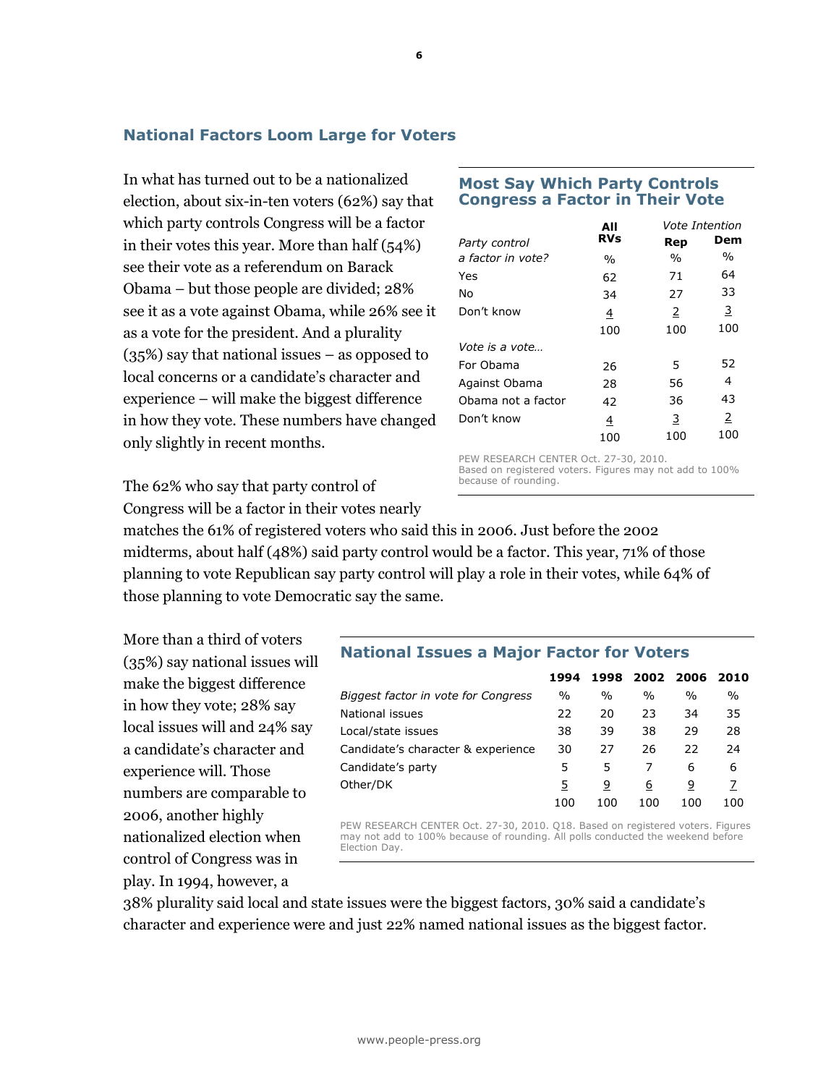# National Factors Loom Large for Voters

In what has turned out to be a nationalized election, about six-in-ten voters (62%) say that which party controls Congress will be a factor in their votes this year. More than half (54%) see their vote as a referendum on Barack Obama – but those people are divided; 28% see it as a vote against Obama, while 26% see it as a vote for the president. And a plurality (35%) say that national issues – as opposed to local concerns or a candidate's character and experience – will make the biggest difference in how they vote. These numbers have changed only slightly in recent months.

The 62% who say that party control of

Congress will be a factor in their votes nearly

matches the 61% of registered voters who said this in 2006. Just before the 2002 midterms, about half (48%) said party control would be a factor. This year, 71% of those planning to vote Republican say party control will play a role in their votes, while 64% of those planning to vote Democratic say the same.

More than a third of voters (35%) say national issues will make the biggest difference in how they vote; 28% say local issues will and 24% say a candidate's character and experience will. Those numbers are comparable to 2006, another highly nationalized election when control of Congress was in play. In 1994, however, a

# Most Say Which Party Controls Congress a Factor in Their Vote

|                       | All        |               | Vote Intention |
|-----------------------|------------|---------------|----------------|
| Party control         | <b>RVs</b> | Rep           | Dem            |
| a factor in vote?     | %          | $\frac{0}{0}$ | $\%$           |
| Yes                   | 62         | 71            | 64             |
| No                    | 34         | 27            | 33             |
| Don't know            | 4          | 2             | 3              |
|                       | 100        | 100           | 100            |
| <i>Vote is a vote</i> |            |               |                |
| For Obama             | 26         | 5             | 52             |
| Against Obama         | 28         | 56            | 4              |
| Obama not a factor    | 42         | 36            | 43             |
| Don't know            | 4          | 3             | 2              |
|                       | 100        | 100           | 100            |

PEW RESEARCH CENTER Oct. 27-30, 2010. Based on registered voters. Figures may not add to 100% because of rounding.

# National Issues a Major Factor for Voters

|                                     | 1994          | 1998 | 2002 2006 |      | 2010 |
|-------------------------------------|---------------|------|-----------|------|------|
| Biggest factor in vote for Congress | $\frac{0}{0}$ | $\%$ | $\%$      | $\%$ | $\%$ |
| National issues                     | 22            | 20   | 23        | 34   | 35   |
| Local/state issues                  | 38            | 39   | 38        | 29   | 28   |
| Candidate's character & experience  | 30            | 27   | 26        | 22   | 24   |
| Candidate's party                   | 5             | 5    |           | 6    | 6    |
| Other/DK                            | 5             | 9    | 6         | 9    |      |
|                                     | 100           | 100  | 100       | 100  | 100  |

PEW RESEARCH CENTER Oct. 27-30, 2010. Q18. Based on registered voters. Figures may not add to 100% because of rounding. All polls conducted the weekend before Election Day.

38% plurality said local and state issues were the biggest factors, 30% said a candidate's character and experience were and just 22% named national issues as the biggest factor.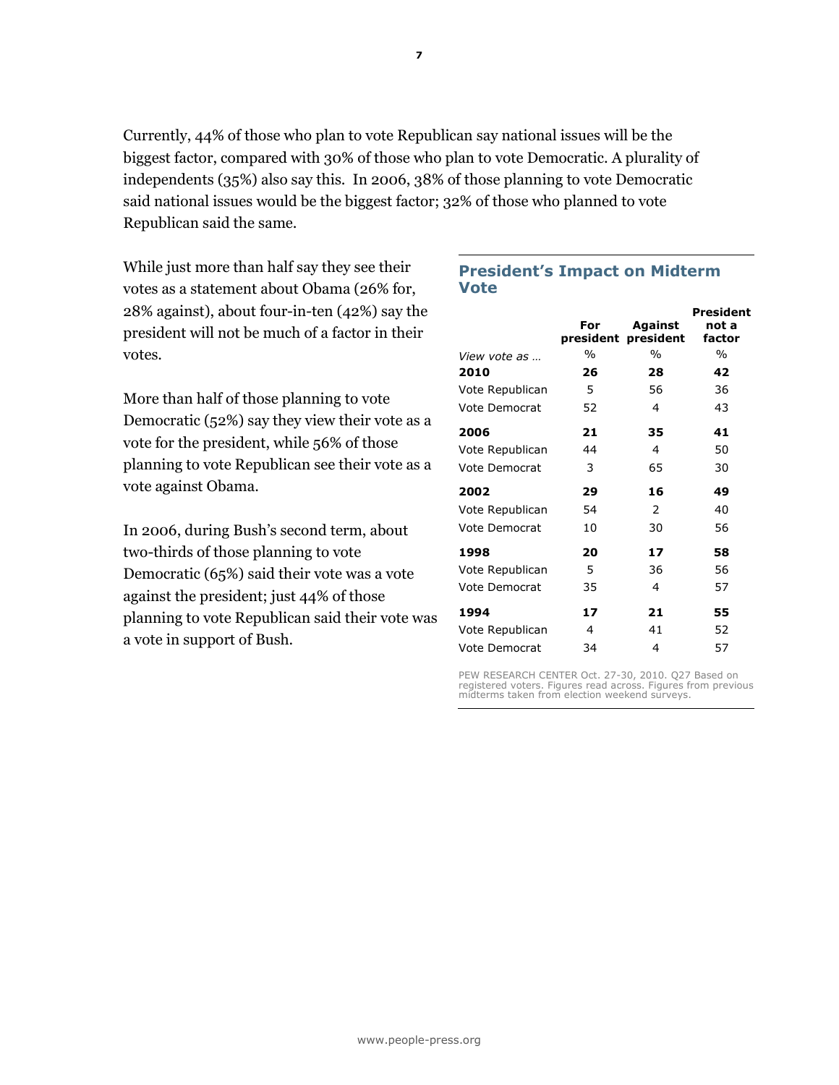Currently, 44% of those who plan to vote Republican say national issues will be the biggest factor, compared with 30% of those who plan to vote Democratic. A plurality of independents (35%) also say this. In 2006, 38% of those planning to vote Democratic said national issues would be the biggest factor; 32% of those who planned to vote Republican said the same.

While just more than half say they see their votes as a statement about Obama (26% for, 28% against), about four-in-ten (42%) say the president will not be much of a factor in their votes.

More than half of those planning to vote Democratic (52%) say they view their vote as a vote for the president, while 56% of those planning to vote Republican see their vote as a vote against Obama.

In 2006, during Bush's second term, about two-thirds of those planning to vote Democratic (65%) said their vote was a vote against the president; just 44% of those planning to vote Republican said their vote was a vote in support of Bush.

# President's Impact on Midterm Vote

|                      |      |                     | President |
|----------------------|------|---------------------|-----------|
|                      | For  | Against             | not a     |
|                      |      | president president | factor    |
| <i>View vote as</i>  | $\%$ | $\frac{0}{0}$       | $\%$      |
| 2010                 | 26   | 28                  | 42        |
| Vote Republican      | 5    | 56                  | 36        |
| Vote Democrat        | 52   | 4                   | 43        |
| 2006                 | 21   | 35                  | 41        |
| Vote Republican      | 44   | 4                   | 50        |
| <b>Vote Democrat</b> | 3    | 65                  | 30        |
| 2002                 | 29   | 16                  | 49        |
| Vote Republican      | 54   | $\mathcal{P}$       | 40        |
| Vote Democrat        | 10   | 30                  | 56        |
| 1998                 | 20   | 17                  | 58        |
| Vote Republican      | 5    | 36                  | 56        |
| Vote Democrat        | 35   | 4                   | 57        |
| 1994                 | 17   | 21                  | 55        |
| Vote Republican      | 4    | 41                  | 52        |
| Vote Democrat        | 34   | 4                   | 57        |

PEW RESEARCH CENTER Oct. 27-30, 2010. Q27 Based on registered voters. Figures read across. Figures from previous midterms taken from election weekend surveys.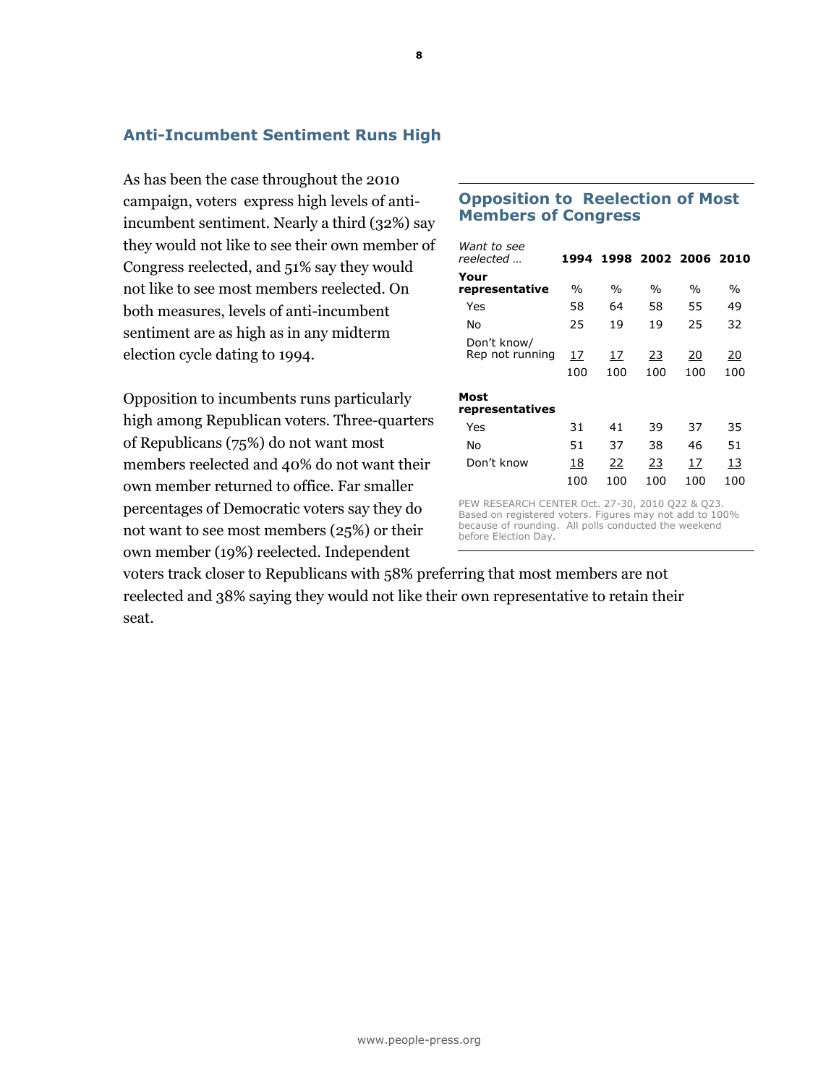# Anti-Incumbent Sentiment Runs High

As has been the case throughout the 2010 campaign, voters express high levels of antiincumbent sentiment. Nearly a third (32%) say they would not like to see their own member of Congress reelected, and 51% say they would not like to see most members reelected. On both measures, levels of anti-incumbent sentiment are as high as in any midterm election cycle dating to 1994.

Opposition to incumbents runs particularly high among Republican voters. Three-quarters of Republicans (75%) do not want most members reelected and 40% do not want their own member returned to office. Far smaller percentages of Democratic voters say they do not want to see most members (25%) or their own member (19%) reelected. Independent

# Opposition to Reelection of Most Members of Congress

| Want to see<br>reelected       | 1994      |           | 1998 2002 2006 2010 |           |           |
|--------------------------------|-----------|-----------|---------------------|-----------|-----------|
| Your<br>representative         | $\%$      | $\%$      | $\%$                | $\%$      | $\%$      |
| Yes                            | 58        | 64        | 58                  | 55        | 49        |
| No                             | 25        | 19        | 19                  | 25        | 32        |
| Don't know/<br>Rep not running | 17<br>100 | 17<br>100 | 23<br>100           | 20<br>100 | 20<br>100 |
| Most<br>representatives        |           |           |                     |           |           |
| Yes                            | 31        | 41        | 39                  | 37        | 35        |
| No                             | 51        | 37        | 38                  | 46        | 51        |
| Don't know                     | 18        | 22        | 23                  | 17        | 13        |
|                                | 100       | 100       | 100                 | 100       | 100       |

PEW RESEARCH CENTER Oct. 27-30, 2010 Q22 & Q23. Based on registered voters. Figures may not add to 100% because of rounding. All polls conducted the weekend before Election Day.

voters track closer to Republicans with 58% preferring that most members are not reelected and 38% saying they would not like their own representative to retain their seat.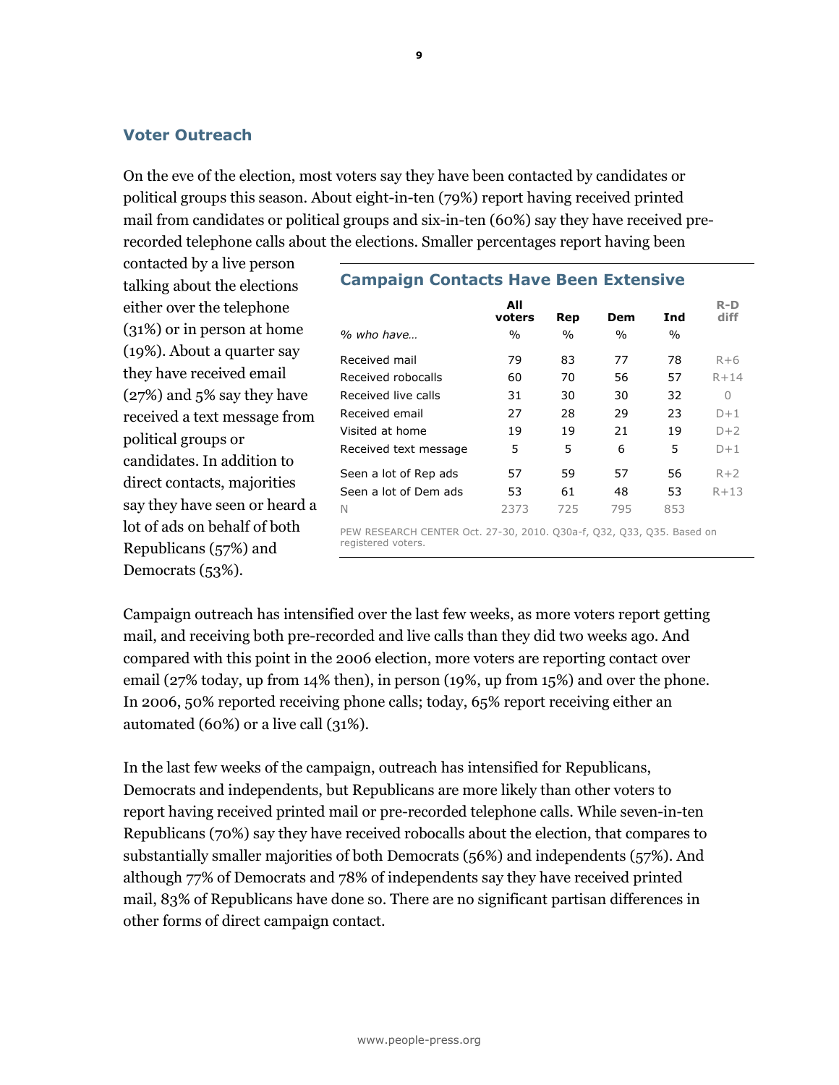# Voter Outreach

On the eve of the election, most voters say they have been contacted by candidates or political groups this season. About eight-in-ten (79%) report having received printed mail from candidates or political groups and six-in-ten (60%) say they have received prerecorded telephone calls about the elections. Smaller percentages report having been

contacted by a live person talking about the elections either over the telephone (31%) or in person at home (19%). About a quarter say they have received email (27%) and 5% say they have received a text message from political groups or candidates. In addition to direct contacts, majorities say they have seen or heard a lot of ads on behalf of both Republicans (57%) and Democrats (53%).

# Campaign Contacts Have Been Extensive All voters Rep Dem Ind R-D diff % who have...  $\frac{1}{2}$  % % % % % % Received mail **79 83 77 78** R+6 Received robocalls  $60$  70 56 57 R+14 Received live calls **31** 30 30 32 0 Received email  $27$   $28$   $29$   $23$   $D+1$ Visited at home  $19$   $19$   $21$   $19$   $D+2$ Received text message  $5 = 5 = 6 = 5$ Seen a lot of Rep ads  $57$  59  $57$  56  $R+2$ Seen a lot of Dem ads 53 61 48 53 R+13 N 2373 725 795 853

PEW RESEARCH CENTER Oct. 27-30, 2010. Q30a-f, Q32, Q33, Q35. Based on registered voters.

Campaign outreach has intensified over the last few weeks, as more voters report getting mail, and receiving both pre-recorded and live calls than they did two weeks ago. And compared with this point in the 2006 election, more voters are reporting contact over email (27% today, up from 14% then), in person (19%, up from 15%) and over the phone. In 2006, 50% reported receiving phone calls; today, 65% report receiving either an automated (60%) or a live call (31%).

In the last few weeks of the campaign, outreach has intensified for Republicans, Democrats and independents, but Republicans are more likely than other voters to report having received printed mail or pre-recorded telephone calls. While seven-in-ten Republicans (70%) say they have received robocalls about the election, that compares to substantially smaller majorities of both Democrats (56%) and independents (57%). And although 77% of Democrats and 78% of independents say they have received printed mail, 83% of Republicans have done so. There are no significant partisan differences in other forms of direct campaign contact.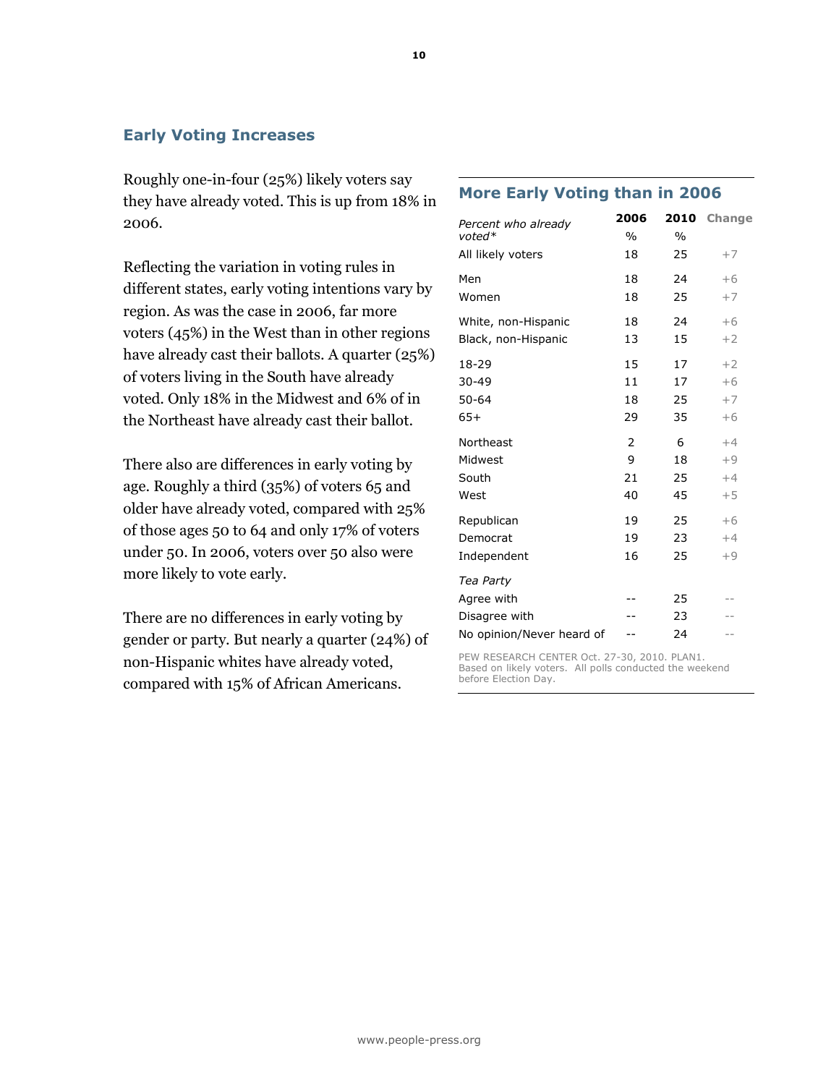# Early Voting Increases

Roughly one-in-four (25%) likely voters say they have already voted. This is up from 18% in 2006.

Reflecting the variation in voting rules in different states, early voting intentions vary by region. As was the case in 2006, far more voters (45%) in the West than in other regions have already cast their ballots. A quarter (25%) of voters living in the South have already voted. Only 18% in the Midwest and 6% of in the Northeast have already cast their ballot.

There also are differences in early voting by age. Roughly a third (35%) of voters 65 and older have already voted, compared with 25% of those ages 50 to 64 and only 17% of voters under 50. In 2006, voters over 50 also were more likely to vote early.

There are no differences in early voting by gender or party. But nearly a quarter (24%) of non-Hispanic whites have already voted, compared with 15% of African Americans.

# More Early Voting than in 2006

| Percent who already<br>voted* | 2006<br>$\frac{0}{0}$ | 2010<br>$\frac{0}{0}$ | Change |
|-------------------------------|-----------------------|-----------------------|--------|
| All likely voters             | 18                    | 25                    | $+7$   |
| Men                           | 18                    | 24                    | $+6$   |
| Women                         | 18                    | 25                    | $+7$   |
| White, non-Hispanic           | 18                    | 24                    | $+6$   |
| Black, non-Hispanic           | 13                    | 15                    | $+2$   |
| 18-29                         | 15                    | 17                    | $+2$   |
| $30 - 49$                     | 11                    | 17                    | $+6$   |
| $50 - 64$                     | 18                    | 25                    | $+7$   |
| $65+$                         | 29                    | 35                    | $+6$   |
| Northeast                     | $\overline{2}$        | 6                     | $+4$   |
| Midwest                       | 9                     | 18                    | $+9$   |
| South                         | 21                    | 25                    | $+4$   |
| West                          | 40                    | 45                    | $+5$   |
| Republican                    | 19                    | 25                    | $+6$   |
| Democrat                      | 19                    | 23                    | $+4$   |
| Independent                   | 16                    | 25                    | $+9$   |
| Tea Party                     |                       |                       |        |
| Agree with                    |                       | 25                    |        |
| Disagree with                 |                       | 23                    |        |
| No opinion/Never heard of     |                       | 24                    | $-$    |

PEW RESEARCH CENTER Oct. 27-30, 2010. PLAN1. Based on likely voters. All polls conducted the weekend before Election Day.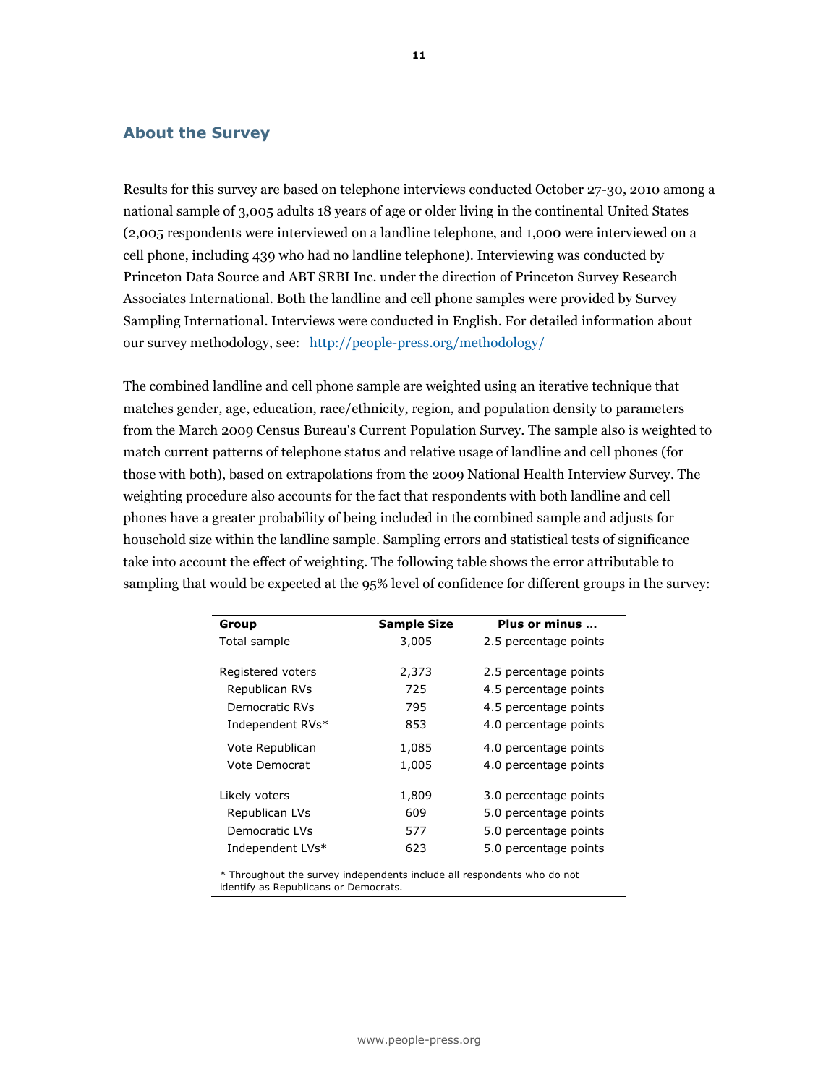# About the Survey

Results for this survey are based on telephone interviews conducted October 27-30, 2010 among a national sample of 3,005 adults 18 years of age or older living in the continental United States (2,005 respondents were interviewed on a landline telephone, and 1,000 were interviewed on a cell phone, including 439 who had no landline telephone). Interviewing was conducted by Princeton Data Source and ABT SRBI Inc. under the direction of Princeton Survey Research Associates International. Both the landline and cell phone samples were provided by Survey Sampling International. Interviews were conducted in English. For detailed information about our survey methodology, see: http://people-press.org/methodology/

The combined landline and cell phone sample are weighted using an iterative technique that matches gender, age, education, race/ethnicity, region, and population density to parameters from the March 2009 Census Bureau's Current Population Survey. The sample also is weighted to match current patterns of telephone status and relative usage of landline and cell phones (for those with both), based on extrapolations from the 2009 National Health Interview Survey. The weighting procedure also accounts for the fact that respondents with both landline and cell phones have a greater probability of being included in the combined sample and adjusts for household size within the landline sample. Sampling errors and statistical tests of significance take into account the effect of weighting. The following table shows the error attributable to sampling that would be expected at the 95% level of confidence for different groups in the survey:

| Group             | <b>Sample Size</b> | Plus or minus         |
|-------------------|--------------------|-----------------------|
| Total sample      | 3,005              | 2.5 percentage points |
|                   |                    |                       |
| Registered voters | 2,373              | 2.5 percentage points |
| Republican RVs    | 725                | 4.5 percentage points |
| Democratic RVs    | 795                | 4.5 percentage points |
| Independent RVs*  | 853                | 4.0 percentage points |
| Vote Republican   | 1,085              | 4.0 percentage points |
| Vote Democrat     | 1,005              | 4.0 percentage points |
|                   |                    |                       |
| Likely voters     | 1,809              | 3.0 percentage points |
| Republican LVs    | 609                | 5.0 percentage points |
| Democratic LVs    | 577                | 5.0 percentage points |
| Independent LVs*  | 623                | 5.0 percentage points |

\* Throughout the survey independents include all respondents who do not identify as Republicans or Democrats.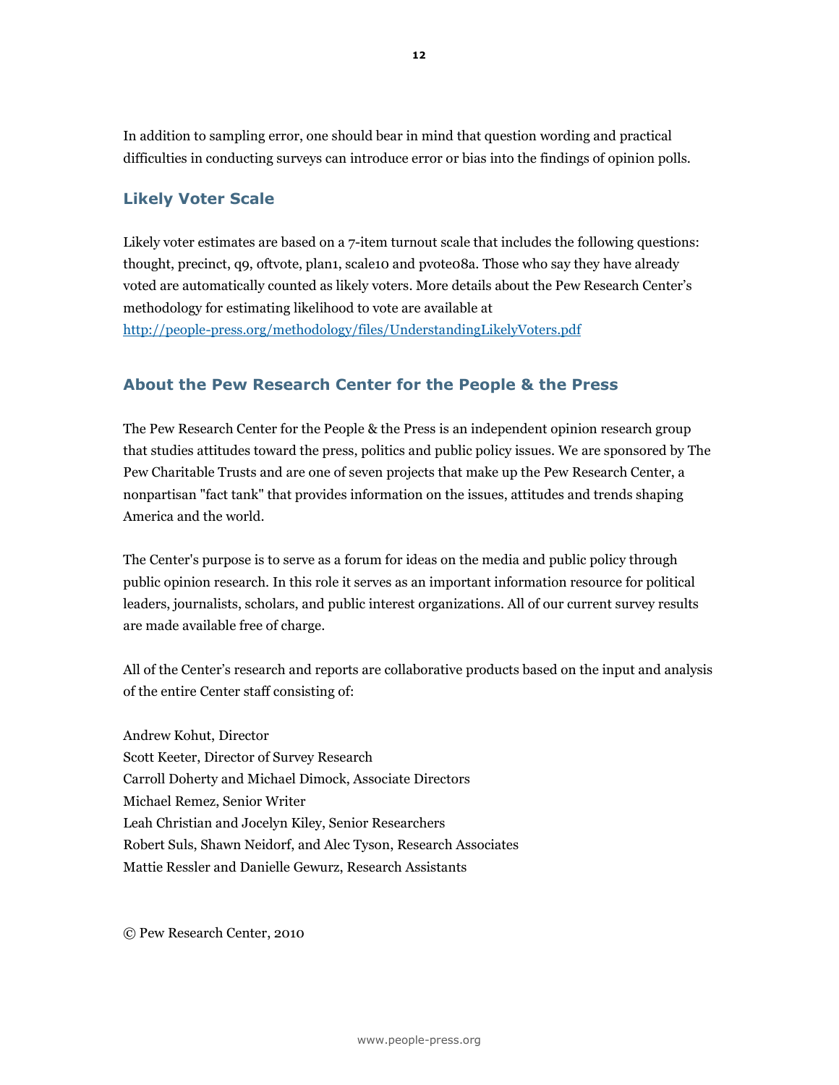In addition to sampling error, one should bear in mind that question wording and practical difficulties in conducting surveys can introduce error or bias into the findings of opinion polls.

# Likely Voter Scale

Likely voter estimates are based on a 7-item turnout scale that includes the following questions: thought, precinct, q9, oftvote, plan1, scale10 and pvote08a. Those who say they have already voted are automatically counted as likely voters. More details about the Pew Research Center's methodology for estimating likelihood to vote are available at http://people-press.org/methodology/files/UnderstandingLikelyVoters.pdf

# About the Pew Research Center for the People & the Press

The Pew Research Center for the People & the Press is an independent opinion research group that studies attitudes toward the press, politics and public policy issues. We are sponsored by The Pew Charitable Trusts and are one of seven projects that make up the Pew Research Center, a nonpartisan "fact tank" that provides information on the issues, attitudes and trends shaping America and the world.

The Center's purpose is to serve as a forum for ideas on the media and public policy through public opinion research. In this role it serves as an important information resource for political leaders, journalists, scholars, and public interest organizations. All of our current survey results are made available free of charge.

All of the Center's research and reports are collaborative products based on the input and analysis of the entire Center staff consisting of:

Andrew Kohut, Director Scott Keeter, Director of Survey Research Carroll Doherty and Michael Dimock, Associate Directors Michael Remez, Senior Writer Leah Christian and Jocelyn Kiley, Senior Researchers Robert Suls, Shawn Neidorf, and Alec Tyson, Research Associates Mattie Ressler and Danielle Gewurz, Research Assistants

© Pew Research Center, 2010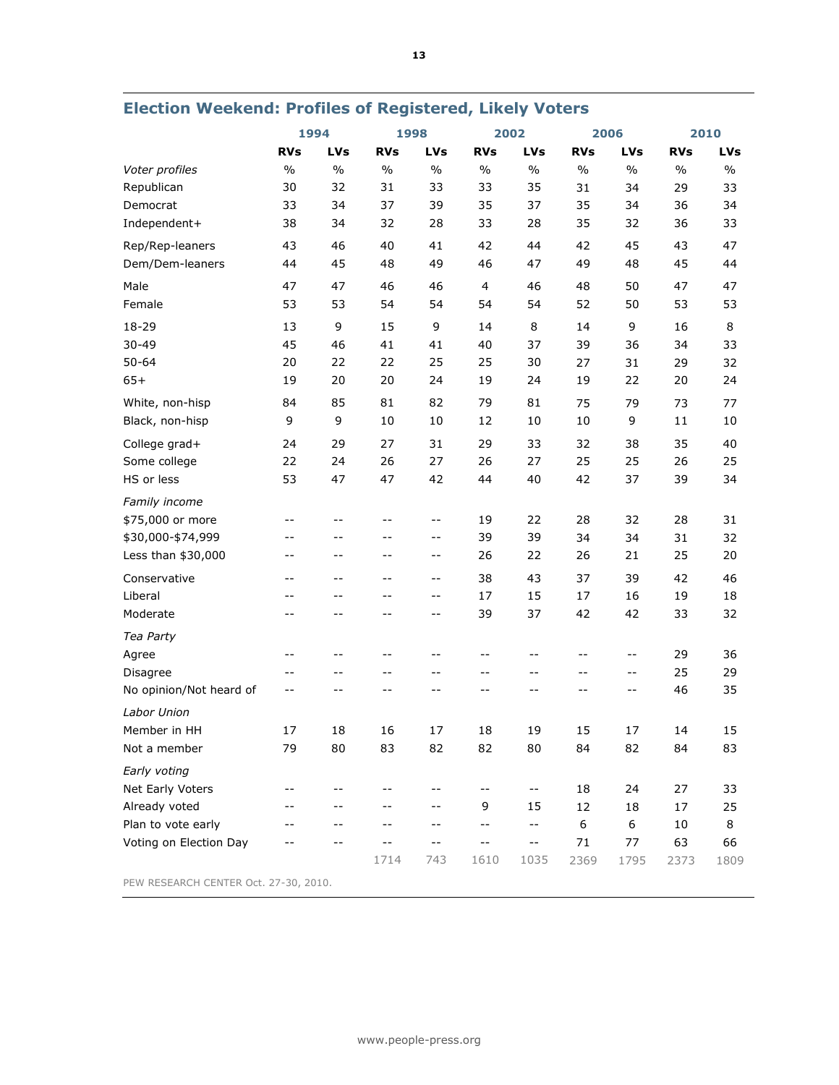|                                       |            | 1994          |               | 1998                     |                          | 2002                       |                  | 2006        |            | 2010          |
|---------------------------------------|------------|---------------|---------------|--------------------------|--------------------------|----------------------------|------------------|-------------|------------|---------------|
|                                       | <b>RVs</b> | LVs           | <b>RVs</b>    | <b>LVs</b>               | <b>RVs</b>               | <b>LVs</b>                 | <b>RVs</b>       | LVs         | <b>RVs</b> | LVs           |
| Voter profiles                        | $\%$       | $\frac{0}{0}$ | $\frac{0}{0}$ | $\frac{0}{0}$            | $\frac{0}{0}$            | $\%$                       | $\frac{0}{0}$    | $\%$        | $\%$       | $\frac{0}{0}$ |
| Republican                            | 30         | 32            | 31            | 33                       | 33                       | 35                         | 31               | 34          | 29         | 33            |
| Democrat                              | 33         | 34            | 37            | 39                       | 35                       | 37                         | 35               | 34          | 36         | 34            |
| Independent+                          | 38         | 34            | 32            | 28                       | 33                       | 28                         | 35               | 32          | 36         | 33            |
| Rep/Rep-leaners                       | 43         | 46            | 40            | 41                       | 42                       | 44                         | 42               | 45          | 43         | 47            |
| Dem/Dem-leaners                       | 44         | 45            | 48            | 49                       | 46                       | 47                         | 49               | 48          | 45         | 44            |
| Male                                  | 47         | 47            | 46            | 46                       | 4                        | 46                         | 48               | 50          | 47         | 47            |
| Female                                | 53         | 53            | 54            | 54                       | 54                       | 54                         | 52               | 50          | 53         | 53            |
| 18-29                                 | 13         | 9             | 15            | 9                        | 14                       | 8                          | 14               | 9           | 16         | 8             |
| 30-49                                 | 45         | 46            | 41            | 41                       | 40                       | 37                         | 39               | 36          | 34         | 33            |
| $50 - 64$                             | 20         | 22            | 22            | 25                       | 25                       | 30                         | 27               | 31          | 29         | 32            |
| $65+$                                 | 19         | 20            | 20            | 24                       | 19                       | 24                         | 19               | 22          | 20         | 24            |
| White, non-hisp                       | 84         | 85            | 81            | 82                       | 79                       | 81                         | 75               | 79          | 73         | 77            |
| Black, non-hisp                       | 9          | 9             | 10            | $10\,$                   | 12                       | $10\,$                     | $10\,$           | 9           | 11         | 10            |
| College grad+                         | 24         | 29            | 27            | 31                       | 29                       | 33                         | 32               | 38          | 35         | 40            |
| Some college                          | 22         | 24            | 26            | 27                       | 26                       | 27                         | 25               | 25          | 26         | 25            |
| HS or less                            | 53         | 47            | 47            | 42                       | 44                       | 40                         | 42               | 37          | 39         | 34            |
| Family income                         |            |               |               |                          |                          |                            |                  |             |            |               |
| \$75,000 or more                      | --         | $-$           | $ -$          | $ -$                     | 19                       | 22                         | 28               | 32          | 28         | 31            |
| \$30,000-\$74,999                     | --         | --            | --            | $-$                      | 39                       | 39                         | 34               | 34          | 31         | 32            |
| Less than \$30,000                    | --         | --            | --            | $-$                      | 26                       | 22                         | 26               | 21          | 25         | 20            |
| Conservative                          | --         | $- -$         | $-$           | $- -$                    | 38                       | 43                         | 37               | 39          | 42         | 46            |
| Liberal                               | $-$        | $- -$         | $-$           | $\overline{\phantom{a}}$ | 17                       | 15                         | 17               | 16          | 19         | 18            |
| Moderate                              | --         | --            | --            | $-$                      | 39                       | 37                         | 42               | 42          | 33         | 32            |
| Tea Party                             |            |               |               |                          |                          |                            |                  |             |            |               |
| Agree                                 | --         | --            | --            | $-$                      | $- -$                    | $-$                        | $-$              | $- -$       | 29         | 36            |
| Disagree                              | --         | --            | --            | --                       | $- -$                    | --                         | --               | $\pm$ $\pm$ | 25         | 29            |
| No opinion/Not heard of               | $-$        | --            | --            | $-$                      | $- -$                    | $- -$                      | $-$              | $\sim$ $-$  | 46         | 35            |
| Labor Union                           |            |               |               |                          |                          |                            |                  |             |            |               |
| Member in HH                          | 17         | 18            | 16            | 17                       | 18                       | 19                         | 15               | 17          | 14         | 15            |
| Not a member                          | 79         | 80            | 83            | 82                       | 82                       | 80                         | 84               | 82          | 84         | 83            |
| Early voting                          |            |               |               |                          |                          |                            |                  |             |            |               |
| Net Early Voters                      | $-$        | $-$           | --            | $-$                      | $\overline{\phantom{m}}$ | $- \, -$                   | 18               | 24          | 27         | 33            |
| Already voted                         | --         | --            | --            | --                       | 9                        | 15                         | 12               | 18          | 17         | 25            |
| Plan to vote early                    |            | --            | $- -$         | $- -$                    | $\overline{\phantom{m}}$ | $\overline{\phantom{m}}$ . | $\boldsymbol{6}$ | 6           | $10\,$     | 8             |
| Voting on Election Day                |            | $-$           |               | $-$                      | $\sim$ $-$               | $\overline{\phantom{a}}$ . | 71               | 77          | 63         | 66            |
|                                       |            |               | 1714          | 743                      | 1610                     | 1035                       | 2369             | 1795        | 2373       | 1809          |
| PEW RESEARCH CENTER Oct. 27-30, 2010. |            |               |               |                          |                          |                            |                  |             |            |               |

# Election Weekend: Profiles of Registered, Likely Voters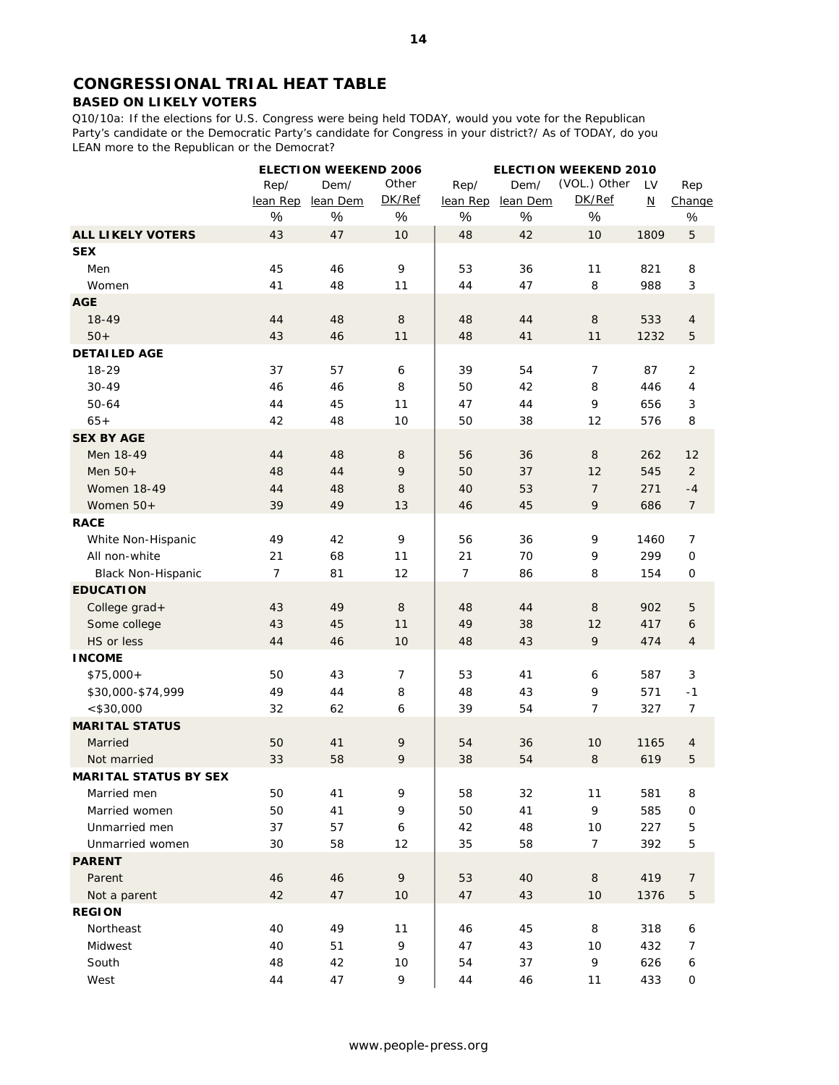# **CONGRESSIONAL TRIAL HEAT TABLE**

# **BASED ON LIKELY VOTERS**

Q10/10a: If the elections for U.S. Congress were being held TODAY, would you vote for the Republican Party's candidate or the Democratic Party's candidate for Congress in your district?/ As of TODAY, do you LEAN more to the Republican or the Democrat?

|                              |                | <b>ELECTION WEEKEND 2006</b> |                  | <b>ELECTION WEEKEND 2010</b> |          |                |                          |                |
|------------------------------|----------------|------------------------------|------------------|------------------------------|----------|----------------|--------------------------|----------------|
|                              | Rep/           | Dem/                         | Other            | Rep/                         | Dem/     | (VOL.) Other   | LV                       | Rep            |
|                              | lean Rep       | lean Dem                     | DK/Ref           | lean Rep                     | lean Dem | DK/Ref         | $\underline{\mathsf{N}}$ | Change         |
|                              | $\%$           | $\%$                         | $\%$             | %                            | $\%$     | $\%$           |                          | $\%$           |
| <b>ALL LIKELY VOTERS</b>     | 43             | 47                           | 10               | 48                           | 42       | 10             | 1809                     | $\mathbf 5$    |
| <b>SEX</b>                   |                |                              |                  |                              |          |                |                          |                |
| Men                          | 45             | 46                           | 9                | 53                           | 36       | 11             | 821                      | 8              |
| Women                        | 41             | 48                           | 11               | 44                           | 47       | 8              | 988                      | 3              |
| <b>AGE</b>                   |                |                              |                  |                              |          |                |                          |                |
| $18 - 49$                    | 44             | 48                           | $\,8\,$          | 48                           | 44       | 8              | 533                      | $\overline{4}$ |
| $50+$                        | 43             | 46                           | 11               | 48                           | 41       | 11             | 1232                     | 5              |
| <b>DETAILED AGE</b>          |                |                              |                  |                              |          |                |                          |                |
| 18-29                        | 37             | 57                           | 6                | 39                           | 54       | 7              | 87                       | 2              |
| $30 - 49$                    | 46             | 46                           | 8                | 50                           | 42       | 8              | 446                      | 4              |
| 50-64                        | 44             | 45                           | 11               | 47                           | 44       | 9              | 656                      | 3              |
| $65+$                        | 42             | 48                           | 10               | 50                           | 38       | 12             | 576                      | 8              |
| <b>SEX BY AGE</b>            |                |                              |                  |                              |          |                |                          |                |
| Men 18-49                    | 44             | 48                           | 8                | 56                           | 36       | 8              | 262                      | 12             |
| Men $50+$                    | 48             | 44                           | 9                | 50                           | 37       | 12             | 545                      | $\overline{2}$ |
| <b>Women 18-49</b>           | 44             | 48                           | 8                | 40                           | 53       | $\overline{7}$ | 271                      | $-4$           |
| Women 50+                    | 39             | 49                           | 13               | 46                           | 45       | 9              | 686                      | $\overline{7}$ |
| <b>RACE</b>                  |                |                              |                  |                              |          |                |                          |                |
| White Non-Hispanic           | 49             | 42                           | 9                | 56                           | 36       | 9              | 1460                     | $\overline{7}$ |
| All non-white                | 21             | 68                           | 11               | 21                           | 70       | 9              | 299                      | $\mathsf{O}$   |
| <b>Black Non-Hispanic</b>    | $\overline{7}$ | 81                           | 12               | $\overline{7}$               | 86       | 8              | 154                      | 0              |
| <b>EDUCATION</b>             |                |                              |                  |                              |          |                |                          |                |
| College grad+                | 43             | 49                           | $\,8\,$          | 48                           | 44       | 8              | 902                      | 5              |
| Some college                 | 43             | 45                           | 11               | 49                           | 38       | 12             | 417                      | 6              |
| HS or less                   | 44             | 46                           | 10               | 48                           | 43       | 9              | 474                      | $\overline{4}$ |
| <b>INCOME</b>                |                |                              |                  |                              |          |                |                          |                |
| $$75,000+$                   | 50             | 43                           | $\overline{7}$   | 53                           | 41       | 6              | 587                      | 3              |
| \$30,000-\$74,999            | 49             | 44                           | 8                | 48                           | 43       | 9              | 571                      | $-1$           |
| $<$ \$30,000                 | 32             | 62                           | 6                | 39                           | 54       | 7              | 327                      | 7              |
| <b>MARITAL STATUS</b>        |                |                              |                  |                              |          |                |                          |                |
| Married                      | 50             | 41                           | 9                | 54                           | 36       | 10             | 1165                     | $\overline{4}$ |
| Not married                  | 33             | 58                           | 9                | 38                           | 54       | $\,8\,$        | 619                      | 5              |
| <b>MARITAL STATUS BY SEX</b> |                |                              |                  |                              |          |                |                          |                |
| Married men                  | 50             | 41                           | 9                | 58                           | 32       | 11             | 581                      | 8              |
| Married women                | 50             | 41                           | 9                | 50                           | 41       | 9              | 585                      | 0              |
| Unmarried men                | 37             | 57                           | $\boldsymbol{6}$ | 42                           | 48       | 10             | 227                      | 5              |
| Unmarried women              | 30             | 58                           | 12               | 35                           | 58       | 7              | 392                      | 5              |
| <b>PARENT</b>                |                |                              |                  |                              |          |                |                          |                |
| Parent                       | 46             | 46                           | 9                | 53                           | 40       | $\, 8$         | 419                      | 7              |
| Not a parent                 | 42             | 47                           | 10               | 47                           | 43       | 10             | 1376                     | 5              |
| <b>REGION</b>                |                |                              |                  |                              |          |                |                          |                |
| Northeast                    | 40             | 49                           | 11               | 46                           | 45       | 8              | 318                      | 6              |
| Midwest                      | 40             | 51                           | 9                | 47                           | 43       | 10             | 432                      | 7              |
| South                        | 48             | 42                           | 10               | 54                           | 37       | 9              | 626                      | 6              |
| West                         | 44             | 47                           | 9                | 44                           | 46       | 11             | 433                      | 0              |
|                              |                |                              |                  |                              |          |                |                          |                |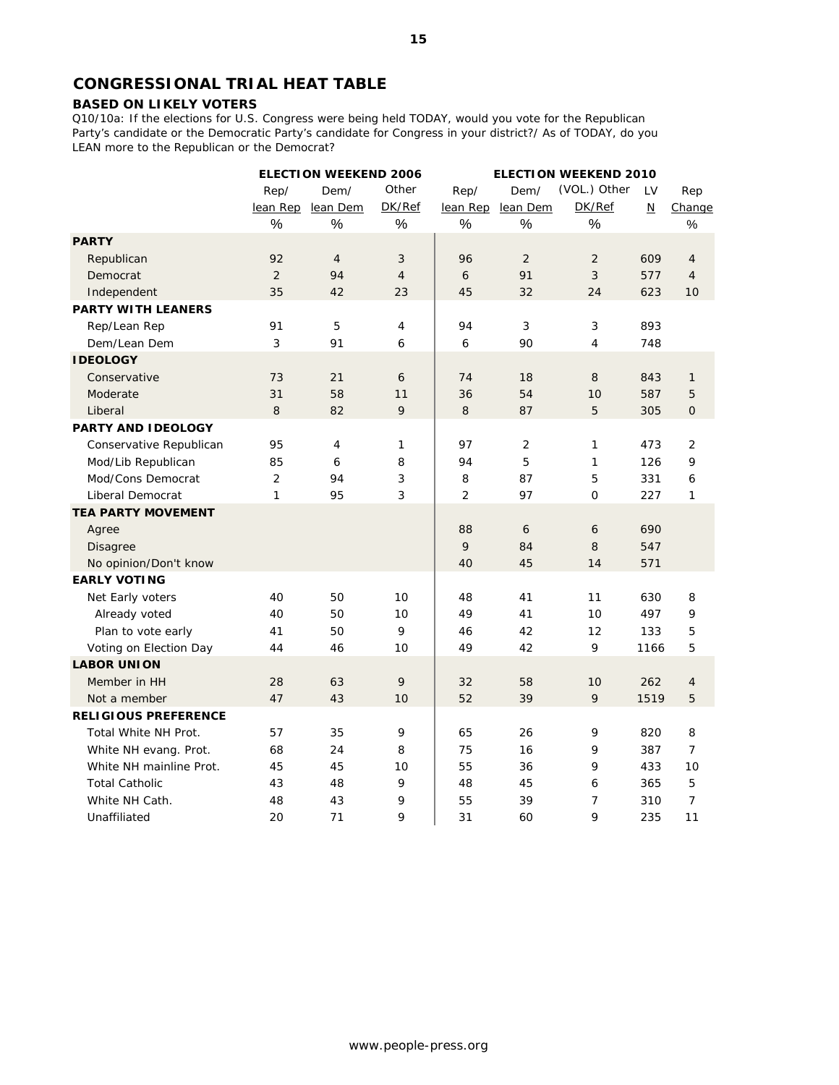# **CONGRESSIONAL TRIAL HEAT TABLE**

# **BASED ON LIKELY VOTERS**

Q10/10a: If the elections for U.S. Congress were being held TODAY, would you vote for the Republican Party's candidate or the Democratic Party's candidate for Congress in your district?/ As of TODAY, do you LEAN more to the Republican or the Democrat?

|                             |          | <b>ELECTION WEEKEND 2006</b> |                | <b>ELECTION WEEKEND 2010</b> |                |                |                          |                |
|-----------------------------|----------|------------------------------|----------------|------------------------------|----------------|----------------|--------------------------|----------------|
|                             | Rep/     | Dem/                         | Other          | Rep/                         | Dem/           | (VOL.) Other   | LV                       | Rep            |
|                             | lean Rep | lean Dem                     | DK/Ref         | lean Rep                     | lean Dem       | DK/Ref         | $\underline{\mathsf{N}}$ | Change         |
|                             | %        | $\%$                         | $\%$           | $\%$                         | $\frac{0}{0}$  | $\%$           |                          | $\%$           |
| <b>PARTY</b>                |          |                              |                |                              |                |                |                          |                |
| Republican                  | 92       | $\overline{4}$               | 3              | 96                           | 2              | 2              | 609                      | $\overline{4}$ |
| Democrat                    | 2        | 94                           | $\overline{4}$ | 6                            | 91             | 3              | 577                      | 4              |
| Independent                 | 35       | 42                           | 23             | 45                           | 32             | 24             | 623                      | 10             |
| <b>PARTY WITH LEANERS</b>   |          |                              |                |                              |                |                |                          |                |
| Rep/Lean Rep                | 91       | 5                            | 4              | 94                           | 3              | 3              | 893                      |                |
| Dem/Lean Dem                | 3        | 91                           | 6              | 6                            | 90             | $\overline{4}$ | 748                      |                |
| <b>IDEOLOGY</b>             |          |                              |                |                              |                |                |                          |                |
| Conservative                | 73       | 21                           | 6              | 74                           | 18             | 8              | 843                      | $\mathbf{1}$   |
| Moderate                    | 31       | 58                           | 11             | 36                           | 54             | 10             | 587                      | 5              |
| Liberal                     | $\,8\,$  | 82                           | 9              | $\,8\,$                      | 87             | 5              | 305                      | $\mathbf{O}$   |
| <b>PARTY AND IDEOLOGY</b>   |          |                              |                |                              |                |                |                          |                |
| Conservative Republican     | 95       | $\overline{4}$               | 1              | 97                           | $\overline{2}$ | $\mathbf{1}$   | 473                      | 2              |
| Mod/Lib Republican          | 85       | 6                            | 8              | 94                           | 5              | $\mathbf{1}$   | 126                      | 9              |
| Mod/Cons Democrat           | 2        | 94                           | 3              | 8                            | 87             | 5              | 331                      | 6              |
| <b>Liberal Democrat</b>     | 1        | 95                           | 3              | 2                            | 97             | $\mathbf{O}$   | 227                      | 1              |
| <b>TEA PARTY MOVEMENT</b>   |          |                              |                |                              |                |                |                          |                |
| Agree                       |          |                              |                | 88                           | 6              | 6              | 690                      |                |
| <b>Disagree</b>             |          |                              |                | 9                            | 84             | 8              | 547                      |                |
| No opinion/Don't know       |          |                              |                | 40                           | 45             | 14             | 571                      |                |
| <b>EARLY VOTING</b>         |          |                              |                |                              |                |                |                          |                |
| Net Early voters            | 40       | 50                           | 10             | 48                           | 41             | 11             | 630                      | 8              |
| Already voted               | 40       | 50                           | 10             | 49                           | 41             | 10             | 497                      | 9              |
| Plan to vote early          | 41       | 50                           | 9              | 46                           | 42             | 12             | 133                      | 5              |
| Voting on Election Day      | 44       | 46                           | 10             | 49                           | 42             | 9              | 1166                     | 5              |
| <b>LABOR UNION</b>          |          |                              |                |                              |                |                |                          |                |
| Member in HH                | 28       | 63                           | 9              | 32                           | 58             | 10             | 262                      | $\overline{4}$ |
| Not a member                | 47       | 43                           | 10             | 52                           | 39             | 9              | 1519                     | 5              |
| <b>RELIGIOUS PREFERENCE</b> |          |                              |                |                              |                |                |                          |                |
| Total White NH Prot.        | 57       | 35                           | 9              | 65                           | 26             | 9              | 820                      | 8              |
| White NH evang. Prot.       | 68       | 24                           | 8              | 75                           | 16             | 9              | 387                      | $\overline{7}$ |
| White NH mainline Prot.     | 45       | 45                           | 10             | 55                           | 36             | 9              | 433                      | 10             |
| <b>Total Catholic</b>       | 43       | 48                           | 9              | 48                           | 45             | 6              | 365                      | 5              |
| White NH Cath.              | 48       | 43                           | 9              | 55                           | 39             | $\overline{7}$ | 310                      | $\overline{7}$ |
| Unaffiliated                | 20       | 71                           | 9              | 31                           | 60             | 9              | 235                      | 11             |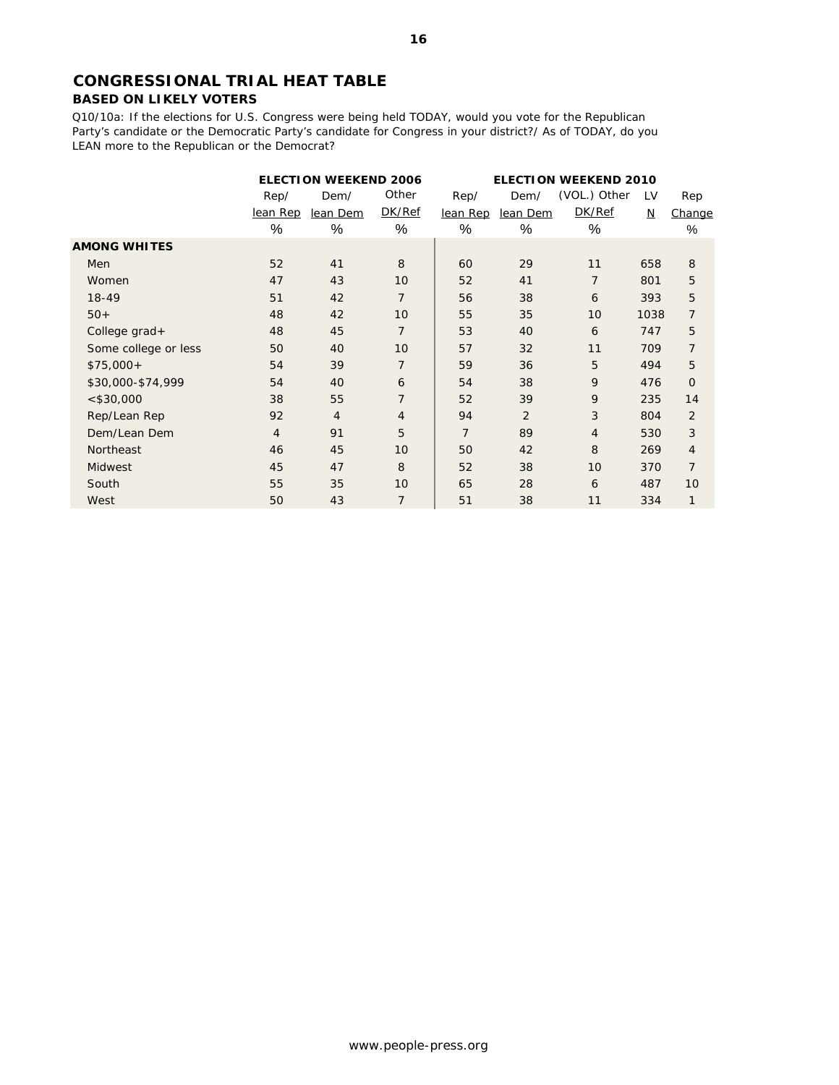# **CONGRESSIONAL TRIAL HEAT TABLE BASED ON LIKELY VOTERS**

Q10/10a: If the elections for U.S. Congress were being held TODAY, would you vote for the Republican Party's candidate or the Democratic Party's candidate for Congress in your district?/ As of TODAY, do you LEAN more to the Republican or the Democrat?

|                      |                | <b>ELECTION WEEKEND 2006</b><br><b>ELECTION WEEKEND 2010</b> |                |                |          |                |      |                |
|----------------------|----------------|--------------------------------------------------------------|----------------|----------------|----------|----------------|------|----------------|
|                      | Rep/           | Dem/                                                         | Other          | Rep/           | Dem/     | (VOL.) Other   | LV   | Rep            |
|                      | lean Rep       | lean Dem                                                     | DK/Ref         | lean Rep       | lean Dem | DK/Ref         | N    | Change         |
|                      | %              | %                                                            | $\%$           | %              | %        | %              |      | $\%$           |
| <b>AMONG WHITES</b>  |                |                                                              |                |                |          |                |      |                |
| <b>Men</b>           | 52             | 41                                                           | 8              | 60             | 29       | 11             | 658  | 8              |
| Women                | 47             | 43                                                           | 10             | 52             | 41       | $\overline{7}$ | 801  | 5              |
| $18-49$              | 51             | 42                                                           | $\overline{7}$ | 56             | 38       | 6              | 393  | 5              |
| $50+$                | 48             | 42                                                           | 10             | 55             | 35       | 10             | 1038 | $\overline{7}$ |
| College grad+        | 48             | 45                                                           | $\overline{7}$ | 53             | 40       | 6              | 747  | 5              |
| Some college or less | 50             | 40                                                           | 10             | 57             | 32       | 11             | 709  | $\overline{7}$ |
| $$75,000+$           | 54             | 39                                                           | $\overline{7}$ | 59             | 36       | 5              | 494  | 5              |
| \$30,000-\$74,999    | 54             | 40                                                           | 6              | 54             | 38       | 9              | 476  | 0              |
| $<$ \$30,000         | 38             | 55                                                           | $\overline{7}$ | 52             | 39       | 9              | 235  | 14             |
| Rep/Lean Rep         | 92             | $\overline{4}$                                               | $\overline{4}$ | 94             | 2        | 3              | 804  | $\overline{2}$ |
| Dem/Lean Dem         | $\overline{4}$ | 91                                                           | 5              | $\overline{7}$ | 89       | $\overline{4}$ | 530  | 3              |
| Northeast            | 46             | 45                                                           | 10             | 50             | 42       | 8              | 269  | 4              |
| <b>Midwest</b>       | 45             | 47                                                           | 8              | 52             | 38       | 10             | 370  | $\overline{7}$ |
| South                | 55             | 35                                                           | 10             | 65             | 28       | 6              | 487  | 10             |
| West                 | 50             | 43                                                           | $\overline{7}$ | 51             | 38       | 11             | 334  | 1              |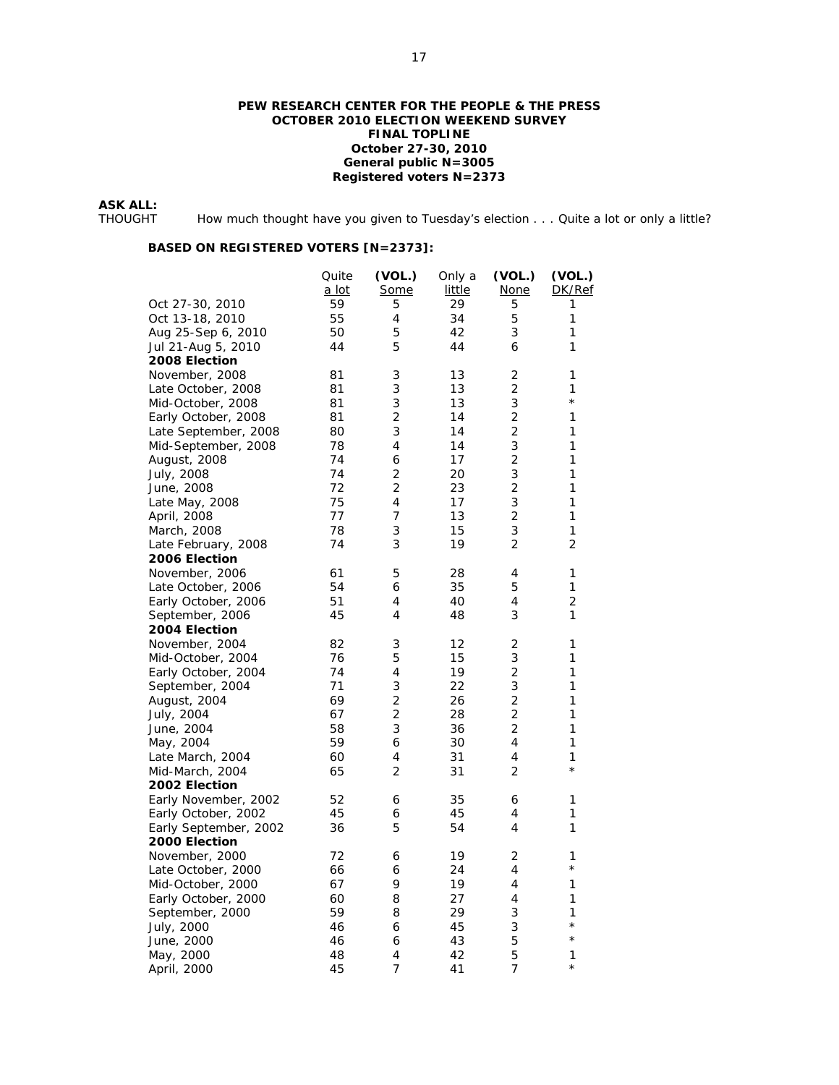### **PEW RESEARCH CENTER FOR THE PEOPLE & THE PRESS OCTOBER 2010 ELECTION WEEKEND SURVEY FINAL TOPLINE October 27-30, 2010 General public N=3005 Registered voters N=2373**

**ASK ALL:** 

How much thought have you given to Tuesday's election . . . Quite a lot or only a little?

|                       | Quite<br>a lot | (VOL.)<br><b>Some</b> | Only a<br>little | (VOL.)<br><u>None</u> | (VOL.)<br>DK/Ref |
|-----------------------|----------------|-----------------------|------------------|-----------------------|------------------|
| Oct 27-30, 2010       | 59             | 5                     | 29               | 5                     | 1                |
| Oct 13-18, 2010       | 55             | 4                     | 34               | 5                     | 1                |
| Aug 25-Sep 6, 2010    | 50             | 5                     | 42               | 3                     | 1                |
| Jul 21-Aug 5, 2010    | 44             | 5                     | 44               | 6                     | 1                |
| 2008 Election         |                |                       |                  |                       |                  |
| November, 2008        | 81             | 3                     | 13               | 2                     | 1                |
| Late October, 2008    | 81             | 3                     | 13               | 2                     | 1                |
| Mid-October, 2008     | 81             | 3                     | 13               | 3                     | $^{\star}$       |
| Early October, 2008   | 81             | $\overline{2}$        | 14               | 2                     | 1                |
| Late September, 2008  | 80             | 3                     | 14               | 2                     | 1                |
| Mid-September, 2008   | 78             | 4                     | 14               | 3                     | 1                |
| August, 2008          | 74             | 6                     | 17               | 2                     | 1                |
| July, 2008            | 74             | $\overline{2}$        | 20               | 3                     | 1                |
| June, 2008            | 72             | $\overline{2}$        | 23               | 2                     | 1                |
| Late May, 2008        | 75             | 4                     | 17               | 3                     | 1                |
| April, 2008           | 77             | 7                     | 13               | 2                     | 1                |
| March, 2008           | 78             | 3                     | 15               | 3                     | 1                |
| Late February, 2008   | 74             | 3                     | 19               | 2                     | 2                |
| 2006 Election         |                |                       |                  |                       |                  |
| November, 2006        | 61             | 5                     | 28               | 4                     | 1                |
| Late October, 2006    | 54             | 6                     | 35               | 5                     | 1                |
| Early October, 2006   | 51             | 4                     | 40               | 4                     | 2                |
| September, 2006       | 45             | 4                     | 48               | 3                     | 1                |
| 2004 Election         |                |                       |                  |                       |                  |
| November, 2004        | 82             | 3                     | 12               | 2                     | 1                |
| Mid-October, 2004     | 76             | 5                     | 15               | 3                     | 1                |
| Early October, 2004   | 74             | 4                     | 19               | $\overline{2}$        | 1                |
| September, 2004       | 71             | 3                     | 22               | 3                     | 1                |
| August, 2004          | 69             | $\overline{c}$        | 26               | $\overline{c}$        | 1                |
| July, 2004            | 67             | 2                     | 28               | 2                     | 1                |
| June, 2004            | 58             | 3                     | 36               | 2                     | 1                |
| May, 2004             | 59             | 6                     | 30               | 4                     | 1                |
| Late March, 2004      | 60             | 4                     | 31               | 4                     | 1                |
| Mid-March, 2004       | 65             | 2                     | 31               | 2                     | $\star$          |
| 2002 Election         |                |                       |                  |                       |                  |
| Early November, 2002  | 52             | 6                     | 35               | 6                     | 1                |
| Early October, 2002   | 45             | 6                     | 45               | 4                     | 1                |
| Early September, 2002 | 36             | 5                     | 54               | 4                     | 1                |
| 2000 Election         |                |                       |                  |                       |                  |
| November, 2000        | 72             | 6                     | 19               | 2                     | 1                |
| Late October, 2000    | 66             | 6                     | 24               | 4                     | $^\star$         |
| Mid-October, 2000     | 67             | 9                     | 19               | 4                     | 1                |
| Early October, 2000   | 60             | 8                     | 27               | 4                     | 1                |
|                       | 59             | 8                     | 29               | 3                     | 1                |
| September, 2000       | 46             |                       | 45               | 3                     | $^{\star}$       |
| July, 2000            | 46             | 6<br>6                | 43               | 5                     | $^{\star}$       |
| June, 2000            |                |                       |                  |                       |                  |
| May, 2000             | 48             | 4<br>7                | 42               | 5                     | 1<br>$^{\star}$  |
| April, 2000           | 45             |                       | 41               | 7                     |                  |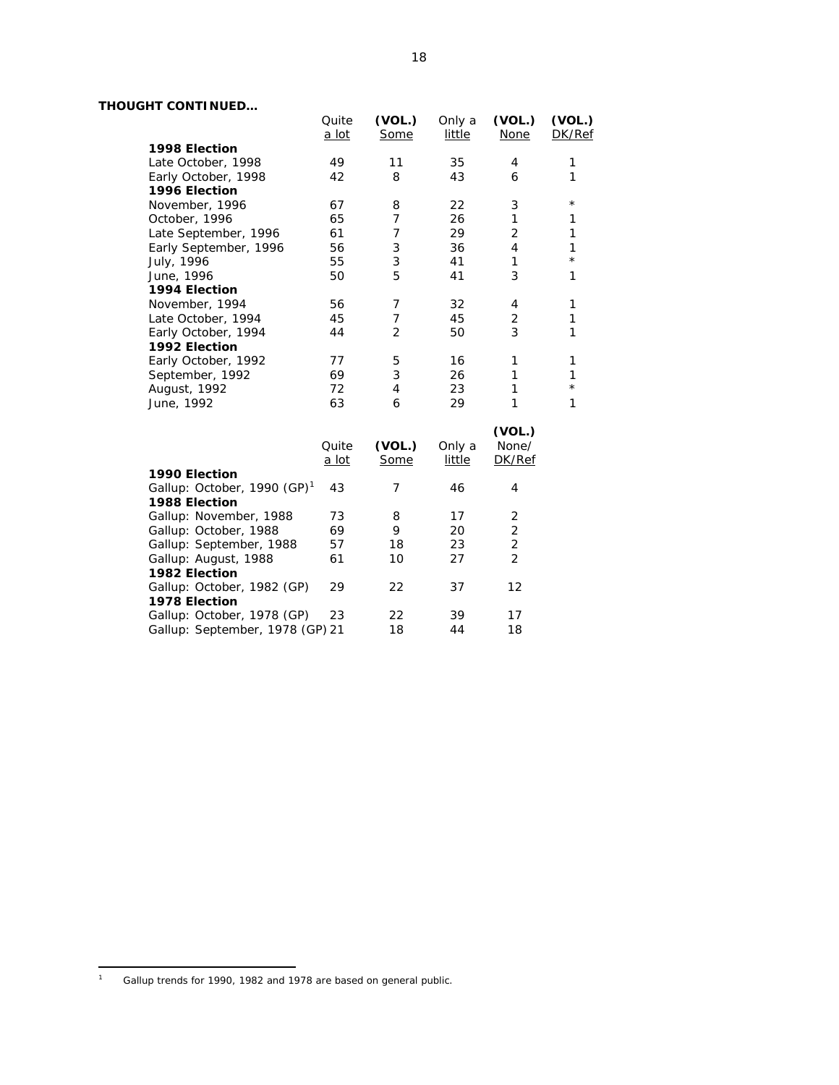# **THOUGHT CONTINUED…**

| THOUGHT CONTINUED                       |              |                |        |                |              |
|-----------------------------------------|--------------|----------------|--------|----------------|--------------|
|                                         | Quite        | (VOL.)         | Only a | (VOL.)         | (VOL.)       |
|                                         | a lot        | Some           | little | <b>None</b>    | DK/Ref       |
| 1998 Election                           |              |                |        |                |              |
| Late October, 1998                      | 49           | 11             | 35     | 4              | 1            |
| Early October, 1998                     | 42           | 8              | 43     | 6              | 1            |
| 1996 Election                           |              |                |        |                |              |
| November, 1996                          | 67           | 8              | 22     | 3              | $^\star$     |
| October, 1996                           | 65           | 7              | 26     | $\mathbf{1}$   | 1            |
| Late September, 1996                    | 61           | 7              | 29     | $\overline{2}$ | 1            |
| Early September, 1996                   | 56           | 3              | 36     | $\overline{4}$ | $\mathbf{1}$ |
| July, 1996                              | 55           | 3              | 41     | 1              | $^{\star}$   |
| June, 1996                              | 50           | 5              | 41     | 3              | 1            |
| 1994 Election                           |              |                |        |                |              |
| November, 1994                          | 56           | 7              | 32     | 4              | 1            |
| Late October, 1994                      | 45           | $\overline{7}$ | 45     | 2              | 1            |
| Early October, 1994                     | 44           | 2              | 50     | 3              | $\mathbf{1}$ |
| 1992 Election                           |              |                |        |                |              |
| Early October, 1992                     | 77           | 5              | 16     | 1              | 1            |
| September, 1992                         | 69           | 3              | 26     | 1              | $\mathbf{1}$ |
| August, 1992                            | 72           | 4              | 23     | $\mathbf{1}$   | $\star$      |
| June, 1992                              | 63           | 6              | 29     | 1              | $\mathbf{1}$ |
|                                         |              |                |        |                |              |
|                                         |              |                |        | (VOL.)         |              |
|                                         | Quite        | (VOL.)         | Only a | None/          |              |
|                                         | <u>a lot</u> | Some           | little | DK/Ref         |              |
| 1990 Election                           |              |                |        |                |              |
| Gallup: October, 1990 (GP) <sup>1</sup> | 43           | $\overline{7}$ | 46     | 4              |              |
| 1988 Election                           |              |                |        |                |              |
| Gallup: November, 1988                  | 73           | 8              | 17     | 2              |              |
| Gallup: October, 1988                   | 69           | 9              | 20     | $\overline{c}$ |              |
| Gallup: September, 1988                 | 57           | 18             | 23     | $\overline{2}$ |              |
| Gallup: August, 1988                    | 61           | 10             | 27     | $\overline{2}$ |              |
| 1982 Election                           |              |                |        |                |              |
| Gallup: October, 1982 (GP)              | 29           | 22             | 37     | 12             |              |
| 1978 Election                           |              |                |        |                |              |
| Gallup: October, 1978 (GP)              | 23           | 22             | 39     | 17             |              |
| Gallup: September, 1978 (GP) 21         |              | 18             | 44     | 18             |              |

 $\frac{1}{1}$ Gallup trends for 1990, 1982 and 1978 are based on general public.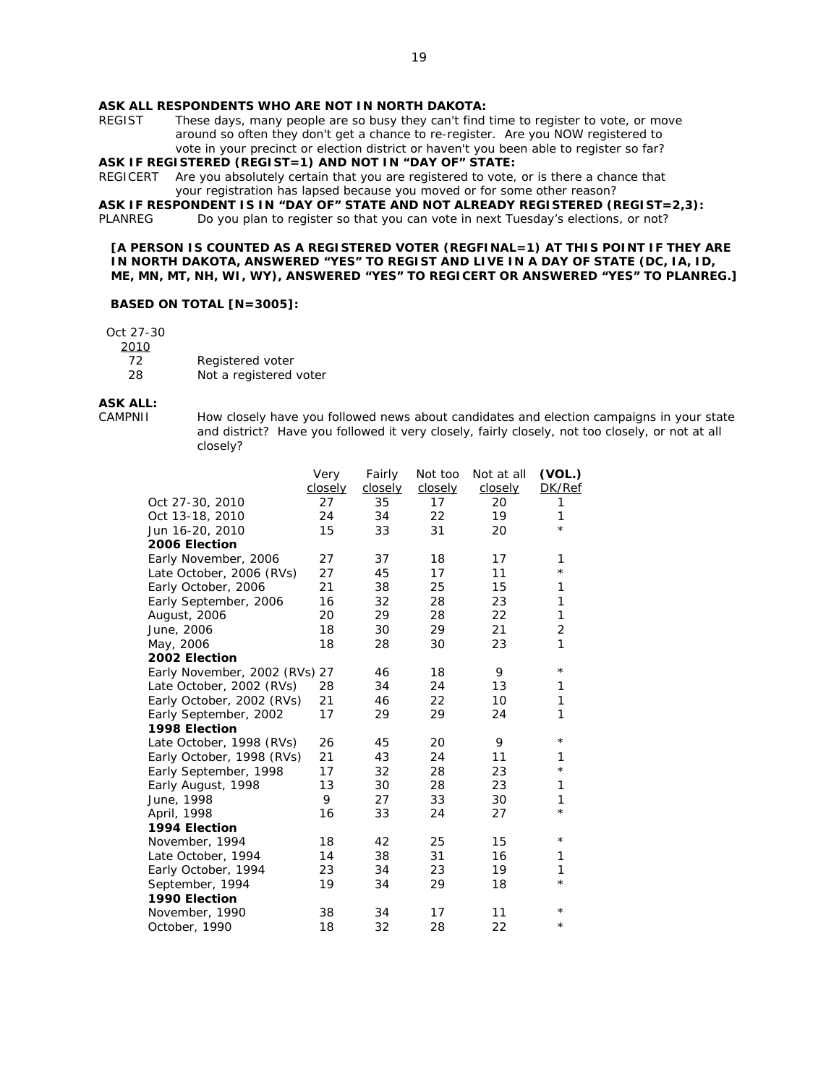### **ASK ALL RESPONDENTS WHO ARE NOT IN NORTH DAKOTA:**

REGIST These days, many people are so busy they can't find time to register to vote, or move around so often they don't get a chance to re-register. Are you NOW registered to vote in your precinct or election district or haven't you been able to register so far? **ASK IF REGISTERED (REGIST=1) AND NOT IN "DAY OF" STATE:** 

REGICERT Are you absolutely certain that you are registered to vote, or is there a chance that your registration has lapsed because you moved or for some other reason?

**ASK IF RESPONDENT IS IN "DAY OF" STATE AND NOT ALREADY REGISTERED (REGIST=2,3):**

PLANREG Do you plan to register so that you can vote in next Tuesday's elections, or not?

**[A PERSON IS COUNTED AS A REGISTERED VOTER (REGFINAL=1) AT THIS POINT IF THEY ARE IN NORTH DAKOTA, ANSWERED "YES" TO REGIST AND LIVE IN A DAY OF STATE (DC, IA, ID, ME, MN, MT, NH, WI, WY), ANSWERED "YES" TO REGICERT OR ANSWERED "YES" TO PLANREG.]** 

#### **BASED ON TOTAL [N=3005]:**

Oct 27-30

2010

- 72 Registered voter
- 28 Not a registered voter

# **ASK ALL:**

How closely have you followed news about candidates and election campaigns in your state and district? Have you followed it very closely, fairly closely, not too closely, or not at all closely?

|                               | Very    | Fairly  | Not too | Not at all | (VOL.)         |
|-------------------------------|---------|---------|---------|------------|----------------|
|                               | closely | closely | closely | closely    | DK/Ref         |
| Oct 27-30, 2010               | 27      | 35      | 17      | 20         | 1              |
| Oct 13-18, 2010               | 24      | 34      | 22      | 19         | 1              |
| Jun 16-20, 2010               | 15      | 33      | 31      | 20         | $^\star$       |
| 2006 Election                 |         |         |         |            |                |
| Early November, 2006          | 27      | 37      | 18      | 17         | 1              |
| Late October, 2006 (RVs)      | 27      | 45      | 17      | 11         | $^\star$       |
| Early October, 2006           | 21      | 38      | 25      | 15         | 1              |
| Early September, 2006         | 16      | 32      | 28      | 23         | 1              |
| August, 2006                  | 20      | 29      | 28      | 22         | 1              |
| June, 2006                    | 18      | 30      | 29      | 21         | $\overline{2}$ |
| May, 2006                     | 18      | 28      | 30      | 23         | $\mathbf{1}$   |
| 2002 Election                 |         |         |         |            |                |
| Early November, 2002 (RVs) 27 |         | 46      | 18      | 9          | $^\star$       |
| Late October, 2002 (RVs)      | 28      | 34      | 24      | 13         | 1              |
| Early October, 2002 (RVs)     | 21      | 46      | 22      | 10         | 1              |
| Early September, 2002         | 17      | 29      | 29      | 24         | 1              |
| 1998 Election                 |         |         |         |            |                |
| Late October, 1998 (RVs)      | 26      | 45      | 20      | 9          | $^\star$       |
| Early October, 1998 (RVs)     | 21      | 43      | 24      | 11         | 1              |
| Early September, 1998         | 17      | 32      | 28      | 23         | $^\star$       |
| Early August, 1998            | 13      | 30      | 28      | 23         | 1              |
| June, 1998                    | 9       | 27      | 33      | 30         | 1              |
| April, 1998                   | 16      | 33      | 24      | 27         | $\star$        |
| 1994 Election                 |         |         |         |            |                |
| November, 1994                | 18      | 42      | 25      | 15         | $^\star$       |
| Late October, 1994            | 14      | 38      | 31      | 16         | 1              |
| Early October, 1994           | 23      | 34      | 23      | 19         | 1              |
| September, 1994               | 19      | 34      | 29      | 18         | $^\star$       |
| 1990 Election                 |         |         |         |            |                |
| November, 1990                | 38      | 34      | 17      | 11         | $^\star$       |
| October, 1990                 | 18      | 32      | 28      | 22         | $^{\star}$     |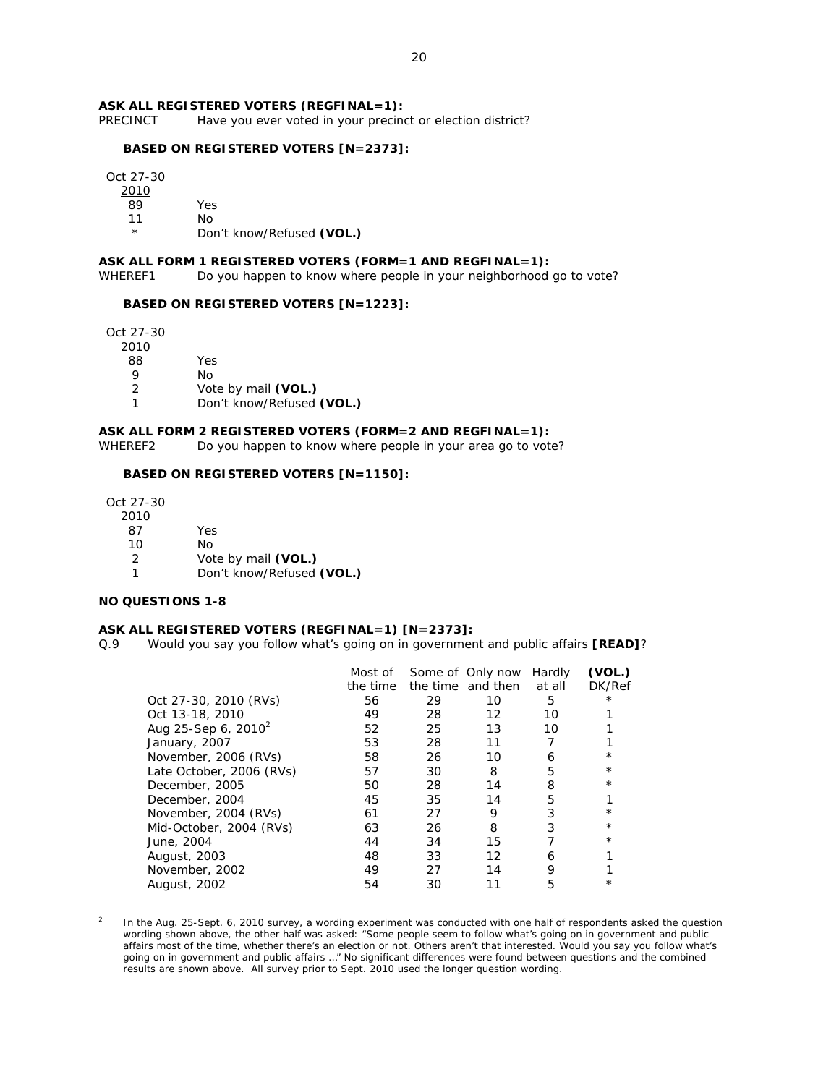### **ASK ALL REGISTERED VOTERS (REGFINAL=1):**

PRECINCT Have you ever voted in your precinct or election district?

#### **BASED ON REGISTERED VOTERS [N=2373]:**

Oct 27-30

2010

89 Yes

11 No

Don't know/Refused (VOL.)

#### **ASK ALL FORM 1 REGISTERED VOTERS (FORM=1 AND REGFINAL=1):**

WHEREF1 Do you happen to know where people in your neighborhood go to vote?

#### **BASED ON REGISTERED VOTERS [N=1223]:**

Oct 27-30

| 2010 |  |
|------|--|
|      |  |

88 Yes

- 9 No
	- 2 Vote by mail **(VOL.)**
- 1 Don't know/Refused **(VOL.)**

### **ASK ALL FORM 2 REGISTERED VOTERS (FORM=2 AND REGFINAL=1):**

WHEREF2 Do you happen to know where people in your area go to vote?

# **BASED ON REGISTERED VOTERS [N=1150]:**

Oct 27-30

 $\overline{a}$ 

| 2010 |                           |
|------|---------------------------|
| 87   | Yes                       |
| 10   | N٥                        |
| 2    | Vote by mail (VOL.)       |
|      | Don't know/Refused (VOL.) |

#### **NO QUESTIONS 1-8**

#### **ASK ALL REGISTERED VOTERS (REGFINAL=1) [N=2373]:**

Q.9 Would you say you follow what's going on in government and public affairs **[READ]**?

|                          | Most of  |    | Some of Only now  | Hardly | (VOL.)     |
|--------------------------|----------|----|-------------------|--------|------------|
|                          | the time |    | the time and then | at all | DK/Ref     |
| Oct 27-30, 2010 $(RVs)$  | 56       | 29 | 10                | 5      | $\star$    |
| Oct 13-18, 2010          | 49       | 28 | 12                | 10     |            |
| Aug 25-Sep 6, $2010^2$   | 52       | 25 | 13                | 10     |            |
| January, 2007            | 53       | 28 | 11                |        |            |
| November, 2006 (RVs)     | 58       | 26 | 10                | 6      | $\star$    |
| Late October, 2006 (RVs) | 57       | 30 | 8                 | 5      | $^\star$   |
| December, 2005           | 50       | 28 | 14                | 8      | $\star$    |
| December, 2004           | 45       | 35 | 14                | 5      |            |
| November, 2004 (RVs)     | 61       | 27 | 9                 | 3      | $^{\star}$ |
| Mid-October, 2004 (RVs)  | 63       | 26 | 8                 | 3      | $\star$    |
| June, 2004               | 44       | 34 | 15                |        | $^\star$   |
| August, 2003             | 48       | 33 | 12                | 6      |            |
| November, 2002           | 49       | 27 | 14                | 9      |            |
| August, 2002             | 54       | 30 |                   | 5      | $^\star$   |
|                          |          |    |                   |        |            |

<sup>2</sup> In the Aug. 25-Sept. 6, 2010 survey, a wording experiment was conducted with one half of respondents asked the question wording shown above, the other half was asked: "Some people seem to follow what's going on in government and public affairs most of the time, whether there's an election or not. Others aren't that interested. Would you say you follow what's going on in government and public affairs …" No significant differences were found between questions and the combined results are shown above. All survey prior to Sept. 2010 used the longer question wording.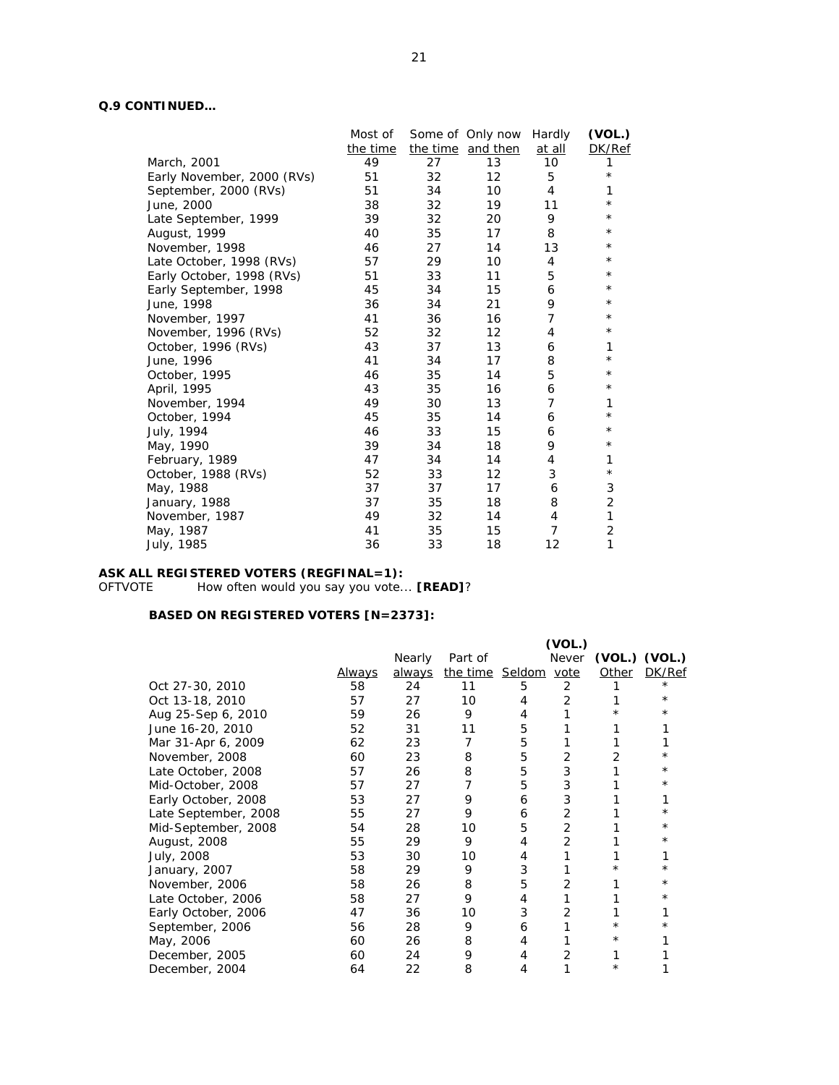# **Q.9 CONTINUED…**

|                            | Most of  |    | Some of Only now  | Hardly         | (VOL.)         |
|----------------------------|----------|----|-------------------|----------------|----------------|
|                            | the time |    | the time and then | at all         | DK/Ref         |
| March, 2001                | 49       | 27 | 13                | 10             | 1              |
| Early November, 2000 (RVs) | 51       | 32 | $12 \overline{ }$ | 5              | $\star$        |
| September, 2000 (RVs)      | 51       | 34 | 10                | 4              | 1              |
| June, 2000                 | 38       | 32 | 19                | 11             | $^\star$       |
| Late September, 1999       | 39       | 32 | 20                | 9              | $^{\star}$     |
| August, 1999               | 40       | 35 | 17                | 8              | $^{\star}$     |
| November, 1998             | 46       | 27 | 14                | 13             | $^\star$       |
| Late October, 1998 (RVs)   | 57       | 29 | 10                | 4              | $^\star$       |
| Early October, 1998 (RVs)  | 51       | 33 | 11                | 5              | $^\star$       |
| Early September, 1998      | 45       | 34 | 15                | 6              | $^\star$       |
| June, 1998                 | 36       | 34 | 21                | 9              | $^\star$       |
| November, 1997             | 41       | 36 | 16                | 7              | $^\star$       |
| November, 1996 (RVs)       | 52       | 32 | $12 \overline{ }$ | 4              | $^\star$       |
| October, 1996 (RVs)        | 43       | 37 | 13                | 6              | $\mathbf{1}$   |
| June, 1996                 | 41       | 34 | 17                | 8              | $^{\star}$     |
| October, 1995              | 46       | 35 | 14                | 5              | $^\star$       |
| April, 1995                | 43       | 35 | 16                | 6              | $^\star$       |
| November, 1994             | 49       | 30 | 13                | $\overline{7}$ | 1              |
| October, 1994              | 45       | 35 | 14                | 6              | $^\star$       |
| July, 1994                 | 46       | 33 | 15                | 6              | $^\star$       |
| May, 1990                  | 39       | 34 | 18                | 9              | $^\star$       |
| February, 1989             | 47       | 34 | 14                | 4              | 1              |
| October, 1988 (RVs)        | 52       | 33 | 12                | 3              | $^\star$       |
| May, 1988                  | 37       | 37 | 17                | 6              | 3              |
| January, 1988              | 37       | 35 | 18                | 8              | $\overline{2}$ |
| November, 1987             | 49       | 32 | 14                | $\overline{4}$ | $\mathbf{1}$   |
| May, 1987                  | 41       | 35 | 15                | $\overline{7}$ | $\overline{2}$ |
| July, 1985                 | 36       | 33 | 18                | 12             | 1              |
|                            |          |    |                   |                |                |

#### **ASK ALL REGISTERED VOTERS (REGFINAL=1):**

OFTVOTE How often would you say you vote... **[READ]**?

|                      |               |        |                      |   | (VOL.)         |          |                   |
|----------------------|---------------|--------|----------------------|---|----------------|----------|-------------------|
|                      |               | Nearly | Part of              |   | Never          |          | $(VOL.)$ $(VOL.)$ |
|                      | <u>Always</u> | always | the time Seldom vote |   |                | Other    | DK/Ref            |
| Oct 27-30, 2010      | 58            | 24     | 11                   | 5 | 2              |          | $\star$           |
| Oct 13-18, 2010      | 57            | 27     | 10                   | 4 | 2              |          | $^\star$          |
| Aug 25-Sep 6, 2010   | 59            | 26     | 9                    | 4 |                | $\star$  | $^{\star}$        |
| June 16-20, 2010     | 52            | 31     | 11                   | 5 |                |          |                   |
| Mar 31-Apr 6, 2009   | 62            | 23     | 7                    | 5 |                |          |                   |
| November, 2008       | 60            | 23     | 8                    | 5 | 2              |          |                   |
| Late October, 2008   | 57            | 26     | 8                    | 5 | 3              |          | $^\star$          |
| Mid-October, 2008    | 57            | 27     | 7                    | 5 | 3              |          | $\star$           |
| Early October, 2008  | 53            | 27     | 9                    | 6 | 3              |          |                   |
| Late September, 2008 | 55            | 27     | 9                    | 6 | $\overline{2}$ |          |                   |
| Mid-September, 2008  | 54            | 28     | 10                   | 5 | 2              |          | $^\star$          |
| August, 2008         | 55            | 29     | 9                    | 4 | $\overline{2}$ |          | $^{\star}$        |
| July, 2008           | 53            | 30     | 10                   | 4 |                |          |                   |
| January, 2007        | 58            | 29     | 9                    | 3 |                | $^\star$ |                   |
| November, 2006       | 58            | 26     | 8                    | 5 | 2              |          | $\star$           |
| Late October, 2006   | 58            | 27     | 9                    | 4 |                |          | $^\star$          |
| Early October, 2006  | 47            | 36     | 10                   | 3 | 2              |          |                   |
| September, 2006      | 56            | 28     | 9                    | 6 |                | $^\star$ |                   |
| May, 2006            | 60            | 26     | 8                    | 4 |                | $^\star$ |                   |
| December, 2005       | 60            | 24     | 9                    | 4 | 2              |          |                   |
| December, 2004       | 64            | 22     | 8                    | 4 |                | $^\star$ |                   |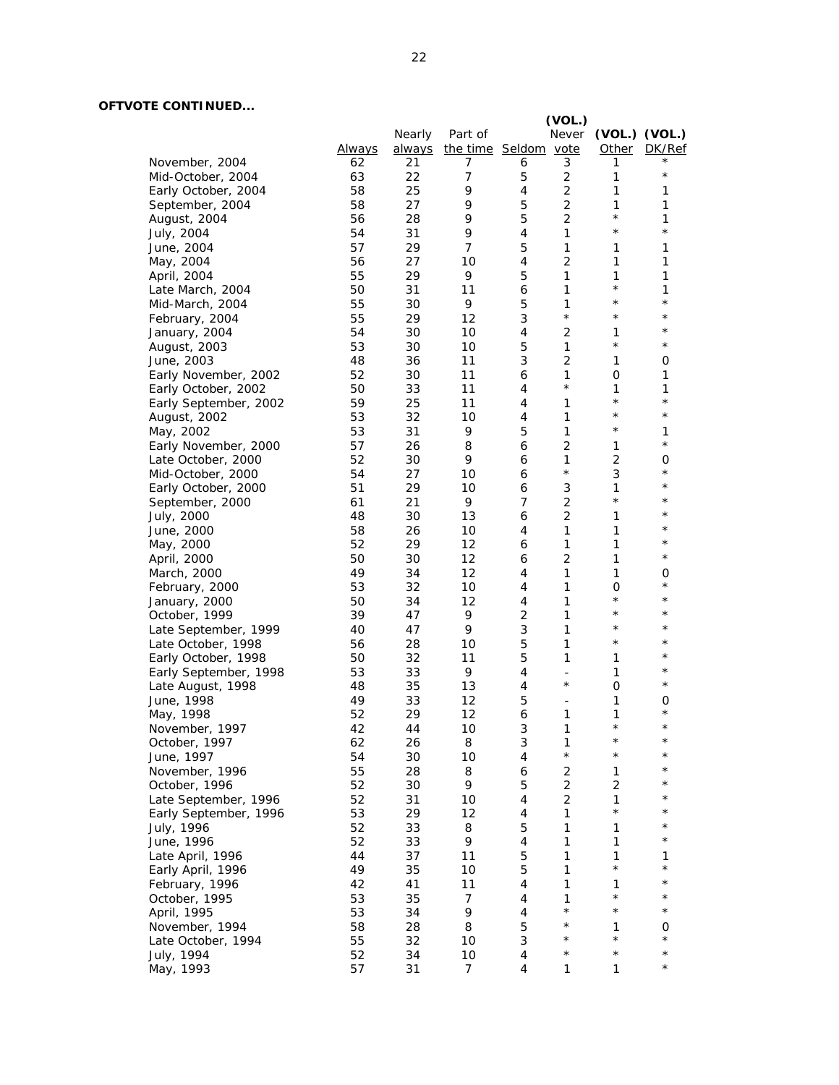# **OFTVOTE CONTINUED...**

|                       |               |               |                      |                | (VOL.)         |                         |               |
|-----------------------|---------------|---------------|----------------------|----------------|----------------|-------------------------|---------------|
|                       |               | Nearly        | Part of              |                | Never          |                         | (VOL.) (VOL.) |
|                       | <b>Always</b> | <u>always</u> | the time Seldom vote |                |                | Other                   | DK/Ref        |
| November, 2004        | 62            | 21            | 7                    | 6              | 3              | 1                       |               |
| Mid-October, 2004     | 63            | 22            | 7                    | 5              | 2              | 1                       | $^\star$      |
| Early October, 2004   | 58            | 25            | 9                    | 4              | 2              | 1                       | 1             |
| September, 2004       | 58            | 27            | 9                    | 5              | $\overline{2}$ | 1                       | 1             |
| August, 2004          | 56            | 28            | 9                    | 5              | $\overline{2}$ | $^\star$                | 1             |
| July, 2004            | 54            | 31            | 9                    | 4              | 1              | $^{\star}$              | $\star$       |
| June, 2004            | 57            | 29            | 7                    | 5              | 1              | 1                       | 1             |
| May, 2004             | 56            | 27            | 10                   | 4              | $\overline{2}$ | 1                       | 1             |
| April, 2004           | 55            | 29            | 9                    | 5              | $\mathbf{1}$   | 1                       | 1             |
| Late March, 2004      | 50            | 31            | 11                   | 6              | $\mathbf{1}$   | $^\star$                | 1             |
| Mid-March, 2004       | 55            | 30            | 9                    | 5              | 1              | $\star$                 | $\star$       |
| February, 2004        | 55            | 29            | 12                   | 3              | $\star$        | $\star$                 | $^\star$      |
|                       | 54            | 30            | 10                   | 4              | 2              | 1                       | $^\star$      |
| January, 2004         | 53            | 30            | 10                   | 5              | 1              | $^\star$                | $^\star$      |
| August, 2003          | 48            | 36            | 11                   | 3              | $\overline{2}$ | 1                       | 0             |
| June, 2003            |               |               |                      |                |                |                         |               |
| Early November, 2002  | 52            | 30            | 11                   | 6              | 1<br>$\star$   | O                       | 1             |
| Early October, 2002   | 50            | 33            | 11                   | 4              |                | 1<br>$\star$            | 1<br>$^\star$ |
| Early September, 2002 | 59            | 25            | 11                   | 4              | $\mathbf{1}$   | $\star$                 | $^\star$      |
| August, 2002          | 53            | 32            | 10                   | 4              | $\mathbf{1}$   | $\star$                 |               |
| May, 2002             | 53            | 31            | 9                    | 5              | 1              |                         | 1             |
| Early November, 2000  | 57            | 26            | 8                    | 6              | $\overline{2}$ | 1                       | $^\star$      |
| Late October, 2000    | 52            | 30            | 9                    | 6              | $\mathbf{1}$   | $\overline{c}$          | 0             |
| Mid-October, 2000     | 54            | 27            | 10                   | 6              | $\star$        | 3                       | $^\star$      |
| Early October, 2000   | 51            | 29            | 10                   | 6              | 3              | 1                       | $^\star$      |
| September, 2000       | 61            | 21            | 9                    | 7              | 2              | $^\star$                | $^\star$      |
| July, 2000            | 48            | 30            | 13                   | 6              | $\overline{2}$ | 1                       | $^\star$      |
| June, 2000            | 58            | 26            | 10                   | 4              | $\mathbf{1}$   | 1                       | $\star$       |
| May, 2000             | 52            | 29            | 12                   | 6              | $\mathbf{1}$   | 1                       | $^\star$      |
| April, 2000           | 50            | 30            | 12                   | 6              | $\overline{2}$ | 1                       | $^\star$      |
| March, 2000           | 49            | 34            | 12                   | 4              | $\mathbf{1}$   | 1                       | 0             |
| February, 2000        | 53            | 32            | 10                   | 4              | 1              | 0                       | $^\star$      |
| January, 2000         | 50            | 34            | 12                   | 4              | 1              | $^\star$                | $^\star$      |
| October, 1999         | 39            | 47            | 9                    | $\overline{2}$ | $\mathbf{1}$   | $^\star$                | $^\star$      |
| Late September, 1999  | 40            | 47            | 9                    | 3              | 1              | $^\star$                | $^\star$      |
| Late October, 1998    | 56            | 28            | 10                   | 5              | 1              | $^{\star}$              | $^\star$      |
| Early October, 1998   | 50            | 32            | 11                   | 5              | 1              | $\mathbf{1}$            | $^{\star}$    |
| Early September, 1998 | 53            | 33            | 9                    | 4              | $\frac{1}{2}$  | $\mathbf{1}$            | $^\star$      |
| Late August, 1998     | 48            | 35            | 13                   | 4              | $\star$        | 0                       | $^\star$      |
| June, 1998            | 49            | 33            | 12                   | 5              | $\frac{1}{2}$  | 1                       | 0             |
| May, 1998             | 52            | 29            | 12                   | 6              | 1              | 1                       | $^\star$      |
| November, 1997        | 42            | 44            | 10                   | 3              | 1              | $^{\star}$              | $^\star$      |
| October, 1997         | 62            | 26            | 8                    | 3              | 1              | $^\star$                | $^\star$      |
| June, 1997            | 54            | 30            | 10                   | $\overline{4}$ | $\star$        | $^\star$                | $^\star$      |
| November, 1996        | 55            | 28            | 8                    | 6              | $\mathbf 2$    | $\mathbf{1}$            | $^\star$      |
| October, 1996         | 52            | 30            | 9                    | 5              | $\mathbf 2$    | $\mathbf 2$             | $^\star$      |
| Late September, 1996  | 52            | 31            | 10                   | $\overline{4}$ | $\overline{2}$ | 1                       | *             |
|                       | 53            | 29            | 12                   | 4              | $\mathbf{1}$   | $\star$                 | $^\star$      |
| Early September, 1996 |               |               |                      |                |                |                         | $^\star$      |
| July, 1996            | 52            | 33            | 8                    | 5              | 1              | 1                       | $^\star$      |
| June, 1996            | 52            | 33            | 9                    | 4              | 1              | 1                       |               |
| Late April, 1996      | 44            | 37            | 11                   | 5              | 1              | $\mathbf{1}$<br>$\star$ | 1<br>$^\star$ |
| Early April, 1996     | 49            | 35            | 10                   | 5              | 1              |                         |               |
| February, 1996        | 42            | 41            | 11                   | 4              | 1              | 1                       | $^\star$      |
| October, 1995         | 53            | 35            | 7                    | 4              | 1              | $^\star$                | $^\star$      |
| April, 1995           | 53            | 34            | 9                    | 4              | $\star$        | $\star$                 | $\star$       |
| November, 1994        | 58            | 28            | 8                    | 5              | $\star$        | 1                       | 0             |
| Late October, 1994    | 55            | 32            | 10                   | 3              | $^\star$       | $\star$                 | $^\star$      |
| July, 1994            | 52            | 34            | 10                   | 4              | $^\star$       | $^\star$                | $\star$       |
| May, 1993             | 57            | 31            | 7                    | 4              | $\mathbf{1}$   | $\mathbf{1}$            | $^\star$      |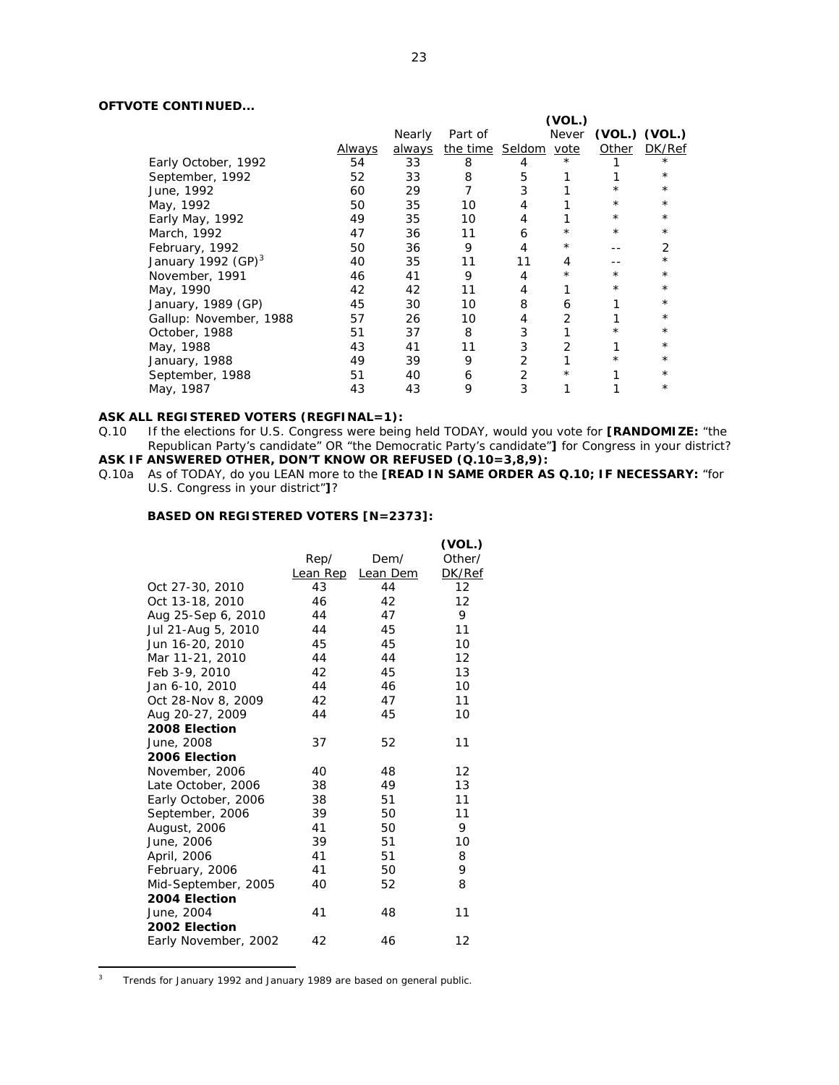# **OFTVOTE CONTINUED...**

|                        |        |        |                      |    | (VOL.)     |            |               |
|------------------------|--------|--------|----------------------|----|------------|------------|---------------|
|                        |        | Nearly | Part of              |    | Never      |            | (VOL.) (VOL.) |
|                        | Always | always | the time Seldom vote |    |            | Other      | DK/Ref        |
| Early October, 1992    | 54     | 33     | 8                    | 4  | $\star$    |            | $\star$       |
| September, 1992        | 52     | 33     | 8                    | 5  |            |            | $^\star$      |
| June, 1992             | 60     | 29     |                      | 3  |            |            | $^\star$      |
| May, 1992              | 50     | 35     | 10                   | 4  |            | $^{\star}$ | $^\star$      |
| Early May, 1992        | 49     | 35     | 10                   | 4  |            | $^\star$   | $^{\star}$    |
| March, 1992            | 47     | 36     | 11                   | 6  | $^\star$   | $^\star$   | $^{\star}$    |
| February, 1992         | 50     | 36     | 9                    |    | $^\star$   |            | 2             |
| January 1992 $(GP)^3$  | 40     | 35     | 11                   | 11 | 4          |            | $^\star$      |
| November, 1991         | 46     | 41     | 9                    | 4  | $^{\star}$ | $^\star$   | $^\star$      |
| May, 1990              | 42     | 42     | 11                   | 4  |            | $^\star$   | $^{\star}$    |
| January, 1989 (GP)     | 45     | 30     | 10                   | 8  | 6          |            | $^\star$      |
| Gallup: November, 1988 | 57     | 26     | 10                   | 4  | 2          |            | $^\star$      |
| October, 1988          | 51     | 37     | 8                    | 3  |            | $^\star$   | $^\star$      |
| May, 1988              | 43     | 41     | 11                   | 3  |            |            | $^\star$      |
| January, 1988          | 49     | 39     | 9                    | 2  |            | $\star$    | $^{\star}$    |
| September, 1988        | 51     | 40     | 6                    | 2  | $^\star$   |            | $^\star$      |
| May, 1987              | 43     | 43     | 9                    | 3  |            |            | $^\star$      |

# **ASK ALL REGISTERED VOTERS (REGFINAL=1):**  $Q.10$  If the elections for U.S. Congress were being

- If the elections for U.S. Congress were being held TODAY, would you vote for **[RANDOMIZE:** "the Republican Party's candidate" OR "the Democratic Party's candidate"**]** for Congress in your district? **ASK IF ANSWERED OTHER, DON'T KNOW OR REFUSED (Q.10=3,8,9):**
- Q.10a As of TODAY, do you LEAN more to the **[READ IN SAME ORDER AS Q.10; IF NECESSARY:** "for U.S. Congress in your district"**]**?

### **BASED ON REGISTERED VOTERS [N=2373]:**

|                      |                 |          | (VOL.)            |
|----------------------|-----------------|----------|-------------------|
|                      | Rep/            | Dem/     | Other/            |
|                      | <b>Lean Rep</b> | Lean Dem | DK/Ref            |
| Oct 27-30, 2010      | 43              | 44       | 12                |
| Oct 13-18, 2010      | 46              | 42       | 12                |
| Aug 25-Sep 6, 2010   | 44              | 47       | 9                 |
| Jul 21-Aug 5, 2010   | 44              | 45       | 11                |
| Jun 16-20, 2010      | 45              | 45       | 10                |
| Mar 11-21, 2010      | 44              | 44       | $12 \overline{ }$ |
| Feb 3-9, 2010        | 42              | 45       | 13                |
| Jan 6-10, 2010       | 44              | 46       | 10                |
| Oct 28-Nov 8, 2009   | 42              | 47       | 11                |
| Aug 20-27, 2009      | 44              | 45       | 10                |
| 2008 Election        |                 |          |                   |
| June, 2008           | 37              | 52       | 11                |
| 2006 Election        |                 |          |                   |
| November, 2006       | 40              | 48       | 12                |
| Late October, 2006   | 38              | 49       | 13                |
| Early October, 2006  | 38              | 51       | 11                |
| September, 2006      | 39              | 50       | 11                |
| August, 2006         | 41              | 50       | 9                 |
| June, 2006           | 39              | 51       | 10                |
| April, 2006          | 41              | 51       | 8                 |
| February, 2006       | 41              | 50       | 9                 |
| Mid-September, 2005  | 40              | 52       | 8                 |
| 2004 Election        |                 |          |                   |
| June, 2004           | 41              | 48       | 11                |
| 2002 Election        |                 |          |                   |
| Early November, 2002 | 42              | 46       | 12                |
|                      |                 |          |                   |

 $\frac{1}{3}$ Trends for January 1992 and January 1989 are based on general public.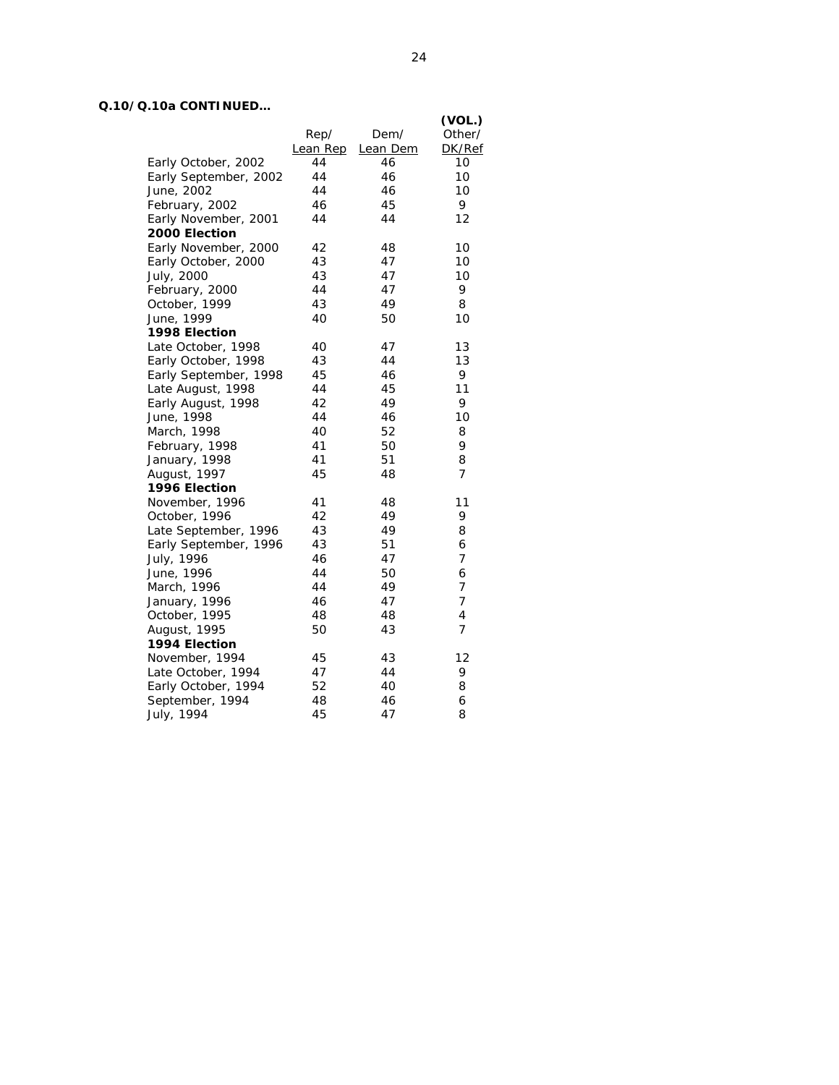# **Q.10/Q.10a CONTINUED…**

|                       |          |          | (VOL.)         |
|-----------------------|----------|----------|----------------|
|                       | Rep/     | Dem/     | Other/         |
|                       | Lean Rep | Lean Dem | DK/Ref         |
| Early October, 2002   | 44       | 46       | 10             |
| Early September, 2002 | 44       | 46       | 10             |
| June, 2002            | 44       | 46       | 10             |
| February, 2002        | 46       | 45       | 9              |
| Early November, 2001  | 44       | 44       | 12             |
| 2000 Election         |          |          |                |
| Early November, 2000  | 42       | 48       | 10             |
| Early October, 2000   | 43       | 47       | 10             |
| July, 2000            | 43       | 47       | 10             |
| February, 2000        | 44       | 47       | 9              |
| October, 1999         | 43       | 49       | 8              |
| June, 1999            | 40       | 50       | 10             |
| 1998 Election         |          |          |                |
| Late October, 1998    | 40       | 47       | 13             |
| Early October, 1998   | 43       | 44       | 13             |
| Early September, 1998 | 45       | 46       | 9              |
| Late August, 1998     | 44       | 45       | 11             |
| Early August, 1998    | 42       | 49       | 9              |
| June, 1998            | 44       | 46       | 10             |
| March, 1998           | 40       | 52       | 8              |
| February, 1998        | 41       | 50       | 9              |
| January, 1998         | 41       | 51       | 8              |
| August, 1997          | 45       | 48       | $\overline{7}$ |
| 1996 Election         |          |          |                |
| November, 1996        | 41       | 48       | 11             |
| October, 1996         | 42       | 49       | 9              |
| Late September, 1996  | 43       | 49       | 8              |
| Early September, 1996 | 43       | 51       | 6              |
| July, 1996            | 46       | 47       | $\overline{7}$ |
| June, 1996            | 44       | 50       | 6              |
| March, 1996           | 44       | 49       | 7              |
| January, 1996         | 46       | 47       | $\overline{7}$ |
| October, 1995         | 48       | 48       | 4              |
| August, 1995          | 50       | 43       | $\overline{7}$ |
| 1994 Election         |          |          |                |
| November, 1994        | 45       | 43       | 12             |
| Late October, 1994    | 47       | 44       | 9              |
| Early October, 1994   | 52       | 40       | 8              |
| September, 1994       | 48       | 46       | 6              |
| July, 1994            | 45       | 47       | 8              |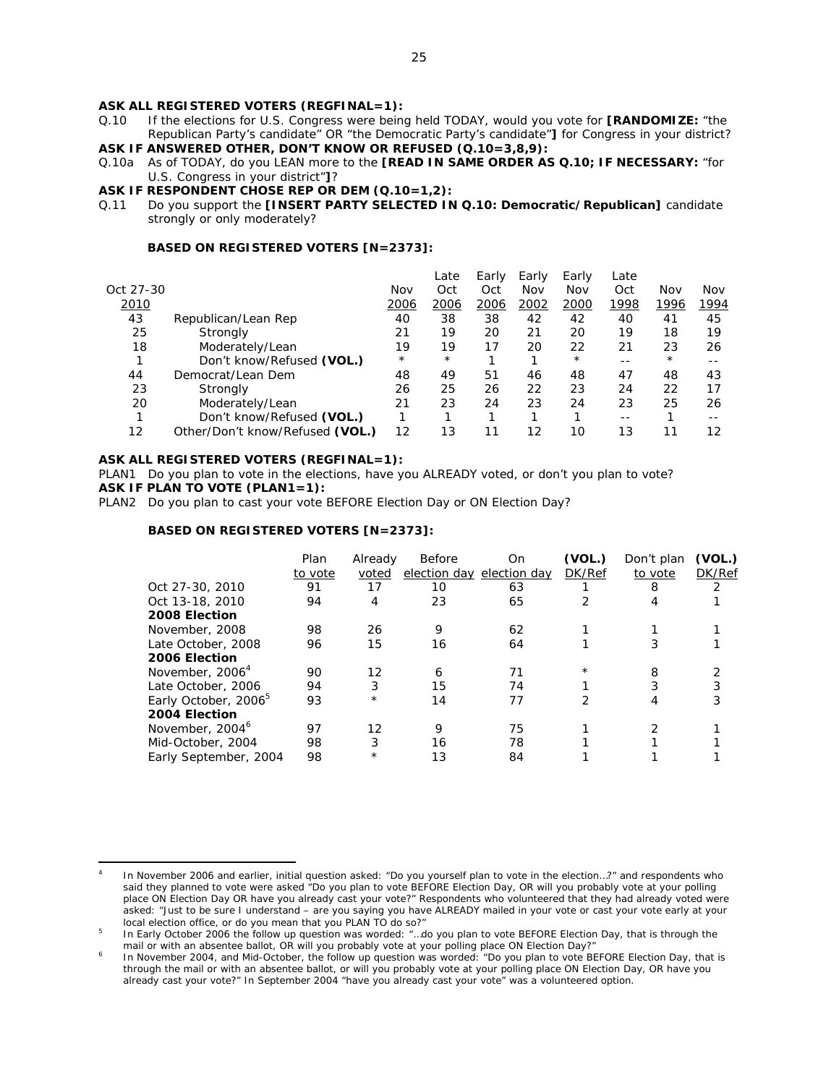#### **ASK ALL REGISTERED VOTERS (REGFINAL=1):**

Q.10 If the elections for U.S. Congress were being held TODAY, would you vote for **[RANDOMIZE:** "the Republican Party's candidate" OR "the Democratic Party's candidate"**]** for Congress in your district? **ASK IF ANSWERED OTHER, DON'T KNOW OR REFUSED (Q.10=3,8,9):**

- Q.10a As of TODAY, do you LEAN more to the **[READ IN SAME ORDER AS Q.10; IF NECESSARY:** "for U.S. Congress in your district"**]**?
- **ASK IF RESPONDENT CHOSE REP OR DEM (Q.10=1,2):**
- Q.11 Do you support the **[INSERT PARTY SELECTED IN Q.10: Democratic/Republican]** candidate strongly or only moderately?

### **BASED ON REGISTERED VOTERS [N=2373]:**

|           |                                 |         | Late    | Early | Early | Early    | Late |          |      |
|-----------|---------------------------------|---------|---------|-------|-------|----------|------|----------|------|
| Oct 27-30 |                                 | Nov     | Oct     | Oct   | Nov   | Nov      | Oct  | Nov      | Nov  |
| 2010      |                                 | 2006    | 2006    | 2006  | 2002  | 2000     | 1998 | 1996     | 1994 |
| 43        | Republican/Lean Rep             | 40      | 38      | 38    | 42    | 42       | 40   | 41       | 45   |
| 25        | Strongly                        | 21      | 19      | 20    | 21    | 20       | 19   | 18       | 19   |
| 18        | Moderately/Lean                 | 19      | 19      | 17    | 20    | 22       | 21   | 23       | 26   |
|           | Don't know/Refused (VOL.)       | $\star$ | $\star$ | ◢     |       | $^\star$ | - -  | $^\star$ |      |
| 44        | Democrat/Lean Dem               | 48      | 49      | 51    | 46    | 48       | 47   | 48       | 43   |
| 23        | Strongly                        | 26      | 25      | 26    | 22    | 23       | 24   | 22       | 17   |
| 20        | Moderately/Lean                 | 21      | 23      | 24    | 23    | 24       | 23   | 25       | 26   |
|           | Don't know/Refused (VOL.)       |         |         |       |       |          | --   |          |      |
| 12        | Other/Don't know/Refused (VOL.) | 12      | 13      | 11    | 12    | 10       | 13   | 11       | 12   |
|           |                                 |         |         |       |       |          |      |          |      |

#### **ASK ALL REGISTERED VOTERS (REGFINAL=1):**

 $\overline{a}$ 

PLAN1 Do you plan to vote in the elections, have you ALREADY voted, or don't you plan to vote? **ASK IF PLAN TO VOTE (PLAN1=1):** 

PLAN2 Do you plan to cast your vote BEFORE Election Day or ON Election Day?

|                                  | Plan    | Already | Before | Оn                        | (VOL.)        | Don't plan | (VOL.)        |
|----------------------------------|---------|---------|--------|---------------------------|---------------|------------|---------------|
|                                  | to vote | voted   |        | election day election day | <b>DK/Ref</b> | to vote    | DK/Ref        |
| Oct 27-30, 2010                  | 91      | 17      | 10     | 63                        |               | 8          | $\mathcal{P}$ |
| Oct 13-18, 2010                  | 94      | 4       | 23     | 65                        |               | 4          |               |
| 2008 Election                    |         |         |        |                           |               |            |               |
| November, 2008                   | 98      | 26      | 9      | 62                        |               |            |               |
| Late October, 2008               | 96      | 15      | 16     | 64                        |               |            |               |
| 2006 Election                    |         |         |        |                           |               |            |               |
| November, 2006 <sup>4</sup>      | 90      | 12      | 6      | 71                        | $^{\star}$    | 8          |               |
| Late October, 2006               | 94      | 3       | 15     | 74                        |               | 3          | 3             |
| Early October, 2006 <sup>b</sup> | 93      | $\star$ | 14     | 77                        | 2             | 4          | 3             |
| 2004 Election                    |         |         |        |                           |               |            |               |
| November, 2004 <sup>6</sup>      | 97      | 12      | 9      | 75                        |               |            |               |
| Mid-October, 2004                | 98      | 3       | 16     | 78                        |               |            |               |
| Early September, 2004            | 98      | $\star$ | 13     | 84                        |               |            |               |
|                                  |         |         |        |                           |               |            |               |

<sup>4</sup> In November 2006 and earlier, initial question asked: "Do you yourself plan to vote in the election…?" and respondents who said they planned to vote were asked "Do you plan to vote BEFORE Election Day, OR will you probably vote at your polling place ON Election Day OR have you already cast your vote?" Respondents who volunteered that they had already voted were asked: "Just to be sure I understand – are you saying you have ALREADY mailed in your vote or cast your vote early at your local election office, or do you mean that you PLAN TO do so?"

In Early October 2006 the follow up question was worded: "…do you plan to vote BEFORE Election Day, that is through the mail or with an absentee ballot, OR will you probably vote at your polling place ON Election Day?

In November 2004, and Mid-October, the follow up question was worded: "Do you plan to vote BEFORE Election Day, that is through the mail or with an absentee ballot, or will you probably vote at your polling place ON Election Day, OR have you already cast your vote?" In September 2004 "have you already cast your vote" was a volunteered option.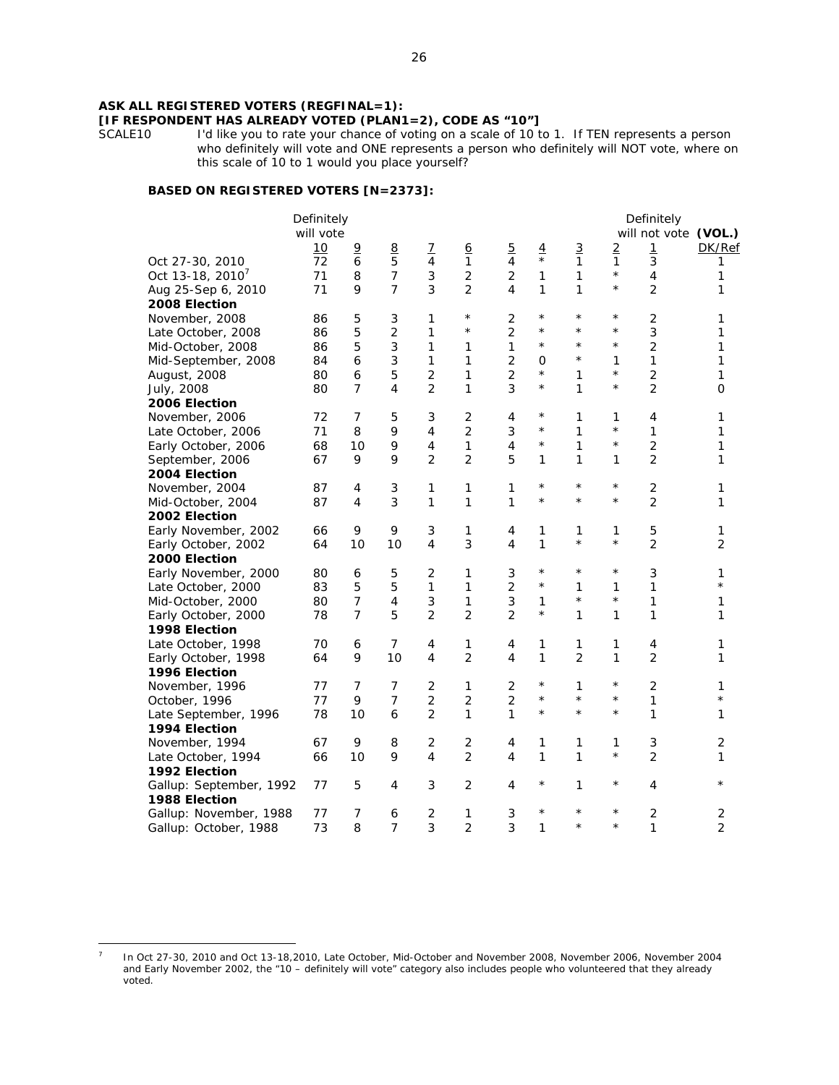# **ASK ALL REGISTERED VOTERS (REGFINAL=1):**

# **[IF RESPONDENT HAS ALREADY VOTED (PLAN1=2), CODE AS "10"]**

I'd like you to rate your chance of voting on a scale of 10 to 1. If TEN represents a person who definitely will vote and ONE represents a person who definitely will NOT vote, where on this scale of 10 to 1 would you place yourself?

# **BASED ON REGISTERED VOTERS [N=2373]:**

|                                  | Definitely<br>will vote |                     |                     |                              |                                |                     |                     |                              |                         | Definitely<br>will not vote (VOL.) |                              |
|----------------------------------|-------------------------|---------------------|---------------------|------------------------------|--------------------------------|---------------------|---------------------|------------------------------|-------------------------|------------------------------------|------------------------------|
|                                  | 10                      | $\overline{9}$      | 8                   | $\overline{1}$               | 6                              | $\overline{5}$      | $\frac{4}{\ast}$    | $\overline{3}$               | $\overline{2}$          | $\mathbf{1}$                       | DK/Ref                       |
| Oct 27-30, 2010                  | 72                      | 6                   | 5<br>$\overline{7}$ | $\overline{4}$               | $\mathbf{1}$<br>$\overline{2}$ | 4                   |                     | $\mathbf{1}$<br>$\mathbf{1}$ | $\mathbf{1}$<br>$\star$ | 3                                  | 1                            |
| Oct 13-18, 2010 <sup>7</sup>     | 71                      | 8                   | $\overline{7}$      | 3<br>3                       |                                | 2                   | $\mathbf{1}$        |                              | $^\star$                | 4                                  | 1                            |
| Aug 25-Sep 6, 2010               | 71                      | 9                   |                     |                              | $\overline{2}$                 | 4                   | 1                   | 1                            |                         | $\overline{2}$                     | 1                            |
| 2008 Election                    |                         |                     |                     |                              | $^\star$                       |                     | $\star$             | $^\star$                     | $\star$                 |                                    |                              |
| November, 2008                   | 86                      | 5                   | 3                   | $\mathbf{1}$                 | $^\star$                       | 2                   | $\star$             | $\star$                      | $^\star$                | $\mathbf 2$                        | 1                            |
| Late October, 2008               | 86                      | 5<br>5              | $\overline{2}$<br>3 | 1                            |                                | 2<br>1              | $\star$             | $\star$                      | $\star$                 | 3<br>$\overline{2}$                | 1                            |
| Mid-October, 2008                | 86                      |                     | 3                   | $\mathbf{1}$<br>$\mathbf{1}$ | 1<br>$\mathbf{1}$              | $\overline{2}$      |                     | $\star$                      |                         | $\mathbf{1}$                       | $\mathbf{1}$                 |
| Mid-September, 2008              | 84                      | 6                   |                     | $\overline{c}$               | $\mathbf{1}$                   |                     | $\Omega$<br>$\star$ | $\mathbf{1}$                 | 1<br>$^{\star}$         |                                    | $\mathbf{1}$<br>$\mathbf{1}$ |
| August, 2008                     | 80<br>80                | 6<br>$\overline{7}$ | 5<br>4              | $\overline{2}$               | 1                              | $\overline{2}$<br>3 | $\star$             | $\mathbf{1}$                 | $^\star$                | 2<br>$\overline{2}$                | $\Omega$                     |
| July, 2008<br>2006 Election      |                         |                     |                     |                              |                                |                     |                     |                              |                         |                                    |                              |
|                                  | 72                      | 7                   | 5                   | 3                            | 2                              |                     | $^{\star}$          | $\mathbf{1}$                 | 1                       | 4                                  | 1                            |
| November, 2006                   | 71                      | 8                   | 9                   | 4                            | $\overline{2}$                 | 4<br>3              | $\star$             | 1                            | $^\star$                | 1                                  | 1                            |
| Late October, 2006               | 68                      |                     | 9                   | $\overline{4}$               | $\mathbf{1}$                   | 4                   | $\star$             | $\mathbf{1}$                 | $^{\star}$              | $\overline{2}$                     |                              |
| Early October, 2006              | 67                      | 10<br>9             | 9                   | $\overline{2}$               | $\overline{2}$                 | 5                   | 1                   | $\mathbf{1}$                 | 1                       | $\overline{2}$                     | 1<br>$\mathbf{1}$            |
| September, 2006<br>2004 Election |                         |                     |                     |                              |                                |                     |                     |                              |                         |                                    |                              |
| November, 2004                   | 87                      | 4                   | 3                   | $\mathbf{1}$                 | $\mathbf{1}$                   | 1                   | $\star$             | $^{\star}$                   | $^\star$                | $\mathbf 2$                        | 1                            |
| Mid-October, 2004                | 87                      | 4                   | 3                   | $\mathbf{1}$                 | $\mathbf{1}$                   | 1                   | $\star$             | $\star$                      | $^\star$                | $\overline{2}$                     | $\mathbf{1}$                 |
| 2002 Election                    |                         |                     |                     |                              |                                |                     |                     |                              |                         |                                    |                              |
| Early November, 2002             | 66                      | 9                   | 9                   | 3                            | 1                              | 4                   | 1                   | 1                            | 1                       | 5                                  | 1                            |
| Early October, 2002              | 64                      | 10                  | 10                  | $\overline{4}$               | 3                              | 4                   | $\mathbf{1}$        | $\star$                      | $^{\star}$              | $\overline{2}$                     | $\overline{2}$               |
| 2000 Election                    |                         |                     |                     |                              |                                |                     |                     |                              |                         |                                    |                              |
| Early November, 2000             | 80                      | 6                   | 5                   | 2                            | 1                              | 3                   | $\star$             | $^\star$                     | $^\star$                | 3                                  | $\mathbf{1}$                 |
| Late October, 2000               | 83                      | 5                   | 5                   | $\mathbf{1}$                 | $\mathbf{1}$                   | $\overline{2}$      | $\star$             | $\mathbf{1}$                 | 1                       | 1                                  | $\star$                      |
| Mid-October, 2000                | 80                      | 7                   | $\overline{4}$      | $\sqrt{3}$                   | 1                              | 3                   | 1                   | $\star$                      | $^{\star}$              | 1                                  | 1                            |
| Early October, 2000              | 78                      | 7                   | 5                   | $\overline{2}$               | $\overline{2}$                 | $\overline{2}$      | $\star$             | 1                            | 1                       | 1                                  | 1                            |
| 1998 Election                    |                         |                     |                     |                              |                                |                     |                     |                              |                         |                                    |                              |
| Late October, 1998               | 70                      | 6                   | $\overline{7}$      | 4                            | 1                              | 4                   | 1                   | $\mathbf{1}$                 | 1                       | 4                                  | 1                            |
| Early October, 1998              | 64                      | 9                   | 10                  | 4                            | $\overline{2}$                 | 4                   | $\mathbf{1}$        | $\overline{2}$               | 1                       | $\overline{2}$                     | 1                            |
| 1996 Election                    |                         |                     |                     |                              |                                |                     |                     |                              |                         |                                    |                              |
| November, 1996                   | 77                      | 7                   | $\overline{7}$      | $\overline{2}$               | $\mathbf{1}$                   | 2                   | $\star$             | $\mathbf{1}$                 | $^\star$                | 2                                  | 1                            |
| October, 1996                    | 77                      | 9                   | $\overline{7}$      | $\overline{c}$               | $\overline{c}$                 | $\overline{2}$      | $\star$             | $\star$                      | $^{\star}$              | 1                                  | $\star$                      |
| Late September, 1996             | 78                      | 10                  | 6                   | $\overline{2}$               | $\mathbf{1}$                   | 1                   | $\star$             | $\star$                      | $^{\star}$              | 1                                  | $\mathbf{1}$                 |
| 1994 Election                    |                         |                     |                     |                              |                                |                     |                     |                              |                         |                                    |                              |
| November, 1994                   | 67                      | 9                   | 8                   | 2                            | 2                              | 4                   | 1                   | 1                            | 1                       | 3                                  | 2                            |
| Late October, 1994               | 66                      | 10                  | 9                   | 4                            | $\overline{2}$                 | 4                   | 1                   | $\mathbf{1}$                 | $^{\star}$              | $\overline{2}$                     | 1                            |
| 1992 Election                    |                         |                     |                     |                              |                                |                     |                     |                              |                         |                                    |                              |
| Gallup: September, 1992          | 77                      | 5                   | 4                   | 3                            | 2                              | 4                   | $\star$             | 1                            | $^{\star}$              | 4                                  | $\star$                      |
| 1988 Election                    |                         |                     |                     |                              |                                |                     |                     |                              |                         |                                    |                              |
| Gallup: November, 1988           | 77                      | 7                   | 6                   | $\mathbf 2$                  | 1                              | 3                   | $\star$             | $^\star$                     | $^\star$                | 2                                  | $\sqrt{2}$                   |
| Gallup: October, 1988            | 73                      | 8                   | $\overline{7}$      | 3                            | $\overline{2}$                 | 3                   | 1                   | $\star$                      | $^{\star}$              | 1                                  | $\overline{2}$               |
|                                  |                         |                     |                     |                              |                                |                     |                     |                              |                         |                                    |                              |

 $\overline{a}$ 

<sup>7</sup> In Oct 27-30, 2010 and Oct 13-18,2010, Late October, Mid-October and November 2008, November 2006, November 2004 and Early November 2002, the "10 – definitely will vote" category also includes people who volunteered that they already voted.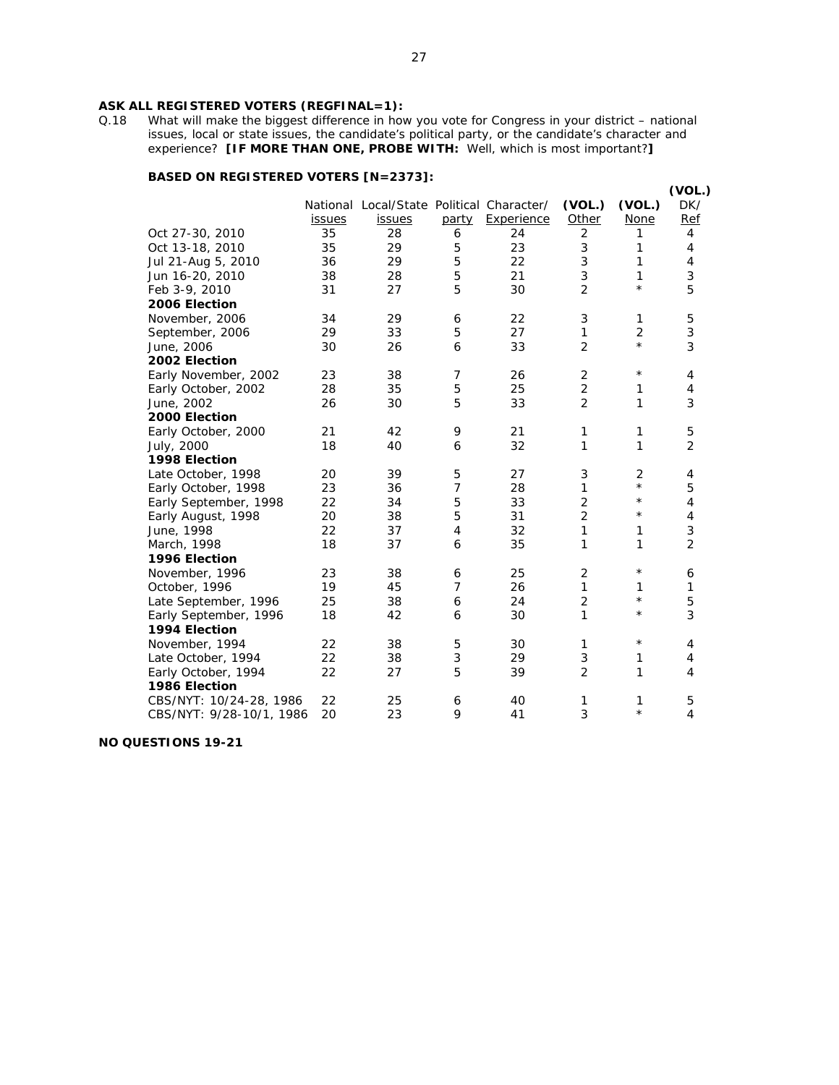# **ASK ALL REGISTERED VOTERS (REGFINAL=1):** Q.18 What will make the biggest difference in how

What will make the biggest difference in how you vote for Congress in your district – national issues, local or state issues, the candidate's political party, or the candidate's character and experience? **[IF MORE THAN ONE, PROBE WITH:** Well, which is most important?**]**

# **BASED ON REGISTERED VOTERS [N=2373]:**

|                          |               |                                           |                |            |                |                | (VOL.)                    |
|--------------------------|---------------|-------------------------------------------|----------------|------------|----------------|----------------|---------------------------|
|                          |               | National Local/State Political Character/ |                |            | (VOL.)         | (VOL.)         | DK/                       |
|                          | <i>issues</i> | issues                                    | party          | Experience | Other          | <b>None</b>    | Ref                       |
| Oct 27-30, 2010          | 35            | 28                                        | 6              | 24         | $\overline{2}$ | 1              | 4                         |
| Oct 13-18, 2010          | 35            | 29                                        | 5              | 23         | 3              | 1              | 4                         |
| Jul 21-Aug 5, 2010       | 36            | 29                                        | 5              | 22         | $\mathfrak{Z}$ | 1              | 4                         |
| Jun 16-20, 2010          | 38            | 28                                        | 5              | 21         | 3              | 1              | 3                         |
| Feb 3-9, 2010            | 31            | 27                                        | 5              | 30         | $\overline{2}$ | $\star$        | 5                         |
| 2006 Election            |               |                                           |                |            |                |                |                           |
| November, 2006           | 34            | 29                                        | 6              | 22         | 3              | 1              | 5                         |
| September, 2006          | 29            | 33                                        | 5              | 27         | 1              | $\overline{2}$ | $\ensuremath{\mathsf{3}}$ |
| June, 2006               | 30            | 26                                        | 6              | 33         | $\overline{2}$ | $^{\star}$     | 3                         |
| 2002 Election            |               |                                           |                |            |                |                |                           |
| Early November, 2002     | 23            | 38                                        | $\overline{7}$ | 26         | 2              | $\star$        | 4                         |
| Early October, 2002      | 28            | 35                                        | 5              | 25         | $\overline{2}$ | 1              | 4                         |
| June, 2002               | 26            | 30                                        | 5              | 33         | $\overline{2}$ | 1              | 3                         |
| 2000 Election            |               |                                           |                |            |                |                |                           |
| Early October, 2000      | 21            | 42                                        | 9              | 21         | $\mathbf{1}$   | $\mathbf{1}$   | 5                         |
| July, 2000               | 18            | 40                                        | 6              | 32         | 1              | 1              | $\overline{2}$            |
| 1998 Election            |               |                                           |                |            |                |                |                           |
| Late October, 1998       | 20            | 39                                        | 5              | 27         | 3              | 2              | 4                         |
| Early October, 1998      | 23            | 36                                        | 7              | 28         | $\mathbf{1}$   | $\star$        | 5                         |
| Early September, 1998    | 22            | 34                                        | 5              | 33         | $\overline{c}$ | $\star$        | 4                         |
| Early August, 1998       | 20            | 38                                        | 5              | 31         | $\overline{2}$ | $\star$        | 4                         |
| June, 1998               | 22            | 37                                        | $\overline{4}$ | 32         | 1              | 1              | 3                         |
| March, 1998              | 18            | 37                                        | 6              | 35         | 1              | 1              | $\overline{2}$            |
| 1996 Election            |               |                                           |                |            |                |                |                           |
| November, 1996           | 23            | 38                                        | 6              | 25         | $\overline{2}$ | $\star$        | 6                         |
| October, 1996            | 19            | 45                                        | $\overline{7}$ | 26         | 1              | 1              | 1                         |
| Late September, 1996     | 25            | 38                                        | 6              | 24         | $\overline{2}$ | $\star$        | 5                         |
| Early September, 1996    | 18            | 42                                        | 6              | 30         | 1              | $^\star$       | 3                         |
| 1994 Election            |               |                                           |                |            |                |                |                           |
| November, 1994           | 22            | 38                                        | 5              | 30         | $\mathbf{1}$   | $\star$        | 4                         |
| Late October, 1994       | 22            | 38                                        | 3              | 29         | 3              | 1              | 4                         |
| Early October, 1994      | 22            | 27                                        | 5              | 39         | $\overline{2}$ | 1              | 4                         |
| 1986 Election            |               |                                           |                |            |                |                |                           |
| CBS/NYT: 10/24-28, 1986  | 22            | 25                                        | 6              | 40         | 1              | 1              | 5                         |
| CBS/NYT: 9/28-10/1, 1986 | 20            | 23                                        | 9              | 41         | 3              | $\star$        | $\overline{4}$            |
|                          |               |                                           |                |            |                |                |                           |

**NO QUESTIONS 19-21**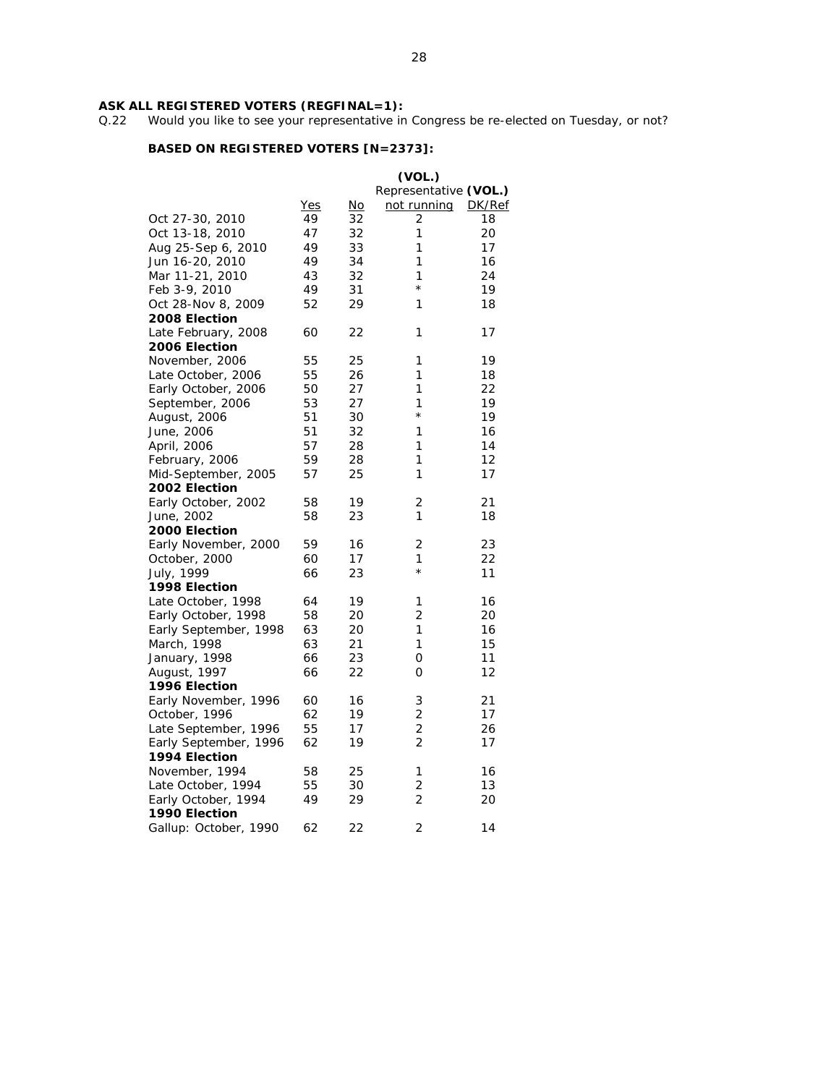#### **ASK ALL REGISTERED VOTERS (REGFINAL=1):**

Q.22 Would you like to see your representative in Congress be re-elected on Tuesday, or not?

|                       |            |    | (VOL.)                |        |
|-----------------------|------------|----|-----------------------|--------|
|                       |            |    | Representative (VOL.) |        |
|                       | <b>Yes</b> | No | not running           | DK/Ref |
| Oct 27-30, 2010       | 49         | 32 | 2                     | 18     |
| Oct 13-18, 2010       | 47         | 32 | 1                     | 20     |
| Aug 25-Sep 6, 2010    | 49         | 33 | 1                     | 17     |
| Jun 16-20, 2010       | 49         | 34 | 1                     | 16     |
| Mar 11-21, 2010       | 43         | 32 | 1                     | 24     |
| Feb 3-9, 2010         | 49         | 31 | $\star$               | 19     |
| Oct 28-Nov 8, 2009    | 52         | 29 | 1                     | 18     |
| 2008 Election         |            |    |                       |        |
| Late February, 2008   | 60         | 22 | 1                     | 17     |
| 2006 Election         |            |    |                       |        |
| November, 2006        | 55         | 25 | 1                     | 19     |
| Late October, 2006    | 55         | 26 | 1                     | 18     |
| Early October, 2006   | 50         | 27 | 1                     | 22     |
| September, 2006       | 53         | 27 | 1                     | 19     |
| August, 2006          | 51         | 30 | $^\star$              | 19     |
| June, 2006            | 51         | 32 | 1                     | 16     |
| April, 2006           | 57         | 28 | 1                     | 14     |
| February, 2006        | 59         | 28 | 1                     | 12     |
| Mid-September, 2005   | 57         | 25 | 1                     | 17     |
| 2002 Election         |            |    |                       |        |
| Early October, 2002   | 58         | 19 | 2                     | 21     |
| June, 2002            | 58         | 23 | 1                     | 18     |
| 2000 Election         |            |    |                       |        |
|                       | 59         | 16 | 2                     | 23     |
| Early November, 2000  | 60         | 17 | 1                     | 22     |
| October, 2000         | 66         | 23 | $\star$               | 11     |
| July, 1999            |            |    |                       |        |
| 1998 Election         | 64         |    | 1                     |        |
| Late October, 1998    | 58         | 19 | 2                     | 16     |
| Early October, 1998   |            | 20 | 1                     | 20     |
| Early September, 1998 | 63         | 20 |                       | 16     |
| March, 1998           | 63         | 21 | 1                     | 15     |
| January, 1998         | 66         | 23 | 0                     | 11     |
| August, 1997          | 66         | 22 | 0                     | 12     |
| 1996 Election         |            |    |                       |        |
| Early November, 1996  | 60         | 16 | 3                     | 21     |
| October, 1996         | 62         | 19 | 2                     | 17     |
| Late September, 1996  | 55         | 17 | $\overline{2}$        | 26     |
| Early September, 1996 | 62         | 19 | 2                     | 17     |
| 1994 Election         |            |    |                       |        |
| November, 1994        | 58         | 25 | 1                     | 16     |
| Late October, 1994    | 55         | 30 | 2                     | 13     |
| Early October, 1994   | 49         | 29 | 2                     | 20     |
| 1990 Election         |            |    |                       |        |
| Gallup: October, 1990 | 62         | 22 | 2                     | 14     |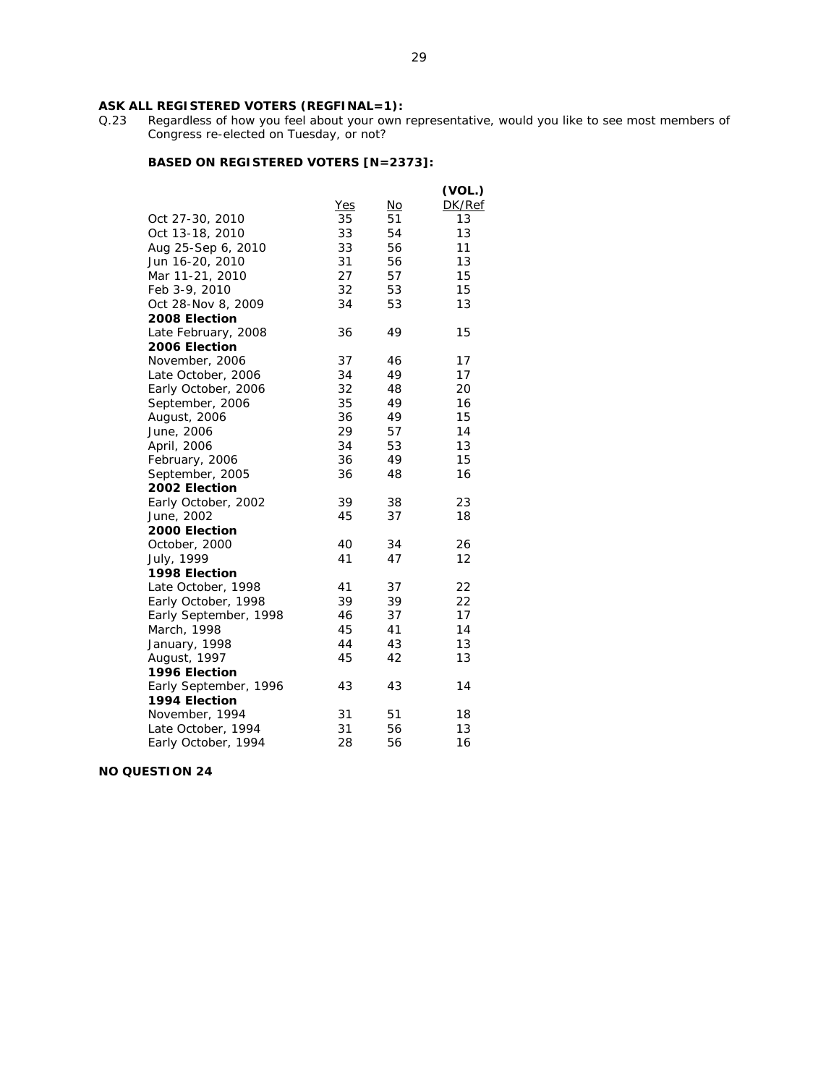#### **ASK ALL REGISTERED VOTERS (REGFINAL=1):**

Q.23 Regardless of how you feel about your own representative, would you like to see most members of Congress re-elected on Tuesday, or not?

# **BASED ON REGISTERED VOTERS [N=2373]:**

|                       |            |           | (VOL.) |
|-----------------------|------------|-----------|--------|
|                       | <b>Yes</b> | <u>No</u> | DK/Ref |
| Oct 27-30, 2010       | 35         | 51        | 13     |
| Oct 13-18, 2010       | 33         | 54        | 13     |
| Aug 25-Sep 6, 2010    | 33         | 56        | 11     |
| Jun 16-20, 2010       | 31         | 56        | 13     |
| Mar 11-21, 2010       | 27         | 57        | 15     |
| Feb 3-9, 2010         | 32         | 53        | 15     |
| Oct 28-Nov 8, 2009    | 34         | 53        | 13     |
| 2008 Election         |            |           |        |
| Late February, 2008   | 36         | 49        | 15     |
| 2006 Election         |            |           |        |
| November, 2006        | 37         | 46        | 17     |
| Late October, 2006    | 34         | 49        | 17     |
| Early October, 2006   | 32         | 48        | 20     |
| September, 2006       | 35         | 49        | 16     |
| August, 2006          | 36         | 49        | 15     |
| June, 2006            | 29         | 57        | 14     |
| April, 2006           | 34         | 53        | 13     |
| February, 2006        | 36         | 49        | 15     |
| September, 2005       | 36         | 48        | 16     |
| 2002 Election         |            |           |        |
| Early October, 2002   | 39         | 38        | 23     |
| June, 2002            | 45         | 37        | 18     |
| 2000 Election         |            |           |        |
| October, 2000         | 40         | 34        | 26     |
| July, 1999            | 41         | 47        | 12     |
| 1998 Election         |            |           |        |
| Late October, 1998    | 41         | 37        | 22     |
| Early October, 1998   | 39         | 39        | 22     |
| Early September, 1998 | 46         | 37        | 17     |
| March, 1998           | 45         | 41        | 14     |
| January, 1998         | 44         | 43        | 13     |
| August, 1997          | 45         | 42        | 13     |
| 1996 Election         |            |           |        |
| Early September, 1996 | 43         | 43        | 14     |
| 1994 Election         |            |           |        |
| November, 1994        | 31         | 51        | 18     |
| Late October, 1994    | 31         | 56        | 13     |
| Early October, 1994   | 28         | 56        | 16     |

**NO QUESTION 24**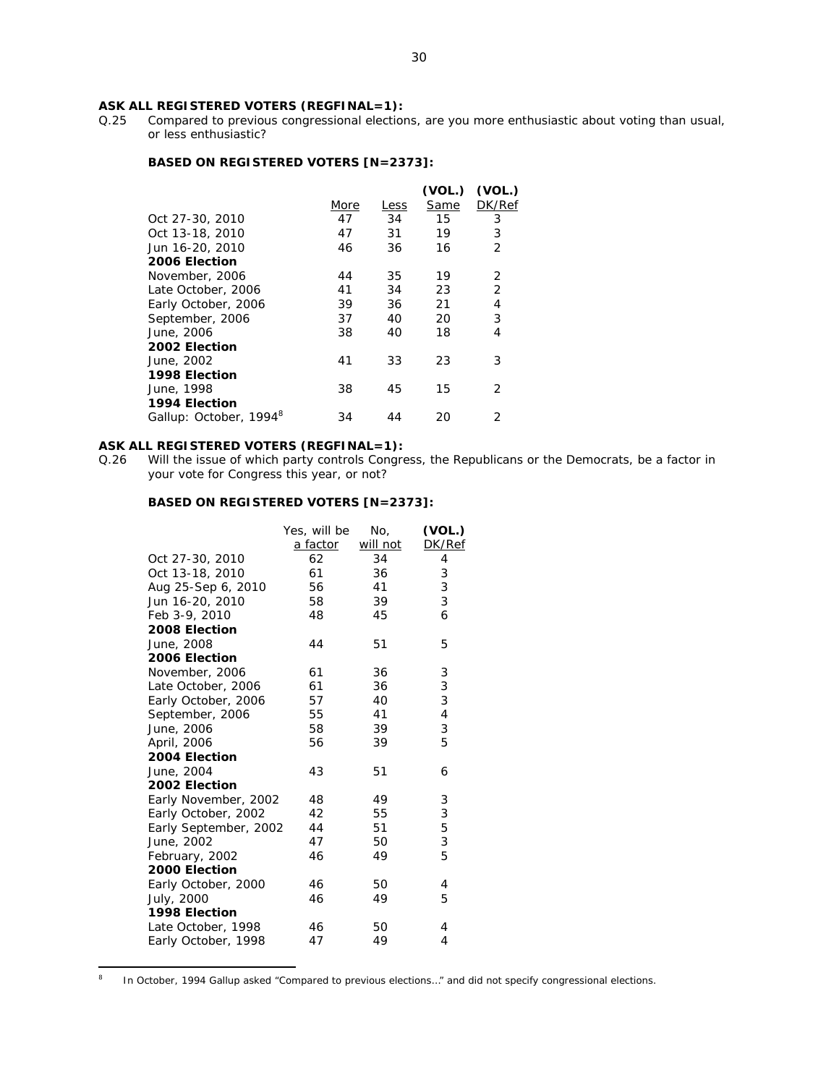# ASK ALL REGISTERED VOTERS (REGFINAL=1):<br>Q.25 Compared to previous congressional election

Compared to previous congressional elections, are you more enthusiastic about voting than usual, or less enthusiastic?

### **BASED ON REGISTERED VOTERS [N=2373]:**

|                                    |      |             | (VOL.) | (VOL.)         |
|------------------------------------|------|-------------|--------|----------------|
|                                    | More | <u>Less</u> | Same   | DK/Ref         |
| Oct 27-30, 2010                    | 47   | 34          | 15     | 3              |
| Oct 13-18, 2010                    | 47   | 31          | 19     | 3              |
| Jun 16-20, 2010                    | 46   | 36          | 16     | $\overline{2}$ |
| 2006 Election                      |      |             |        |                |
| November, 2006                     | 44   | 35          | 19     | 2              |
| Late October, 2006                 | 41   | 34          | 23     | $\overline{2}$ |
| Early October, 2006                | 39   | 36          | 21     | 4              |
| September, 2006                    | 37   | 40          | 20     | 3              |
| June, 2006                         | 38   | 40          | 18     | 4              |
| 2002 Election                      |      |             |        |                |
| June, 2002                         | 41   | 33          | 23     | 3              |
| 1998 Election                      |      |             |        |                |
| June, 1998                         | 38   | 45          | 15     | 2              |
| 1994 Election                      |      |             |        |                |
| Gallup: October, 1994 <sup>8</sup> | 34   | 44          | 20     | 2              |
|                                    |      |             |        |                |

# **ASK ALL REGISTERED VOTERS (REGFINAL=1):**

Q.26 Will the issue of which party controls Congress, the Republicans or the Democrats, be a factor in your vote for Congress this year, or not?

|                       | Yes, will be<br>a factor | No,<br>will not | (VOL.)<br>DK/Ref |
|-----------------------|--------------------------|-----------------|------------------|
| Oct 27-30, 2010       | 62                       | 34              | 4                |
| Oct 13-18, 2010       | 61                       | 36              | 3                |
| Aug 25-Sep 6, 2010    | 56                       | 41              | 3                |
| Jun 16-20, 2010       | 58                       | 39              | 3                |
| Feb 3-9, 2010         | 48                       | 45              | 6                |
| 2008 Election         |                          |                 |                  |
| June, 2008            | 44                       | 51              | 5                |
| 2006 Election         |                          |                 |                  |
| November, 2006        | 61                       | 36              | 3                |
| Late October, 2006    | 61                       | 36              | 3                |
| Early October, 2006   | 57                       | 40              | 3                |
| September, 2006       | 55                       | 41              | 4                |
| June, 2006            | 58                       | 39              | 3                |
| April, 2006           | 56                       | 39              | 5                |
| 2004 Election         |                          |                 |                  |
| June, 2004            | 43                       | 51              | 6                |
| 2002 Election         |                          |                 |                  |
| Early November, 2002  | 48                       | 49              | 3                |
| Early October, 2002   | 42                       | 55              | 3                |
| Early September, 2002 | 44                       | 51              | 5                |
| June, 2002            | 47                       | 50              | 3                |
| February, 2002        | 46                       | 49              | 5                |
| 2000 Election         |                          |                 |                  |
| Early October, 2000   | 46                       | 50              | 4                |
| July, 2000            | 46                       | 49              | 5                |
| 1998 Election         |                          |                 |                  |
| Late October, 1998    | 46                       | 50              | 4                |
| Early October, 1998   | 47                       | 49              | 4                |
|                       |                          |                 |                  |

 $\frac{1}{8}$ In October, 1994 Gallup asked "Compared to previous elections…" and did not specify congressional elections.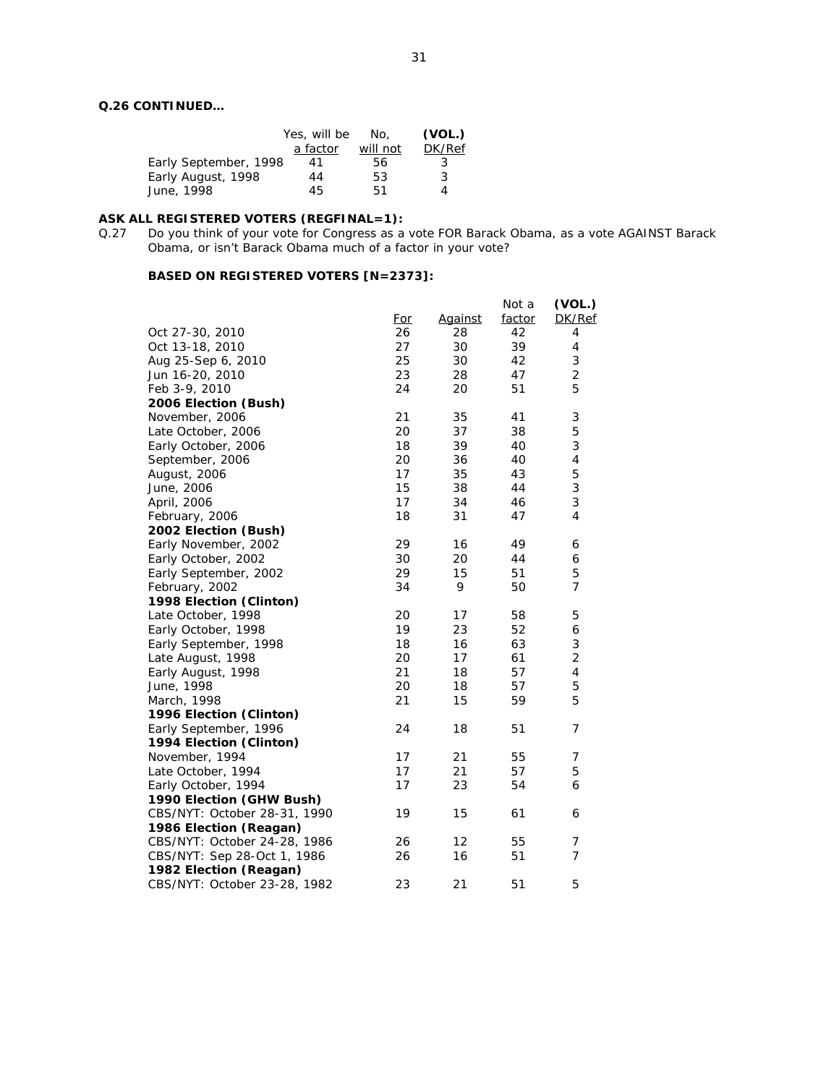# **Q.26 CONTINUED…**

|                       | Yes, will be<br>a factor | No.<br>will not | (VOL.)<br>DK/Ref |
|-----------------------|--------------------------|-----------------|------------------|
| Early September, 1998 | 41                       | 56              | 3                |
| Early August, 1998    | 44                       | 53              | 3                |
| June, 1998            | 45                       | 51              | Δ                |

#### **ASK ALL REGISTERED VOTERS (REGFINAL=1):**

Q.27 Do you think of your vote for Congress as a vote FOR Barack Obama, as a vote AGAINST Barack Obama, or isn't Barack Obama much of a factor in your vote?

|                              | For | Against | Not a<br>factor | (VOL.)<br>DK/Ref          |
|------------------------------|-----|---------|-----------------|---------------------------|
| Oct 27-30, 2010              | 26  | 28      | 42              | 4                         |
| Oct 13-18, 2010              | 27  | 30      | 39              | 4                         |
| Aug 25-Sep 6, 2010           | 25  | 30      | 42              | 3                         |
| Jun 16-20, 2010              | 23  | 28      | 47              | $\overline{c}$            |
| Feb 3-9, 2010                | 24  | 20      | 51              | 5                         |
| 2006 Election (Bush)         |     |         |                 |                           |
| November, 2006               | 21  | 35      | 41              | $\ensuremath{\mathsf{3}}$ |
| Late October, 2006           | 20  | 37      | 38              | 5                         |
| Early October, 2006          | 18  | 39      | 40              | 3                         |
| September, 2006              | 20  | 36      | 40              | $\sqrt{4}$                |
| August, 2006                 | 17  | 35      | 43              | 5                         |
| June, 2006                   | 15  | 38      | 44              | 3                         |
| April, 2006                  | 17  | 34      | 46              | 3                         |
| February, 2006               | 18  | 31      | 47              | $\overline{4}$            |
| 2002 Election (Bush)         |     |         |                 |                           |
| Early November, 2002         | 29  | 16      | 49              | 6                         |
| Early October, 2002          | 30  | 20      | 44              | 6                         |
| Early September, 2002        | 29  | 15      | 51              | 5                         |
| February, 2002               | 34  | 9       | 50              | $\overline{7}$            |
| 1998 Election (Clinton)      |     |         |                 |                           |
| Late October, 1998           | 20  | 17      | 58              | 5                         |
| Early October, 1998          | 19  | 23      | 52              | 6                         |
| Early September, 1998        | 18  | 16      | 63              | 3                         |
| Late August, 1998            | 20  | 17      | 61              | 2                         |
| Early August, 1998           | 21  | 18      | 57              | 4                         |
| June, 1998                   | 20  | 18      | 57              | 5                         |
| March, 1998                  | 21  | 15      | 59              | 5                         |
| 1996 Election (Clinton)      |     |         |                 |                           |
| Early September, 1996        | 24  | 18      | 51              | 7                         |
| 1994 Election (Clinton)      |     |         |                 |                           |
| November, 1994               | 17  | 21      | 55              | 7                         |
| Late October, 1994           | 17  | 21      | 57              | 5                         |
| Early October, 1994          | 17  | 23      | 54              | 6                         |
| 1990 Election (GHW Bush)     |     |         |                 |                           |
| CBS/NYT: October 28-31, 1990 | 19  | 15      | 61              | 6                         |
| 1986 Election (Reagan)       |     |         |                 |                           |
| CBS/NYT: October 24-28, 1986 | 26  | 12      | 55              | 7                         |
| CBS/NYT: Sep 28-Oct 1, 1986  | 26  | 16      | 51              | $\overline{7}$            |
| 1982 Election (Reagan)       |     |         |                 |                           |
| CBS/NYT: October 23-28, 1982 | 23  | 21      | 51              | 5                         |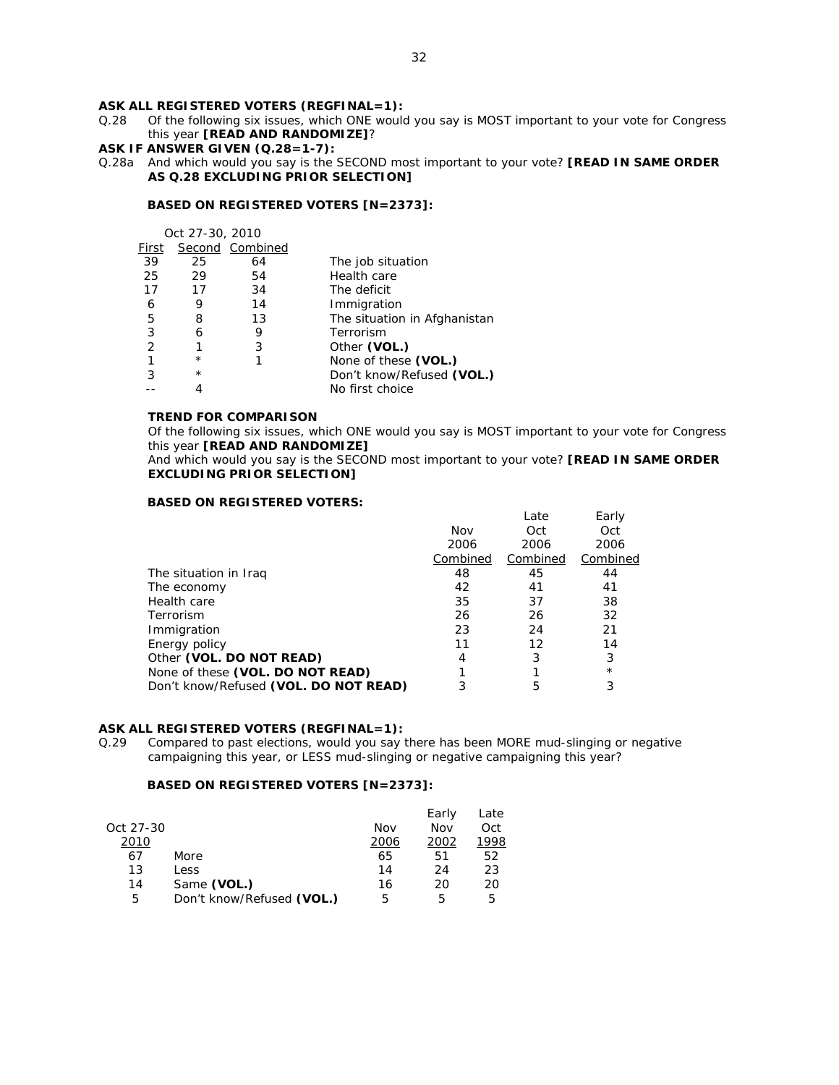# **ASK ALL REGISTERED VOTERS (REGFINAL=1):**

- Q.28 Of the following six issues, which ONE would you say is MOST important to your vote for Congress this year **[READ AND RANDOMIZE]**?
- **ASK IF ANSWER GIVEN (Q.28=1-7):**
- Q.28a And which would you say is the SECOND most important to your vote? **[READ IN SAME ORDER AS Q.28 EXCLUDING PRIOR SELECTION]**

#### **BASED ON REGISTERED VOTERS [N=2373]:**

 Oct 27-30, 2010 First Second Combined 39 25 64 The job situation 25 29 54 Health care<br>17 17 34 The deficit 17 17 34 The deficit<br>
6 9 14 Immigratio 6 9 14 Immigration  $\frac{5}{3}$  The situation in Afghanistan

| G | ጘ       | د. ا | The situation in Alghanistan |
|---|---------|------|------------------------------|
|   |         |      | Terrorism                    |
|   |         | ર    | Other (VOL.)                 |
|   | $\star$ |      | None of these (VOL.)         |
|   | $\star$ |      | Don't know/Refused (VOL.)    |
|   |         |      | No first choice              |

# **TREND FOR COMPARISON**

Of the following six issues, which ONE would you say is MOST important to your vote for Congress this year **[READ AND RANDOMIZE]** 

And which would you say is the SECOND most important to your vote? **[READ IN SAME ORDER EXCLUDING PRIOR SELECTION]**

#### **BASED ON REGISTERED VOTERS:**

|                                       | Nov      | Late<br>Oct | Early<br>Oct |
|---------------------------------------|----------|-------------|--------------|
|                                       | 2006     | 2006        | 2006         |
|                                       | Combined | Combined    | Combined     |
| The situation in Iraq                 | 48       | 45          | 44           |
| The economy                           | 42       | 41          | 41           |
| Health care                           | 35       | 37          | 38           |
| Terrorism                             | 26       | 26          | 32           |
| Immigration                           | 23       | 24          | 21           |
| Energy policy                         | 11       | 12          | 14           |
| Other (VOL. DO NOT READ)              | 4        | 3           | 3            |
| None of these (VOL. DO NOT READ)      |          |             | $^\star$     |
| Don't know/Refused (VOL. DO NOT READ) | 3        | 5           | 3            |
|                                       |          |             |              |

#### **ASK ALL REGISTERED VOTERS (REGFINAL=1):**

Q.29 Compared to past elections, would you say there has been MORE mud-slinging or negative campaigning this year, or LESS mud-slinging or negative campaigning this year?

|           |                           |      | Early | Late |
|-----------|---------------------------|------|-------|------|
| Oct 27-30 |                           | Nov  | Nov   | Oct  |
| 2010      |                           | 2006 | 2002  | 1998 |
| 67        | More                      | 65   | 51    | 52   |
| 13        | Less                      | 14   | 24    | 23   |
| 14        | Same (VOL.)               | 16   | 20    | 20   |
| 5         | Don't know/Refused (VOL.) | 5    | 5     | 5    |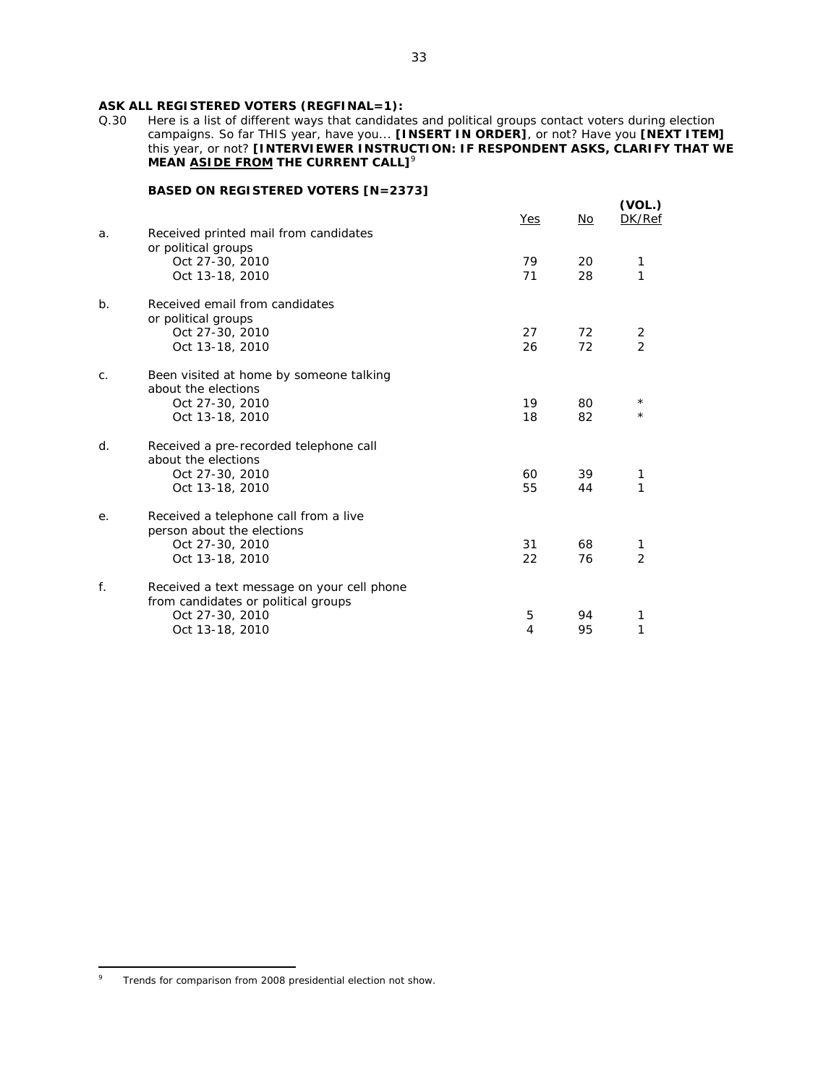# ASK ALL REGISTERED VOTERS (REGFINAL=1):<br>Q.30 Here is a list of different ways that candidate

Here is a list of different ways that candidates and political groups contact voters during election campaigns. So far THIS year, have you... **[INSERT IN ORDER]**, or not? Have you **[NEXT ITEM]** this year, or not? **[INTERVIEWER INSTRUCTION: IF RESPONDENT ASKS, CLARIFY THAT WE MEAN ASIDE FROM THE CURRENT CALL]<sup>9</sup>** 

| a.             | Received printed mail from candidates                                             | Yes      | No       | (VOL.)<br>DK/Ref     |
|----------------|-----------------------------------------------------------------------------------|----------|----------|----------------------|
|                | or political groups<br>Oct 27-30, 2010<br>Oct 13-18, 2010                         | 79<br>71 | 20<br>28 | 1                    |
| b <sub>1</sub> | Received email from candidates<br>or political groups                             |          |          |                      |
|                | Oct 27-30, 2010<br>Oct 13-18, 2010                                                | 27<br>26 | 72<br>72 | 2<br>$\mathfrak{D}$  |
| C.             | Been visited at home by someone talking<br>about the elections                    |          |          |                      |
|                | Oct 27-30, 2010<br>Oct 13-18, 2010                                                | 19<br>18 | 80<br>82 | $^\star$<br>$^\star$ |
| d.             | Received a pre-recorded telephone call<br>about the elections                     |          |          |                      |
|                | Oct 27-30, 2010<br>Oct 13-18, 2010                                                | 60<br>55 | 39<br>44 | 1                    |
| e.             | Received a telephone call from a live<br>person about the elections               |          |          |                      |
|                | Oct 27-30, 2010<br>Oct 13-18, 2010                                                | 31<br>22 | 68<br>76 | 1<br>$\overline{2}$  |
| f.             | Received a text message on your cell phone<br>from candidates or political groups |          |          |                      |
|                | Oct 27-30, 2010<br>Oct 13-18, 2010                                                | 5<br>4   | 94<br>95 |                      |
|                |                                                                                   |          |          |                      |

 $\overline{a}$ 9 Trends for comparison from 2008 presidential election not show.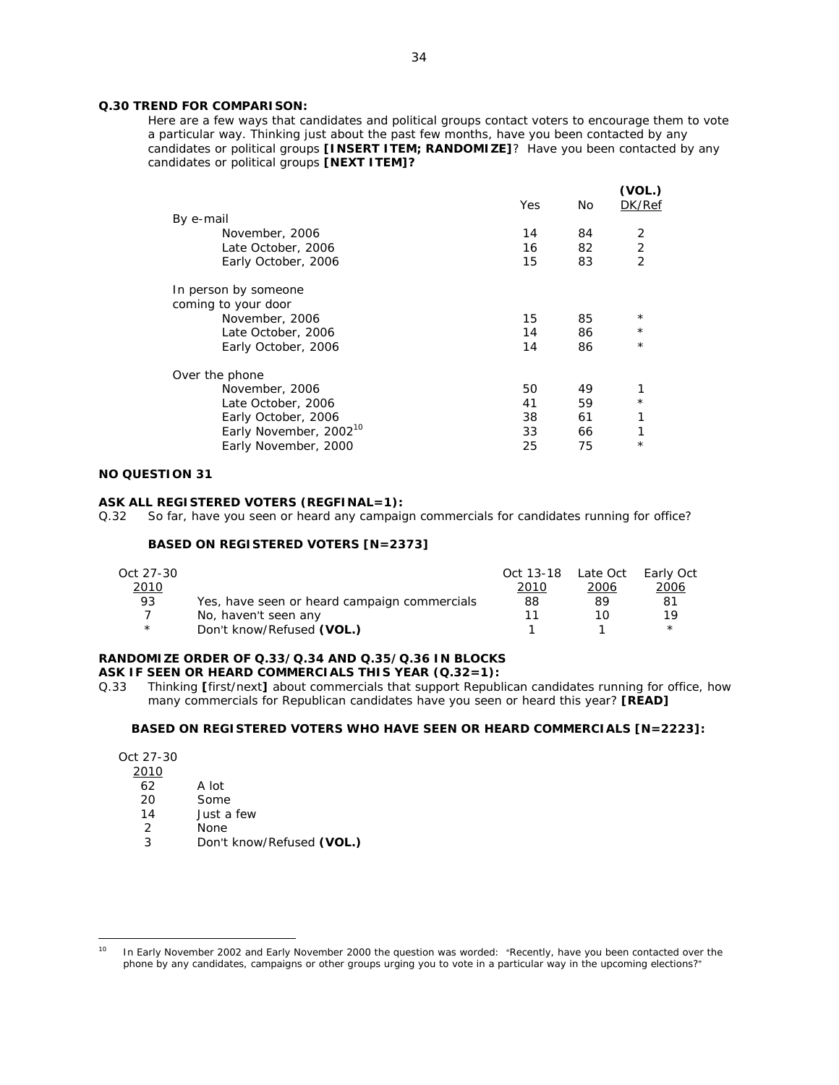### **Q.30 TREND FOR COMPARISON:**

*Here are a few ways that candidates and political groups contact voters to encourage them to vote a particular way. Thinking just about the past few months, have you been contacted by any candidates or political groups [INSERT ITEM; RANDOMIZE]? Have you been contacted by any candidates or political groups [NEXT ITEM]?*

|                                    | Yes | <b>No</b> | (VOL.)<br>DK/Ref |
|------------------------------------|-----|-----------|------------------|
| By e-mail                          |     |           |                  |
| November, 2006                     | 14  | 84        | 2                |
| Late October, 2006                 | 16  | 82        | $\sqrt{2}$       |
| Early October, 2006                | 15  | 83        | $\overline{2}$   |
| In person by someone               |     |           |                  |
| coming to your door                |     |           |                  |
| November, 2006                     | 15  | 85        | $^{\star}$       |
| Late October, 2006                 | 14  | 86        | $^{\star}$       |
| Early October, 2006                | 14  | 86        | $\star$          |
| Over the phone                     |     |           |                  |
| November, 2006                     | 50  | 49        |                  |
| Late October, 2006                 | 41  | 59        | $^\star$         |
| Early October, 2006                | 38  | 61        |                  |
| Early November, 2002 <sup>10</sup> | 33  | 66        |                  |
| Early November, 2000               | 25  | 75        | $\star$          |
|                                    |     |           |                  |

### **NO QUESTION 31**

#### **ASK ALL REGISTERED VOTERS (REGFINAL=1):**

Q.32 So far, have you seen or heard any campaign commercials for candidates running for office?

# **BASED ON REGISTERED VOTERS [N=2373]**

| Oct 27-30    |                                              | Oct 13-18 Late Oct |      | Early Oct   |
|--------------|----------------------------------------------|--------------------|------|-------------|
| <u> 2010</u> |                                              | 2010               | 2006 | <u>2006</u> |
| 93           | Yes, have seen or heard campaign commercials | 88                 | 89   | 81          |
|              | No, haven't seen any                         |                    |      | 1 Q         |
| $\star$      | Don't know/Refused (VOL.)                    |                    |      |             |

#### **RANDOMIZE ORDER OF Q.33/Q.34 AND Q.35/Q.36 IN BLOCKS ASK IF SEEN OR HEARD COMMERCIALS THIS YEAR (Q.32=1):**

Q.33 Thinking **[**first/next**]** about commercials that support Republican candidates running for office, how many commercials for Republican candidates have you seen or heard this year? **[READ]**

#### **BASED ON REGISTERED VOTERS WHO HAVE SEEN OR HEARD COMMERCIALS [N=2223]:**

| Oct 27-30 |       |
|-----------|-------|
| 2010      |       |
| 62        | A lot |

 $\overline{a}$ 

- 20 Some
- 14 Just a few
- 2 None
- 
- 3 Don't know/Refused **(VOL.)**

 $10$  In Early November 2002 and Early November 2000 the question was worded: "Recently, have you been contacted over the phone by any candidates, campaigns or other groups urging you to vote in a particular way in the upcoming elections?"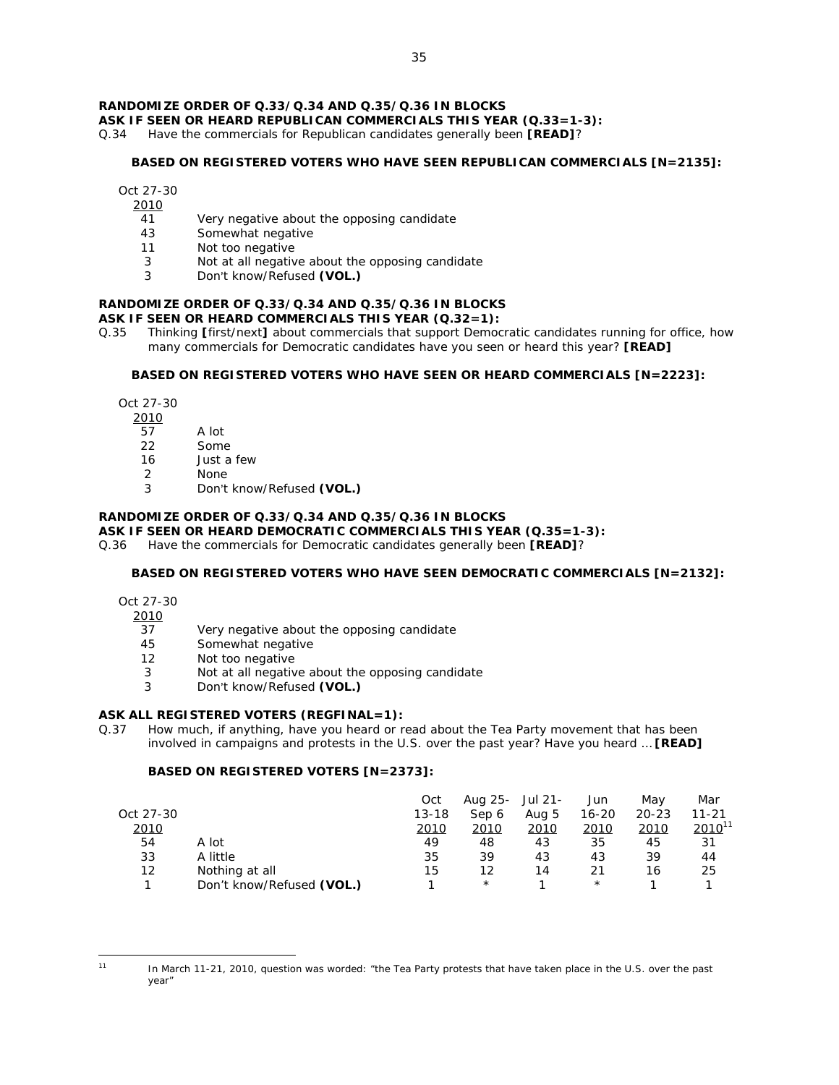# **RANDOMIZE ORDER OF Q.33/Q.34 AND Q.35/Q.36 IN BLOCKS**

**ASK IF SEEN OR HEARD REPUBLICAN COMMERCIALS THIS YEAR (Q.33=1-3):** 

Q.34 Have the commercials for Republican candidates generally been **[READ]**?

### **BASED ON REGISTERED VOTERS WHO HAVE SEEN REPUBLICAN COMMERCIALS [N=2135]:**

Oct 27-30

- 2010
- 41 Very negative about the opposing candidate
- 43 Somewhat negative
- 11 Not too negative
- 3 Not at all negative about the opposing candidate
- 3 Don't know/Refused **(VOL.)**

# **RANDOMIZE ORDER OF Q.33/Q.34 AND Q.35/Q.36 IN BLOCKS**

- **ASK IF SEEN OR HEARD COMMERCIALS THIS YEAR (Q.32=1):**
- Q.35 Thinking **[**first/next**]** about commercials that support Democratic candidates running for office, how many commercials for Democratic candidates have you seen or heard this year? **[READ]**

#### **BASED ON REGISTERED VOTERS WHO HAVE SEEN OR HEARD COMMERCIALS [N=2223]:**

Oct 27-30

2010

- $\overline{57}$  A lot
- 22 Some
- 16 Just a few
- 2 None
- 3 Don't know/Refused **(VOL.)**

### **RANDOMIZE ORDER OF Q.33/Q.34 AND Q.35/Q.36 IN BLOCKS**

#### **ASK IF SEEN OR HEARD DEMOCRATIC COMMERCIALS THIS YEAR (Q.35=1-3):**

Q.36 Have the commercials for Democratic candidates generally been **[READ]**?

# **BASED ON REGISTERED VOTERS WHO HAVE SEEN DEMOCRATIC COMMERCIALS [N=2132]:**

Oct 27-30

2010

- 37 Very negative about the opposing candidate
- 45 Somewhat negative
- 12 Not too negative
- 3 Not at all negative about the opposing candidate
- 3 Don't know/Refused **(VOL.)**

# **ASK ALL REGISTERED VOTERS (REGFINAL=1):**

Q.37 How much, if anything, have you heard or read about the Tea Party movement that has been involved in campaigns and protests in the U.S. over the past year? Have you heard … **[READ]**

|             |                           | Oct       | Aug 25- | Jul 21- | Jun       | Mav       | Mar         |
|-------------|---------------------------|-----------|---------|---------|-----------|-----------|-------------|
| Oct 27-30   |                           | $13 - 18$ | Sep 6   | Aug 5   | $16 - 20$ | $20 - 23$ | 11-21       |
| <u>2010</u> |                           | 2010      | 2010    | 2010    | 2010      | 2010      | $2010^{11}$ |
| 54          | A lot                     | 49        | 48      | 43      | 35        | 45        | 31          |
| 33          | A little                  | 35        | 39      | 43      | 43        | 39        | 44          |
| 12          | Nothing at all            | 15        | 12      | 14      | 21        | 16        | 25          |
|             | Don't know/Refused (VOL.) |           | $\star$ |         | $\star$   |           |             |

 $\overline{a}$ 

<sup>11</sup> In March 11-21, 2010, question was worded: "the Tea Party protests that have taken place in the U.S. over the past year"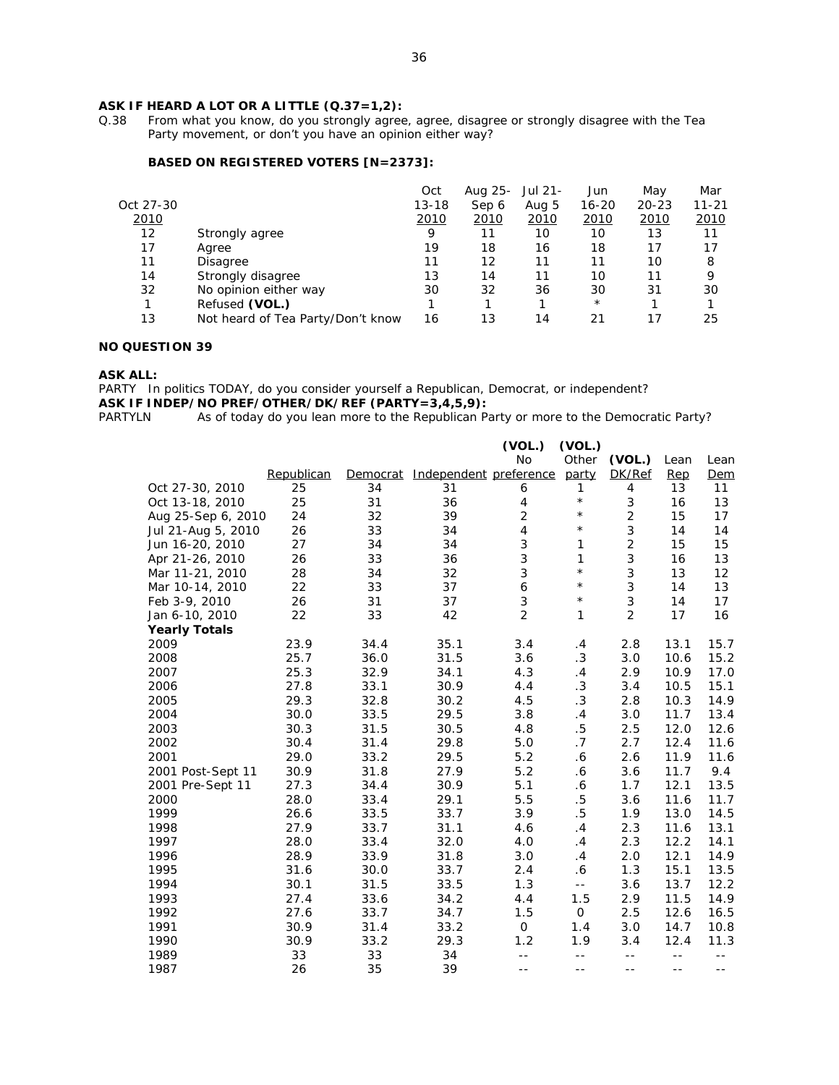# **ASK IF HEARD A LOT OR A LITTLE (Q.37=1,2):** Q.38 From what you know, do you strongly agree

From what you know, do you strongly agree, agree, disagree or strongly disagree with the Tea Party movement, or don't you have an opinion either way?

# **BASED ON REGISTERED VOTERS [N=2373]:**

|           |                                   | Oct       | Aug 25- | Jul 21- | Jun       | May       | Mar   |
|-----------|-----------------------------------|-----------|---------|---------|-----------|-----------|-------|
| Oct 27-30 |                                   | $13 - 18$ | Sep 6   | Aug 5   | $16 - 20$ | $20 - 23$ | 11-21 |
| 2010      |                                   | 2010      | 2010    | 2010    | 2010      | 2010      | 2010  |
| $12 \,$   | Strongly agree                    | 9         | 11      | 10      | 10        | 13        | 11    |
| 17        | Agree                             | 19        | 18      | 16      | 18        | 17        | 17    |
| 11        | Disagree                          | 11        | 12      | 11      | 11        | 10        | 8     |
| 14        | Strongly disagree                 | 13        | 14      | 11      | 10        | 11        | 9     |
| 32        | No opinion either way             | 30        | 32      | 36      | 30        | 31        | 30    |
|           | Refused (VOL.)                    |           |         |         | $\star$   |           |       |
| 13        | Not heard of Tea Party/Don't know | 16        | 13      | 14      | 21        | 17        | 25    |

# **NO QUESTION 39**

#### **ASK ALL:**

PARTY In politics TODAY, do you consider yourself a Republican, Democrat, or independent?

**ASK IF INDEP/NO PREF/OTHER/DK/REF (PARTY=3,4,5,9):** PARTYLN As of today do you lean more to the Republican P.

As of today do you lean more to the Republican Party or more to the Democratic Party?

|                      |            |      |                                       | (VOL.)         | (VOL.)                     |                |      |       |
|----------------------|------------|------|---------------------------------------|----------------|----------------------------|----------------|------|-------|
|                      |            |      |                                       | <b>No</b>      | Other                      | (VOL.)         | Lean | Lean  |
|                      | Republican |      | Democrat Independent preference party |                |                            | DK/Ref         | Rep  | Dem   |
| Oct 27-30, 2010      | 25         | 34   | 31                                    | 6              | $\mathbf{1}$               | 4              | 13   | 11    |
| Oct 13-18, 2010      | 25         | 31   | 36                                    | 4              | $\star$                    | 3              | 16   | 13    |
| Aug 25-Sep 6, 2010   | 24         | 32   | 39                                    | $\overline{c}$ | $\star$                    | $\overline{c}$ | 15   | 17    |
| Jul 21-Aug 5, 2010   | 26         | 33   | 34                                    | 4              | $\star$                    | 3              | 14   | 14    |
| Jun 16-20, 2010      | 27         | 34   | 34                                    | 3              | $\mathbf{1}$               | $\overline{c}$ | 15   | 15    |
| Apr 21-26, 2010      | 26         | 33   | 36                                    | 3              | 1                          | 3              | 16   | 13    |
| Mar 11-21, 2010      | 28         | 34   | 32                                    | 3              | $^{\star}$                 | 3              | 13   | 12    |
| Mar 10-14, 2010      | 22         | 33   | 37                                    | 6              | $\star$                    | 3              | 14   | 13    |
| Feb 3-9, 2010        | 26         | 31   | 37                                    | 3              | $^\star$                   | $\sqrt{3}$     | 14   | 17    |
| Jan 6-10, 2010       | 22         | 33   | 42                                    | $\overline{2}$ | $\mathbf{1}$               | $\overline{2}$ | 17   | 16    |
| <b>Yearly Totals</b> |            |      |                                       |                |                            |                |      |       |
| 2009                 | 23.9       | 34.4 | 35.1                                  | 3.4            | .4                         | 2.8            | 13.1 | 15.7  |
| 2008                 | 25.7       | 36.0 | 31.5                                  | 3.6            | .3                         | 3.0            | 10.6 | 15.2  |
| 2007                 | 25.3       | 32.9 | 34.1                                  | 4.3            | .4                         | 2.9            | 10.9 | 17.0  |
| 2006                 | 27.8       | 33.1 | 30.9                                  | 4.4            | .3                         | 3.4            | 10.5 | 15.1  |
| 2005                 | 29.3       | 32.8 | 30.2                                  | 4.5            | .3                         | 2.8            | 10.3 | 14.9  |
| 2004                 | 30.0       | 33.5 | 29.5                                  | 3.8            | .4                         | 3.0            | 11.7 | 13.4  |
| 2003                 | 30.3       | 31.5 | 30.5                                  | 4.8            | $.5\,$                     | 2.5            | 12.0 | 12.6  |
| 2002                 | 30.4       | 31.4 | 29.8                                  | 5.0            | .7                         | 2.7            | 12.4 | 11.6  |
| 2001                 | 29.0       | 33.2 | 29.5                                  | 5.2            | .6                         | 2.6            | 11.9 | 11.6  |
| 2001 Post-Sept 11    | 30.9       | 31.8 | 27.9                                  | 5.2            | $\cdot$ 6                  | 3.6            | 11.7 | 9.4   |
| 2001 Pre-Sept 11     | 27.3       | 34.4 | 30.9                                  | 5.1            | $\boldsymbol{\delta}$      | 1.7            | 12.1 | 13.5  |
| 2000                 | 28.0       | 33.4 | 29.1                                  | 5.5            | $.5\,$                     | 3.6            | 11.6 | 11.7  |
| 1999                 | 26.6       | 33.5 | 33.7                                  | 3.9            | $.5\,$                     | 1.9            | 13.0 | 14.5  |
| 1998                 | 27.9       | 33.7 | 31.1                                  | 4.6            | .4                         | 2.3            | 11.6 | 13.1  |
| 1997                 | 28.0       | 33.4 | 32.0                                  | 4.0            | .4                         | 2.3            | 12.2 | 14.1  |
| 1996                 | 28.9       | 33.9 | 31.8                                  | 3.0            | .4                         | 2.0            | 12.1 | 14.9  |
| 1995                 | 31.6       | 30.0 | 33.7                                  | 2.4            | .6                         | 1.3            | 15.1 | 13.5  |
| 1994                 | 30.1       | 31.5 | 33.5                                  | 1.3            | $\overline{\phantom{a}}$ . | 3.6            | 13.7 | 12.2  |
| 1993                 | 27.4       | 33.6 | 34.2                                  | 4.4            | 1.5                        | 2.9            | 11.5 | 14.9  |
| 1992                 | 27.6       | 33.7 | 34.7                                  | 1.5            | $\mathsf{O}$               | 2.5            | 12.6 | 16.5  |
| 1991                 | 30.9       | 31.4 | 33.2                                  | 0              | 1.4                        | 3.0            | 14.7 | 10.8  |
| 1990                 | 30.9       | 33.2 | 29.3                                  | 1.2            | 1.9                        | 3.4            | 12.4 | 11.3  |
| 1989                 | 33         | 33   | 34                                    | $- -$          | $-$                        | $- -$          | $ -$ | $- -$ |
| 1987                 | 26         | 35   | 39                                    | $- -$          | $- -$                      | $- -$          | $-$  | $- -$ |